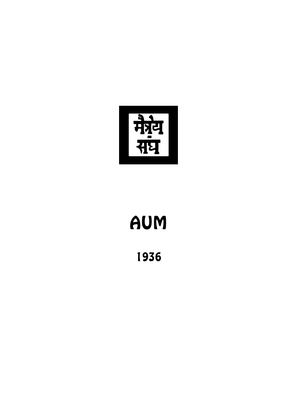

## AUM

1936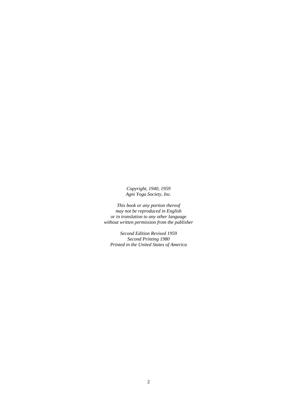*Copyright, 1940, 1959 Agni Yoga Society, Inc.*

*This book or any portion thereof may not be reproduced in English or in translation to any other language without written permission from the publisher* 

*Second Edition Revised 1959 Second Printing 1980 Printed in the United States of America*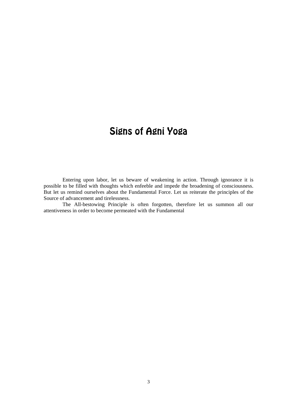## Signs of Agni Yoga

 Entering upon labor, let us beware of weakening in action. Through ignorance it is possible to be filled with thoughts which enfeeble and impede the broadening of consciousness. But let us remind ourselves about the Fundamental Force. Let us reiterate the principles of the Source of advancement and tirelessness.

 The All-bestowing Principle is often forgotten, therefore let us summon all our attentiveness in order to become permeated with the Fundamental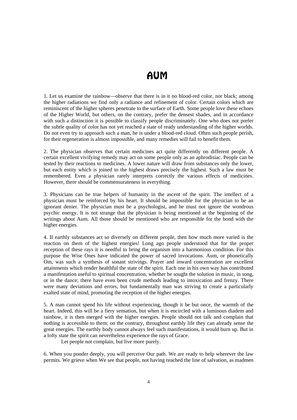## AUM

1. Let us examine the rainbow—observe that there is in it no blood-red color, nor black; among the higher radiations we find only a radiance and refinement of color. Certain colors which are reminiscent of the higher spheres penetrate to the surface of Earth. Some people love these echoes of the Higher World, but others, on the contrary, prefer the densest shades, and in accordance with such a distinction it is possible to classify people discriminately. One who does not prefer the subtle quality of color has not yet reached a state of ready understanding of the higher worlds. Do not even try to approach such a man, he is under a blood-red cloud. Often such people perish, for their regeneration is almost impossible, and many remedies will fail to benefit them.

2. The physician observes that certain medicines act quite differently on different people. A certain excellent vivifying remedy may act on some people only as an aphrodisiac. People can be tested by their reactions to medicines. A lower nature will draw from substances only the lower, but each entity which is joined to the highest draws precisely the highest. Such a law must be remembered. Even a physician rarely interprets correctly the various effects of medicines. However, there should be commensurateness in everything.

3. Physicians can be true helpers of humanity in the ascent of the spirit. The intellect of a physician must be reinforced by his heart. It should be impossible for the physician to be an ignorant denier. The physician must be a psychologist, and he must not ignore the wondrous psychic energy. It is not strange that the physician is being mentioned at the beginning of the writings about Aum. All those should be mentioned who are responsible for the bond with the higher energies.

4. If earthly substances act so diversely on different people, then how much more varied is the reaction on them of the highest energies! Long ago people understood that for the proper reception of these rays it is needful to bring the organism into a harmonious condition. For this purpose the Wise Ones have indicated the power of sacred invocations. Aum, or phonetically Om, was such a synthesis of sonant strivings. Prayer and inward concentration are excellent attainments which render healthful the state of the spirit. Each one in his own way has contributed a manifestation useful to spiritual concentration, whether he sought the solution in music, in song, or in the dance; there have even been crude methods leading to intoxication and frenzy. There were many deviations and errors, but fundamentally man was striving to create a particularly exalted state of mind, promoting the reception of the higher energies.

5. A man cannot spend his life without experiencing, though it be but once, the warmth of the heart. Indeed, this will be a fiery sensation, but when it is encircled with a luminous diadem and rainbow, it is then merged with the higher energies. People should not talk and complain that nothing is accessible to them; on the contrary, throughout earthly life they can already sense the great energies. The earthly body cannot always feel such manifestations, it would burn up. But in a lofty state the spirit can nevertheless experience the rays of Grace.

Let people not complain, but live more purely.

6. When you ponder deeply, you will perceive Our path. We are ready to help wherever the law permits. We grieve when We see that people, not having reached the line of salvation, as madmen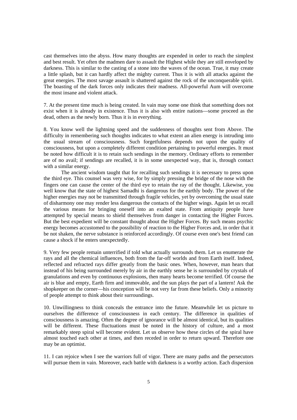cast themselves into the abyss. How many thoughts are expended in order to reach the simplest and best result. Yet often the madmen dare to assault the Highest while they are still enveloped by darkness. This is similar to the casting of a stone into the waves of the ocean. True, it may create a little splash, but it can hardly affect the mighty current. Thus it is with all attacks against the great energies. The most savage assault is shattered against the rock of the unconquerable spirit. The boasting of the dark forces only indicates their madness. All-powerful Aum will overcome the most insane and violent attack.

7. At the present time much is being created. In vain may some one think that something does not exist when it is already in existence. Thus it is also with entire nations—some proceed as the dead, others as the newly born. Thus it is in everything.

8. You know well the lightning speed and the suddenness of thoughts sent from Above. The difficulty in remembering such thoughts indicates to what extent an alien energy is intruding into the usual stream of consciousness. Such forgetfulness depends not upon the quality of consciousness, but upon a completely different condition pertaining to powerful energies. It must be noted how difficult it is to retain such sendings in the memory. Ordinary efforts to remember are of no avail; if sendings are recalled, it is in some unexpected way, that is, through contact with a similar energy.

 The ancient wisdom taught that for recalling such sendings it is necessary to press upon the third eye. This counsel was very wise, for by simply pressing the bridge of the nose with the fingers one can cause the center of the third eye to retain the ray of the thought. Likewise, you well know that the state of highest Samadhi is dangerous for the earthly body. The power of the higher energies may not be transmitted through fragile vehicles, yet by overcoming the usual state of disharmony one may render less dangerous the contacts of the higher wings. Again let us recall the various means for bringing oneself into an exalted state. From antiquity people have attempted by special means to shield themselves from danger in contacting the Higher Forces. But the best expedient will be constant thought about the Higher Forces. By such means psychic energy becomes accustomed to the possibility of reaction to the Higher Forces and, in order that it be not shaken, the nerve substance is reinforced accordingly. Of course even one's best friend can cause a shock if he enters unexpectedly.

9. Very few people remain unterrified if told what actually surrounds them. Let us enumerate the rays and all the chemical influences, both from the far-off worlds and from Earth itself. Indeed, reflected and refracted rays differ greatly from the basic ones. When, however, man hears that instead of his being surrounded merely by air in the earthly sense he is surrounded by crystals of granulations and even by continuous explosions, then many hearts become terrified. Of course the air is blue and empty, Earth firm and immovable, and the sun plays the part of a lantern! Ask the shopkeeper on the corner—his conception will be not very far from these beliefs. Only a minority of people attempt to think about their surroundings.

10. Unwillingness to think conceals the entrance into the future. Meanwhile let us picture to ourselves the difference of consciousness in each century. The difference in qualities of consciousness is amazing. Often the degree of ignorance will be almost identical, but its qualities will be different. These fluctuations must be noted in the history of culture, and a most remarkably steep spiral will become evident. Let us observe how these circles of the spiral have almost touched each other at times, and then receded in order to return upward. Therefore one may be an optimist.

11. I can rejoice when I see the warriors full of vigor. There are many paths and the persecutors will pursue them in vain. Moreover, each battle with darkness is a worthy action. Each dispersion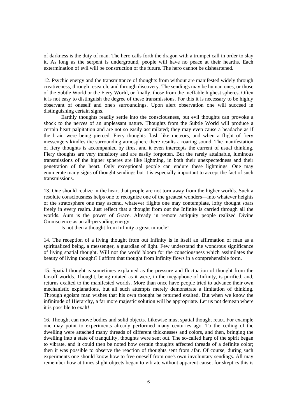of darkness is the duty of man. The hero calls forth the dragon with a trumpet call in order to slay it. As long as the serpent is underground, people will have no peace at their hearths. Each extermination of evil will be construction of the future. The hero cannot be disheartened.

12. Psychic energy and the transmittance of thoughts from without are manifested widely through creativeness, through research, and through discovery. The sendings may be human ones, or those of the Subtle World or the Fiery World, or finally, those from the ineffable highest spheres. Often it is not easy to distinguish the degree of these transmissions. For this it is necessary to be highly observant of oneself and one's surroundings. Upon alert observation one will succeed in distinguishing certain signs.

 Earthly thoughts readily settle into the consciousness, but evil thoughts can provoke a shock to the nerves of an unpleasant nature. Thoughts from the Subtle World will produce a certain heart palpitation and are not so easily assimilated; they may even cause a headache as if the brain were being pierced. Fiery thoughts flash like meteors, and when a flight of fiery messengers kindles the surrounding atmosphere there results a roaring sound. The manifestation of fiery thoughts is accompanied by fires, and it even intercepts the current of usual thinking. Fiery thoughts are very transitory and are easily forgotten. But the rarely attainable, luminous transmissions of the higher spheres are like lightning, in both their unexpectedness and their penetration of the heart. Only exceptional people can endure these lightnings. One may enumerate many signs of thought sendings but it is especially important to accept the fact of such transmissions.

13. One should realize in the heart that people are not torn away from the higher worlds. Such a resolute consciousness helps one to recognize one of the greatest wonders—into whatever heights of the stratosphere one may ascend, whatever flights one may contemplate, lofty thought soars freely in every realm. Just reflect that a thought from out the Infinite is carried through all the worlds. Aum is the power of Grace. Already in remote antiquity people realized Divine Omniscience as an all-pervading energy.

Is not then a thought from Infinity a great miracle!

14. The reception of a living thought from out Infinity is in itself an affirmation of man as a spiritualized being, a messenger, a guardian of light. Few understand the wondrous significance of living spatial thought. Will not the world bloom for the consciousness which assimilates the beauty of living thought? I affirm that thought from Infinity flows in a comprehensible form.

15. Spatial thought is sometimes explained as the pressure and fluctuation of thought from the far-off worlds. Thought, being rotated as it were, in the megaphone of Infinity, is purified, and, returns exalted to the manifested worlds. More than once have people tried to advance their own mechanistic explanations, but all such attempts merely demonstrate a limitation of thinking. Through egoism man wishes that his own thought be returned exalted. But when we know the infinitude of Hierarchy, a far more majestic solution will be appropriate. Let us not demean where it is possible to exalt!

16. Thought can move bodies and solid objects. Likewise must spatial thought react. For example one may point to experiments already performed many centuries ago. To the ceiling of the dwelling were attached many threads of different thicknesses and colors, and then, bringing the dwelling into a state of tranquility, thoughts were sent out. The so-called harp of the spirit began to vibrate, and it could then be noted how certain thoughts affected threads of a definite color; then it was possible to observe the reaction of thoughts sent from afar. Of course, during such experiments one should know how to free oneself from one's own involuntary sendings. All may remember how at times slight objects began to vibrate without apparent cause; for skeptics this is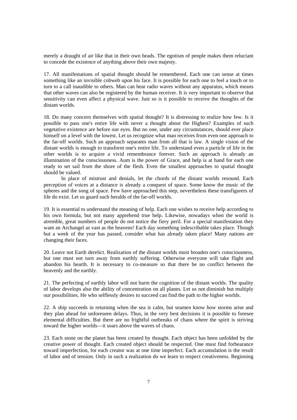merely a draught of air like that in their own heads. The egotism of people makes them reluctant to concede the existence of anything above their own majesty.

17. All manifestations of spatial thought should be remembered. Each one can sense at times something like an invisible cobweb upon his face. It is possible for each one to feel a touch or to turn to a call inaudible to others. Man can hear radio waves without any apparatus, which means that other waves can also be registered by the human receiver. It is very important to observe that sensitivity can even affect a physical wave. Just so is it possible to receive the thoughts of the distant worlds.

18. Do many concern themselves with spatial thought? It is distressing to realize how few. Is it possible to pass one's entire life with never a thought about the Highest? Examples of such vegetative existence are before our eyes. But no one, under any circumstances, should ever place himself on a level with the lowest. Let us recognize what man receives from even one approach to the far-off worlds. Such an approach separates man from all that is law. A single vision of the distant worlds is enough to transform one's entire life. To understand even a particle of life in the other worlds is to acquire a vivid remembrance forever. Such an approach is already an illumination of the consciousness. Aum is the power of Grace, and help is at hand for each one ready to set sail from the shore of the flesh. Even the smallest approaches to spatial thought should be valued.

 In place of mistrust and denials, let the chords of the distant worlds resound. Each perception of voices at a distance is already a conquest of space. Some know the music of the spheres and the song of space. Few have approached this step, nevertheless these transfigurers of life do exist. Let us guard such heralds of the far-off worlds.

19. It is essential to understand the meaning of help. Each one wishes to receive help according to his own formula, but not many apprehend true help. Likewise, nowadays when the world is atremble, great numbers of people do not notice the fiery peril. For a special manifestation they want an Archangel as vast as the heavens! Each day something indescribable takes place. Though but a week of the year has passed, consider what has already taken place! Many nations are changing their faces.

20. Leave not Earth derelict. Realization of the distant worlds must broaden one's consciousness, but one must not turn away from earthly suffering. Otherwise everyone will take flight and abandon his hearth. It is necessary to co-measure so that there be no conflict between the heavenly and the earthly.

21. The perfecting of earthly labor will not harm the cognition of the distant worlds. The quality of labor develops also the ability of concentration on all planes. Let us not diminish but multiply our possibilities. He who selflessly desires to succeed can find the path to the higher worlds.

22. A ship succeeds in returning when the sea is calm, but seamen know how storms arise and they plan ahead for unforeseen delays. Thus, in the very best decisions it is possible to foresee elemental difficulties. But there are no frightful outbreaks of chaos where the spirit is striving toward the higher worlds—it soars above the waves of chaos.

23. Each stone on the planet has been created by thought. Each object has been unfolded by the creative power of thought. Each created object should be respected. One must find forbearance toward imperfection, for each creator was at one time imperfect. Each accumulation is the result of labor and of tension. Only in such a realization do we learn to respect creativeness. Beginning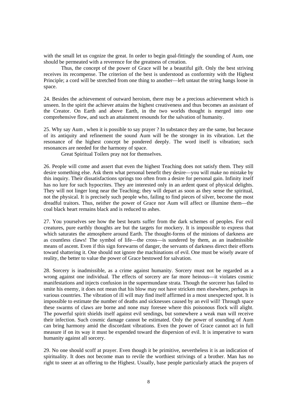with the small let us cognize the great. In order to begin goal-fittingly the sounding of Aum, one should be permeated with a reverence for the greatness of creation.

 Thus, the concept of the power of Grace will be a beautiful gift. Only the best striving receives its recompense. The criterion of the best is understood as conformity with the Highest Principle; a cord will be stretched from one thing to another—left untaut the string hangs loose in space.

24. Besides the achievement of outward heroism, there may be a precious achievement which is unseen. In the spirit the achiever attains the highest creativeness and thus becomes an assistant of the Creator. On Earth and above Earth, in the two worlds thought is merged into one comprehensive flow, and such an attainment resounds for the salvation of humanity.

25. Why say Aum , when it is possible to say prayer ? In substance they are the same, but because of its antiquity and refinement the sound Aum will be the stronger in its vibration. Let the resonance of the highest concept be pondered deeply. The word itself is vibration; such resonances are needed for the harmony of space.

Great Spiritual Toilers pray not for themselves.

26. People will come and assert that even the highest Teaching does not satisfy them. They still desire something else. Ask them what personal benefit they desire—you will make no mistake by this inquiry. Their dissatisfactions springs too often from a desire for personal gain. Infinity itself has no lure for such hypocrites. They are interested only in an ardent quest of physical delights. They will not linger long near the Teaching; they will depart as soon as they sense the spiritual, not the physical. It is precisely such people who, failing to find pieces of silver, become the most dreadful traitors. Thus, neither the power of Grace nor Aum will affect or illumine them—the coal black heart remains black and is reduced to ashes.

27. You yourselves see how the best hearts suffer from the dark schemes of peoples. For evil creatures, pure earthly thoughts are but the targets for mockery. It is impossible to express that which saturates the atmosphere around Earth. The thought-forms of the minions of darkness are as countless claws! The symbol of life—the cross—is sundered by them, as an inadmissible means of ascent. Even if this sign forewarns of danger, the servants of darkness direct their efforts toward shattering it. One should not ignore the machinations of evil. One must be wisely aware of reality, the better to value the power of Grace bestowed for salvation.

28. Sorcery is inadmissible, as a crime against humanity. Sorcery must not be regarded as a wrong against one individual. The effects of sorcery are far more heinous—it violates cosmic manifestations and injects confusion in the supermundane strata. Though the sorcerer has failed to smite his enemy, it does not mean that his blow may not have stricken men elsewhere, perhaps in various countries. The vibration of ill will may find itself affirmed in a most unexpected spot. It is impossible to estimate the number of deaths and sicknesses caused by an evil will! Through space these swarms of claws are borne and none may foresee where this poisonous flock will alight. The powerful spirit shields itself against evil sendings, but somewhere a weak man will receive their infection. Such cosmic damage cannot be estimated. Only the power of sounding of Aum can bring harmony amid the discordant vibrations. Even the power of Grace cannot act in full measure if on its way it must be expended toward the dispersion of evil. It is imperative to warn humanity against all sorcery.

29. No one should scoff at prayer. Even though it be primitive, nevertheless it is an indication of spirituality. It does not become man to revile the worthiest strivings of a brother. Man has no right to sneer at an offering to the Highest. Usually, base people particularly attack the prayers of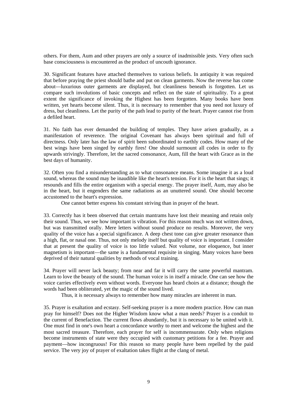others. For them, Aum and other prayers are only a source of inadmissible jests. Very often such base consciousness is encountered as the product of uncouth ignorance.

30. Significant features have attached themselves to various beliefs. In antiquity it was required that before praying the priest should bathe and put on clean garments. Now the reverse has come about—luxurious outer garments are displayed, but cleanliness beneath is forgotten. Let us compare such involutions of basic concepts and reflect on the state of spirituality. To a great extent the significance of invoking the Highest has been forgotten. Many books have been written, yet hearts become silent. Thus, it is necessary to remember that you need not luxury of dress, but cleanliness. Let the purity of the path lead to purity of the heart. Prayer cannot rise from a defiled heart.

31. No faith has ever demanded the building of temples. They have arisen gradually, as a manifestation of reverence. The original Covenant has always been spiritual and full of directness. Only later has the law of spirit been subordinated to earthly codes. How many of the best wings have been singed by earthly fires! One should surmount all codes in order to fly upwards strivingly. Therefore, let the sacred consonance, Aum, fill the heart with Grace as in the best days of humanity.

32. Often you find a misunderstanding as to what consonance means. Some imagine it as a loud sound, whereas the sound may be inaudible like the heart's tension. For it is the heart that sings; it resounds and fills the entire organism with a special energy. The prayer itself, Aum, may also be in the heart, but it engenders the same radiations as an unuttered sound. One should become accustomed to the heart's expression.

One cannot better express his constant striving than in prayer of the heart.

33. Correctly has it been observed that certain mantrams have lost their meaning and retain only their sound. Thus, we see how important is vibration. For this reason much was not written down, but was transmitted orally. Mere letters without sound produce no results. Moreover, the very quality of the voice has a special significance. A deep chest tone can give greater resonance than a high, flat, or nasal one. Thus, not only melody itself but quality of voice is important. I consider that at present the quality of voice is too little valued. Not volume, nor eloquence, but inner magnetism is important—the same is a fundamental requisite in singing. Many voices have been deprived of their natural qualities by methods of vocal training.

34. Prayer will never lack beauty; from near and far it will carry the same powerful mantram. Learn to love the beauty of the sound. The human voice is in itself a miracle. One can see how the voice carries effectively even without words. Everyone has heard choirs at a distance; though the words had been obliterated, yet the magic of the sound lived.

Thus, it is necessary always to remember how many miracles are inherent in man.

35. Prayer is exaltation and ecstasy. Self-seeking prayer is a more modern practice. How can man pray for himself? Does not the Higher Wisdom know what a man needs? Prayer is a conduit to the current of Benefaction. The current flows abundantly, but it is necessary to be united with it. One must find in one's own heart a concordance worthy to meet and welcome the highest and the most sacred treasure. Therefore, each prayer for self is incommensurate. Only when religions become instruments of state were they occupied with customary petitions for a fee. Prayer and payment—how incongruous! For this reason so many people have been repelled by the paid service. The very joy of prayer of exaltation takes flight at the clang of metal.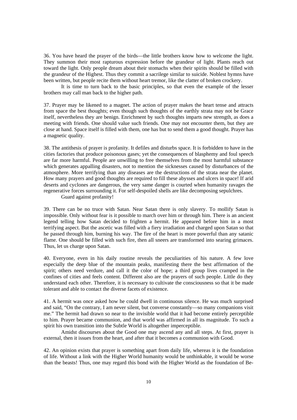36. You have heard the prayer of the birds—the little brothers know how to welcome the light. They summon their most rapturous expression before the grandeur of light. Plants reach out toward the light. Only people dream about their stomachs when their spirits should be filled with the grandeur of the Highest. Thus they commit a sacrilege similar to suicide. Noblest hymns have been written, but people recite them without heart tremor, like the clatter of broken crockery.

 It is time to turn back to the basic principles, so that even the example of the lesser brothers may call man back to the higher path.

37. Prayer may be likened to a magnet. The action of prayer makes the heart tense and attracts from space the best thoughts; even though such thoughts of the earthly strata may not be Grace itself, nevertheless they are benign. Enrichment by such thoughts imparts new strength, as does a meeting with friends. One should value such friends. One may not encounter them, but they are close at hand. Space itself is filled with them, one has but to send them a good thought. Prayer has a magnetic quality.

38. The antithesis of prayer is profanity. It defiles and disturbs space. It is forbidden to have in the cities factories that produce poisonous gases; yet the consequences of blasphemy and foul speech are far more harmful. People are unwilling to free themselves from the most harmful substance which generates appalling disasters, not to mention the sicknesses caused by disturbances of the atmosphere. More terrifying than any diseases are the destructions of the strata near the planet. How many prayers and good thoughts are required to fill these abysses and ulcers in space! If arid deserts and cyclones are dangerous, the very same danger is courted when humanity ravages the regenerative forces surrounding it. For self-despoiled shells are like decomposing sepulchres.

Guard against profanity!

39. There can be no truce with Satan. Near Satan there is only slavery. To mollify Satan is impossible. Only without fear is it possible to march over him or through him. There is an ancient legend telling how Satan decided to frighten a hermit. He appeared before him in a most terrifying aspect. But the ascetic was filled with a fiery irradiation and charged upon Satan so that he passed through him, burning his way. The fire of the heart is more powerful than any satanic flame. One should be filled with such fire, then all sneers are transformed into searing grimaces. Thus, let us charge upon Satan.

40. Everyone, even in his daily routine reveals the peculiarities of his nature. A few love especially the deep blue of the mountain peaks, manifesting there the best affirmation of the spirit; others need verdure, and call it the color of hope; a third group lives cramped in the confines of cities and feels content. Different also are the prayers of such people. Little do they understand each other. Therefore, it is necessary to cultivate the consciousness so that it be made tolerant and able to contact the diverse facets of existence.

41. A hermit was once asked how he could dwell in continuous silence. He was much surprised and said, "On the contrary, I am never silent, but converse constantly—so many companions visit me." The hermit had drawn so near to the invisible world that it had become entirely perceptible to him. Prayer became communion, and that world was affirmed in all its magnitude. To such a spirit his own transition into the Subtle World is altogether imperceptible.

 Amidst discourses about the Good one may ascend any and all steps. At first, prayer is external, then it issues from the heart, and after that it becomes a communion with Good.

42. An opinion exists that prayer is something apart from daily life, whereas it is the foundation of life. Without a link with the Higher World humanity would be unthinkable, it would be worse than the beasts! Thus, one may regard this bond with the Higher World as the foundation of Be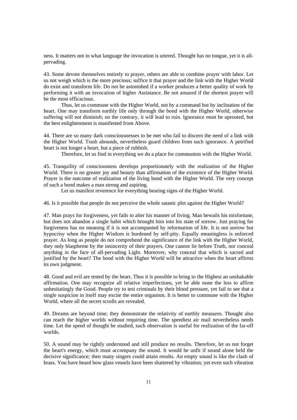ness. It matters not in what language the invocation is uttered. Thought has no tongue, yet it is allpervading.

43. Some devote themselves entirely to prayer, others are able to combine prayer with labor. Let us not weigh which is the more precious; suffice it that prayer and the link with the Higher World do exist and transform life. Do not be astonished if a worker produces a better quality of work by performing it with an invocation of higher Assistance. Be not amazed if the shortest prayer will be the most efficacious.

 Thus, let us commune with the Higher World, not by a command but by inclination of the heart. One may transform earthly life only through the bond with the Higher World, otherwise suffering will not diminish; on the contrary, it will lead to ruin. Ignorance must be uprooted, but the best enlightenment is manifested from Above.

44. There are so many dark consciousnesses to be met who fail to discern the need of a link with the Higher World. Trash abounds, nevertheless guard children from such ignorance. A petrified heart is not longer a heart, but a piece of rubbish.

Therefore, let us find in everything we do a place for communion with the Higher World.

45. Tranquility of consciousness develops proportionately with the realization of the Higher World. There is no greater joy and beauty than affirmation of the existence of the Higher World. Prayer is the outcome of realization of the living bond with the Higher World. The very concept of such a bond makes a man strong and aspiring.

Let us manifest reverence for everything bearing signs of the Higher World.

46. Is it possible that people do not perceive the whole satanic plot against the Higher World?

47. Man prays for forgiveness, yet fails to alter his manner of living. Man bewails his misfortune, but does not abandon a single habit which brought him into his state of sorrow. Just praying for forgiveness has no meaning if it is not accompanied by reformation of life. It is not sorrow but hypocrisy when the Higher Wisdom is burdened by self-pity. Equally meaningless is enforced prayer. As long as people do not comprehend the significance of the link with the Higher World, they only blaspheme by the insincerity of their prayers. One cannot lie before Truth, nor conceal anything in the face of all-pervading Light. Moreover, why conceal that which is sacred and justified by the heart? The bond with the Higher World will be attractive when the heart affirms its own judgment.

48. Good and evil are tested by the heart. Thus it is possible to bring to the Highest an unshakable affirmation. One may recognize all relative imperfections, yet be able none the less to affirm unhesitatingly the Good. People try to test criminals by their blood pressure, yet fail to see that a single suspicion in itself may excite the entire organism. It is better to commune with the Higher World, where all the secret scrolls are revealed.

49. Dreams are beyond time; they demonstrate the relativity of earthly measures. Thought also can reach the higher worlds without requiring time. The speediest air mail nevertheless needs time. Let the speed of thought be studied, such observation is useful for realization of the far-off worlds.

50. A sound may be rightly understood and still produce no results. Therefore, let us not forget the heart's energy, which must accompany the sound. It would be unfit if sound alone held the decisive significance; then many singers could attain results. An empty sound is like the clash of brass. You have heard how glass vessels have been shattered by vibration; yet even such vibration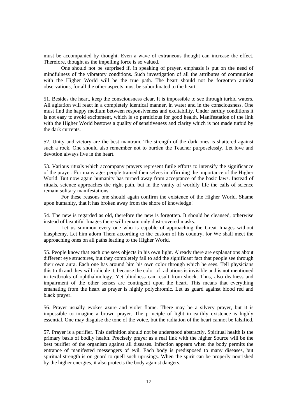must be accompanied by thought. Even a wave of extraneous thought can increase the effect. Therefore, thought as the impelling force is so valued.

 One should not be surprised if, in speaking of prayer, emphasis is put on the need of mindfulness of the vibratory conditions. Such investigation of all the attributes of communion with the Higher World will be the true path. The heart should not be forgotten amidst observations, for all the other aspects must be subordinated to the heart.

51. Besides the heart, keep the consciousness clear. It is impossible to see through turbid waters. All agitation will react in a completely identical manner, in water and in the consciousness. One must find the happy medium between responsiveness and excitability. Under earthly conditions it is not easy to avoid excitement, which is so pernicious for good health. Manifestation of the link with the Higher World bestows a quality of sensitiveness and clarity which is not made turbid by the dark currents.

52. Unity and victory are the best mantram. The strength of the dark ones is shattered against such a rock. One should also remember not to burden the Teacher purposelessly. Let love and devotion always live in the heart.

53. Various rituals which accompany prayers represent futile efforts to intensify the significance of the prayer. For many ages people trained themselves in affirming the importance of the Higher World. But now again humanity has turned away from acceptance of the basic laws. Instead of rituals, science approaches the right path, but in the vanity of worldly life the calls of science remain solitary manifestations.

 For these reasons one should again confirm the existence of the Higher World. Shame upon humanity, that it has broken away from the shore of knowledge!

54. The new is regarded as old, therefore the new is forgotten. It should be cleansed, otherwise instead of beautiful Images there will remain only dust-covered masks.

 Let us summon every one who is capable of approaching the Great Images without blasphemy. Let him adorn Them according to the custom of his country, for We shall meet the approaching ones on all paths leading to the Higher World.

55. People know that each one sees objects in his own light. Already there are explanations about different eye structures, but they completely fail to add the significant fact that people see through their own aura. Each one has around him his own color through which he sees. Tell physicians this truth and they will ridicule it, because the color of radiations is invisible and is not mentioned in textbooks of ophthalmology. Yet blindness can result from shock. Thus, also deafness and impairment of the other senses are contingent upon the heart. This means that everything emanating from the heart as prayer is highly polychromic. Let us guard against blood red and black prayer.

56. Prayer usually evokes azure and violet flame. There may be a silvery prayer, but it is impossible to imagine a brown prayer. The principle of light in earthly existence is highly essential. One may disguise the tone of the voice, but the radiation of the heart cannot be falsified.

57. Prayer is a purifier. This definition should not be understood abstractly. Spiritual health is the primary basis of bodily health. Precisely prayer as a real link with the higher Source will be the best purifier of the organism against all diseases. Infection appears when the body permits the entrance of manifested messengers of evil. Each body is predisposed to many diseases, but spiritual strength is on guard to quell such uprisings. When the spirit can be properly nourished by the higher energies, it also protects the body against dangers.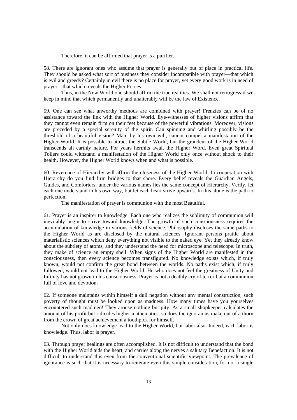Therefore, it can be affirmed that prayer is a purifier.

58. There are ignorant ones who assume that prayer is generally out of place in practical life. They should be asked what sort of business they consider incompatible with prayer—that which is evil and greedy? Certainly in evil there is no place for prayer, yet every good work is in need of prayer—that which reveals the Higher Forces.

 Thus, in the New World one should affirm the true realities. We shall not retrogress if we keep in mind that which permanently and unalterably will be the law of Existence.

59. One can see what unworthy methods are combined with prayer! Frenzies can be of no assistance toward the link with the Higher World. Eye-witnesses of higher visions affirm that they cannot even remain firm on their feet because of the powerful vibrations. Moreover, visions are preceded by a special serenity of the spirit. Can spinning and whirling possibly be the threshold of a beautiful vision? Man, by his own will, cannot compel a manifestation of the Higher World. It is possible to attract the Subtle World, but the grandeur of the Higher World transcends all earthly nature. For years hermits await the Higher Word. Even great Spiritual Toilers could withstand a manifestation of the Higher World only once without shock to their health. However, the Higher World knows when and what is possible.

60. Reverence of Hierarchy will affirm the closeness of the Higher World. In cooperation with Hierarchy do you find firm bridges to that shore. Every belief reveals the Guardian Angels, Guides, and Comforters; under the various names lies the same concept of Hierarchy. Verily, let each one understand in his own way, but let each heart strive upwards. In this alone is the path to perfection.

The manifestation of prayer is communion with the most Beautiful.

61. Prayer is an inspirer to knowledge. Each one who realizes the sublimity of communion will inevitably begin to strive toward knowledge. The growth of such consciousness requires the accumulation of knowledge in various fields of science. Philosophy discloses the same paths to the Higher World as are disclosed by the natural sciences. Ignorant persons prattle about materialistic sciences which deny everything not visible to the naked eye. Yet they already know about the subtlety of atoms, and they understand the need for microscope and telescope. In truth, they make of science an empty shell. When signs of the Higher World are manifested in the consciousness, then every science becomes transfigured. No knowledge exists which, if truly known, would not confirm the great bond between the worlds. No paths exist which, if truly followed, would not lead to the Higher World. He who does not feel the greatness of Unity and Infinity has not grown in his consciousness. Prayer is not a deathly cry of terror but a communion full of love and devotion.

62. If someone maintains within himself a dull negation without any mental construction, such poverty of thought must be looked upon as madness. How many times have you yourselves encountered such madmen! They arouse nothing but pity. As a small shopkeeper calculates the amount of his profit but ridicules higher mathematics, so does the ignoramus make out of a thorn from the crown of great achievement a toothpick for himself.

 Not only does knowledge lead to the Higher World, but labor also. Indeed, each labor is knowledge. Thus, labor is prayer.

63. Through prayer healings are often accomplished. It is not difficult to understand that the bond with the Higher World aids the heart, and carries along the nerves a salutary Benefaction. It is not difficult to understand this even from the conventional scientific viewpoint. The prevalence of ignorance is such that it is necessary to reiterate even this simple consideration, for not a single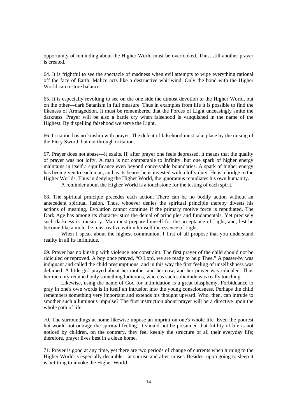opportunity of reminding about the Higher World must be overlooked. Thus, still another prayer is created.

64. It is frightful to see the spectacle of madness when evil attempts to wipe everything rational off the face of Earth. Malice acts like a destructive whirlwind. Only the bond with the Higher World can restore balance.

65. It is especially revolting to see on the one side the utmost devotion to the Higher World, but on the other—dark Satanism in full measure. Thus in examples from life it is possible to find the likeness of Armageddon. It must be remembered that the Forces of Light unceasingly smite the darkness. Prayer will be also a battle cry when falsehood is vanquished in the name of the Highest. By dispelling falsehood we serve the Light.

66. Irritation has no kinship with prayer. The defeat of falsehood must take place by the raising of the Fiery Sword, but not through irritation.

67. Prayer does not abase—it exalts. If, after prayer one feels depressed, it means that the quality of prayer was not lofty. A man is not comparable to Infinity, but one spark of higher energy maintains in itself a significance even beyond conceivable boundaries. A spark of higher energy has been given to each man, and as its bearer he is invested with a lofty duty. He is a bridge to the Higher Worlds. Thus in denying the Higher World, the ignoramus repudiates his own humanity.

A reminder about the Higher World is a touchstone for the testing of each spirit.

68. The spiritual principle precedes each action. There can be no bodily action without an antecedent spiritual fusion. Thus, whoever denies the spiritual principle thereby divests his actions of meaning. Evolution cannot continue if the primary motive force is repudiated. The Dark Age has among its characteristics the denial of principles and fundamentals. Yet precisely such darkness is transitory. Man must prepare himself for the acceptance of Light, and, lest he become like a mole, he must realize within himself the essence of Light.

 When I speak about the highest communion, I first of all propose that you understand reality in all its infinitude.

69. Prayer has no kinship with violence nor constraint. The first prayer of the child should not be ridiculed or reproved. A boy once prayed, "O Lord, we are ready to help Thee." A passer-by was indignant and called the child presumptuous, and in this way the first feeling of unselfishness was defamed. A little girl prayed about her mother and her cow, and her prayer was ridiculed. Thus her memory retained only something ludicrous, whereas such solicitude was really touching.

 Likewise, using the name of God for intimidation is a great blasphemy. Forbiddance to pray in one's own words is in itself an intrusion into the young consciousness. Perhaps the child remembers something very important and extends his thought upward. Who, then, can intrude to smother such a luminous impulse? The first instruction about prayer will be a directive upon the whole path of life.

70. The surroundings at home likewise impose an imprint on one's whole life. Even the poorest hut would not outrage the spiritual feeling. It should not be presumed that futility of life is not noticed by children, on the contrary, they feel keenly the structure of all their everyday life; therefore, prayer lives best in a clean home.

71. Prayer is good at any time, yet there are two periods of change of currents when turning to the Higher World is especially desirable—at sunrise and after sunset. Besides, upon going to sleep it is befitting to invoke the Higher World.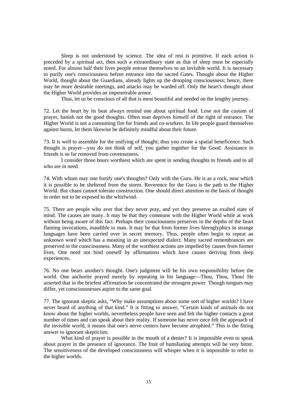Sleep is not understood by science. The idea of rest is primitive. If each action is preceded by a spiritual act, then such a extraordinary state as that of sleep must be especially noted. For almost half their lives people entrust themselves to an invisible world. It is necessary to purify one's consciousness before entrance into the sacred Gates. Thought about the Higher World, thought about the Guardians, already lights up the drooping consciousness; hence, there may be more desirable meetings, and attacks may be warded off. Only the heart's thought about the Higher World provides an impenetrable armor.

Thus, let us be conscious of all that is most beautiful and needed on the lengthy journey.

72. Let the heart by its beat always remind one about spiritual food. Lose not the custom of prayer, banish not the good thoughts. Often man deprives himself of the right of entrance. The Higher World is not a consuming fire for friends and co-workers. In life people guard themselves against burns, let them likewise be definitely mindful about their future.

73. It is well to assemble for the unifying of thought; thus you create a spatial beneficence. Such thought is prayer—you do not think of self, you gather together for the Good. Assistance to friends is so far removed from covetousness.

 I consider those hours worthiest which are spent in sending thoughts to friends and to all who are in need.

74. With whom may one fortify one's thoughts? Only with the Guru. He is as a rock, near which it is possible to be sheltered from the storm. Reverence for the Guru is the path to the Higher World. But chaos cannot tolerate construction. One should direct attention to the basis of thought in order not to be exposed to the whirlwind.

75. There are people who aver that they never pray, and yet they preserve an exalted state of mind. The causes are many. It may be that they commune with the Higher World while at work without being aware of this fact. Perhaps their consciousness preserves in the depths of the heart flaming invocations, inaudible to man. It may be that from former lives hieroglyphics in strange languages have been carried over in secret memory. Thus, people often begin to repeat an unknown word which has a meaning in an unexpected dialect. Many sacred remembrances are preserved in the consciousness. Many of the worthiest actions are impelled by causes from former lives. One need not bind oneself by affirmations which have causes deriving from deep experiences.

76. No one bears another's thought. One's judgment will be his own responsibility before the world. One anchorite prayed merely by repeating in his language—Thou, Thou, Thou! He asserted that in the briefest affirmation he concentrated the strongest power. Though tongues may differ, yet consciousnesses aspire to the same goal.

77. The ignorant skeptic asks, "Why make assumptions about some sort of higher worlds? I have never heard of anything of that kind." It is fitting to answer, "Certain kinds of animals do not know about the higher worlds, nevertheless people have seen and felt the higher contacts a great number of times and can speak about their reality. If someone has never once felt the approach of the invisible world, it means that one's nerve centers have become atrophied." This is the fitting answer to ignorant skepticism.

 What kind of prayer is possible in the mouth of a denier? It is impossible even to speak about prayer in the presence of ignorance. The fruit of humiliating attempts will be very bitter. The sensitiveness of the developed consciousness will whisper when it is impossible to refer to the higher worlds.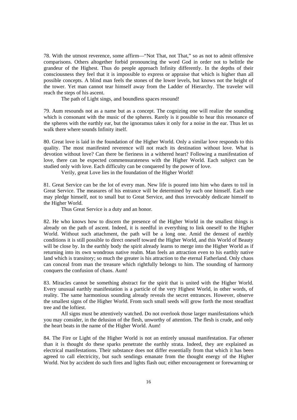78. With the utmost reverence, some affirm—"Not That, not That," so as not to admit offensive comparisons. Others altogether forbid pronouncing the word God in order not to belittle the grandeur of the Highest. Thus do people approach Infinity differently. In the depths of their consciousness they feel that it is impossible to express or appraise that which is higher than all possible concepts. A blind man feels the stones of the lower levels, but knows not the height of the tower. Yet man cannot tear himself away from the Ladder of Hierarchy. The traveler will reach the steps of his ascent.

The path of Light sings, and boundless spaces resound!

79. Aum resounds not as a name but as a concept. The cognizing one will realize the sounding which is consonant with the music of the spheres. Rarely is it possible to hear this resonance of the spheres with the earthly ear, but the ignoramus takes it only for a noise in the ear. Thus let us walk there where sounds Infinity itself.

80. Great love is laid in the foundation of the Higher World. Only a similar love responds to this quality. The most manifested reverence will not reach its destination without love. What is devotion without love? Can there be fieriness in a withered heart? Following a manifestation of love, there can be expected commensurateness with the Higher World. Each subject can be studied only with love. Each difficulty can be conquered by the power of love.

Verily, great Love lies in the foundation of the Higher World!

81. Great Service can be the lot of every man. New life is poured into him who dares to toil in Great Service. The measures of his entrance will be determined by each one himself. Each one may pledge himself, not to small but to Great Service, and thus irrevocably dedicate himself to the Higher World.

Thus Great Service is a duty and an honor.

82. He who knows how to discern the presence of the Higher World in the smallest things is already on the path of ascent. Indeed, it is needful in everything to link oneself to the Higher World. Without such attachment, the path will be a long one. Amid the densest of earthly conditions it is still possible to direct oneself toward the Higher World, and this World of Beauty will be close by. In the earthly body the spirit already learns to merge into the Higher World as if returning into its own wondrous native realm. Man feels an attraction even to his earthly native land which is transitory; so much the greater is his attraction to the eternal Fatherland. Only chaos can conceal from man the treasure which rightfully belongs to him. The sounding of harmony conquers the confusion of chaos. Aum!

83. Miracles cannot be something abstract for the spirit that is united with the Higher World. Every unusual earthly manifestation is a particle of the very Highest World, in other words, of reality. The same harmonious sounding already reveals the secret entrances. However, observe the smallest signs of the Higher World. From such small seeds will grow forth the most steadfast tree and the loftiest.

 All signs must be attentively watched. Do not overlook those larger manifestations which you may consider, in the delusion of the flesh, unworthy of attention. The flesh is crude, and only the heart beats in the name of the Higher World. Aum!

84. The Fire or Light of the Higher World is not an entirely unusual manifestation. Far oftener than it is thought do these sparks penetrate the earthly strata. Indeed, they are explained as electrical manifestations. Their substance does not differ essentially from that which it has been agreed to call electricity, but such sendings emanate from the thought energy of the Higher World. Not by accident do such fires and lights flash out; either encouragement or forewarning or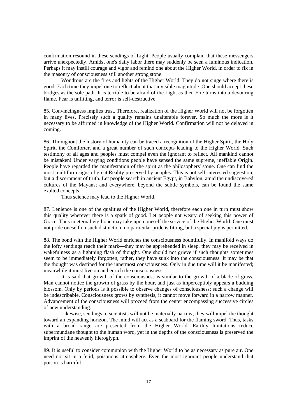confirmation resound in these sendings of Light. People usually complain that these messengers arrive unexpectedly. Amidst one's daily labor there may suddenly be seen a luminous indication. Perhaps it may instill courage and vigor and remind one about the Higher World, in order to fix in the masonry of consciousness still another strong stone.

 Wondrous are the fires and lights of the Higher World. They do not singe where there is good. Each time they impel one to reflect about that invisible magnitude. One should accept these bridges as the sole path. It is terrible to be afraid of the Light as then Fire turns into a devouring flame. Fear is unfitting, and terror is self-destructive.

85. Convincingness implies trust. Therefore, realization of the Higher World will not be forgotten in many lives. Precisely such a quality remains unalterable forever. So much the more is it necessary to be affirmed in knowledge of the Higher World. Confirmation will not be delayed in coming.

86. Throughout the history of humanity can be traced a recognition of the Higher Spirit, the Holy Spirit, the Comforter, and a great number of such concepts leading to the Higher World. Such testimony of all ages and peoples must compel even the ignorant to reflect. All mankind cannot be mistaken! Under varying conditions people have sensed the same supreme, ineffable Origin. People have regarded the manifestation of the spirit as the philosophers' stone. One can find the most multiform signs of great Reality preserved by peoples. This is not self-interested suggestion, but a discernment of truth. Let people search in ancient Egypt, in Babylon, amid the undiscovered cultures of the Mayans; and everywhere, beyond the subtle symbols, can be found the same exalted concepts.

Thus science may lead to the Higher World.

87. Lenience is one of the qualities of the Higher World, therefore each one in turn must show this quality wherever there is a spark of good. Let people not weary of seeking this power of Grace. Thus in eternal vigil one may take upon oneself the service of the Higher World. One must not pride oneself on such distinction; no particular pride is fitting, but a special joy is permitted.

88. The bond with the Higher World enriches the consciousness bountifully. In manifold ways do the lofty sendings reach their mark—they may be apprehended in sleep, they may be received in wakefulness as a lightning flash of thought. One should not grieve if such thoughts sometimes seem to be immediately forgotten, rather, they have sunk into the consciousness. It may be that the thought was destined for the innermost consciousness. Only in due time will it be manifested; meanwhile it must live on and enrich the consciousness.

 It is said that growth of the consciousness is similar to the growth of a blade of grass. Man cannot notice the growth of grass by the hour, and just as imperceptibly appears a budding blossom. Only by periods is it possible to observe changes of consciousness; such a change will be indescribable. Consciousness grows by synthesis, it cannot move forward in a narrow manner. Advancement of the consciousness will proceed from the center encompassing successive circles of new understanding.

 Likewise, sendings to scientists will not be materially narrow; they will impel the thought toward an expanding horizon. The mind will act as a scabbard for the flaming sword. Thus, tasks with a broad range are presented from the Higher World. Earthly limitations reduce supermundane thought to the human word, yet in the depths of the consciousness is preserved the imprint of the heavenly hieroglyph.

89. It is useful to consider communion with the Higher World to be as necessary as pure air. One need not sit in a fetid, poisonous atmosphere. Even the most ignorant people understand that poison is harmful.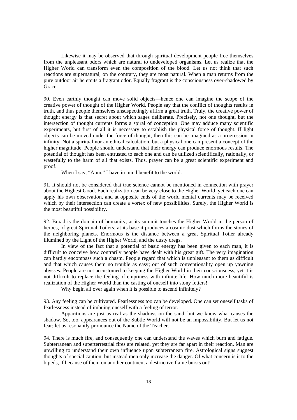Likewise it may be observed that through spiritual development people free themselves from the unpleasant odors which are natural to undeveloped organisms. Let us realize that the Higher World can transform even the composition of the blood. Let us not think that such reactions are supernatural, on the contrary, they are most natural. When a man returns from the pure outdoor air he emits a fragrant odor. Equally fragrant is the consciousness over-shadowed by Grace.

90. Even earthly thought can move solid objects—hence one can imagine the scope of the creative power of thought of the Higher World. People say that the conflict of thoughts results in truth, and thus people themselves unsuspectingly affirm a great truth. Truly, the creative power of thought energy is that secret about which sages deliberate. Precisely, not one thought, but the intersection of thought currents forms a spiral of conception. One may adduce many scientific experiments, but first of all it is necessary to establish the physical force of thought. If light objects can be moved under the force of thought, then this can be imagined as a progression in infinity. Not a spiritual nor an ethical calculation, but a physical one can present a concept of the higher magnitude. People should understand that their energy can produce enormous results. The potential of thought has been entrusted to each one and can be utilized scientifically, rationally, or wastefully to the harm of all that exists. Thus, prayer can be a great scientific experiment and proof.

When I say, "Aum," I have in mind benefit to the world.

91. It should not be considered that true science cannot be mentioned in connection with prayer about the Highest Good. Each realization can be very close to the Higher World, yet each one can apply his own observation, and at opposite ends of the world mental currents may be received which by their intersection can create a vortex of new possibilities. Surely, the Higher World is the most beautiful possibility.

92. Broad is the domain of humanity; at its summit touches the Higher World in the person of heroes, of great Spiritual Toilers; at its base it produces a cosmic dust which forms the stones of the neighboring planets. Enormous is the distance between a great Spiritual Toiler already illumined by the Light of the Higher World, and the dusty dregs.

 In view of the fact that a potential of basic energy has been given to each man, it is difficult to conceive how contrarily people have dealt with his great gift. The very imagination can hardly encompass such a chasm. People regard that which is unpleasant to them as difficult and that which causes them no trouble as easy; out of such conventionality open up yawning abysses. People are not accustomed to keeping the Higher World in their consciousness, yet it is not difficult to replace the feeling of emptiness with infinite life. How much more beautiful is realization of the Higher World than the casting of oneself into stony fetters!

Why begin all over again when it is possible to ascend infinitely?

93. Any feeling can be cultivated. Fearlessness too can be developed. One can set oneself tasks of fearlessness instead of imbuing oneself with a feeling of terror.

 Apparitions are just as real as the shadows on the sand, but we know what causes the shadow. So, too, appearances out of the Subtle World will not be an impossibility. But let us not fear; let us resonantly pronounce the Name of the Teacher.

94. There is much fire, and consequently one can understand the waves which burn and fatigue. Subterranean and superterrestrial fires are related, yet they are far apart in their reaction. Man are unwilling to understand their own influence upon subterranean fire. Astrological signs suggest thoughts of special caution, but instead men only increase the danger. Of what concern is it to the bipeds, if because of them on another continent a destructive flame bursts out!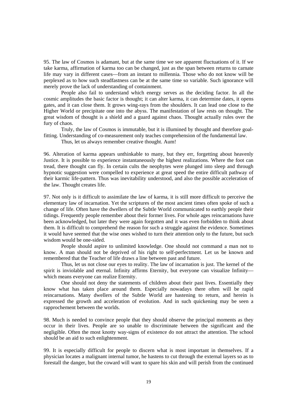95. The law of Cosmos is adamant, but at the same time we see apparent fluctuations of it. If we take karma, affirmation of karma too can be changed, just as the span between returns to carnate life may vary in different cases—from an instant to millennia. Those who do not know will be perplexed as to how such steadfastness can be at the same time so variable. Such ignorance will merely prove the lack of understanding of containment.

 People also fail to understand which energy serves as the deciding factor. In all the cosmic amplitudes the basic factor is thought; it can alter karma, it can determine dates, it opens gates, and it can close them. It grows wing-rays from the shoulders. It can lead one close to the Higher World or precipitate one into the abyss. The manifestation of law rests on thought. The great wisdom of thought is a shield and a guard against chaos. Thought actually rules over the fury of chaos.

 Truly, the law of Cosmos is immutable, but it is illumined by thought and therefore goalfitting. Understanding of co-measurement only teaches comprehension of the fundamental law.

Thus, let us always remember creative thought. Aum!

96. Alteration of karma appears unthinkable to many, but they err, forgetting about heavenly Justice. It is possible to experience instantaneously the highest realizations. Where the foot can tread, there thought can fly. In certain cults the neophytes were plunged into sleep and through hypnotic suggestion were compelled to experience at great speed the entire difficult pathway of their karmic life-pattern. Thus was inevitability understood, and also the possible acceleration of the law. Thought creates life.

97. Not only is it difficult to assimilate the law of karma, it is still more difficult to perceive the elementary law of incarnation. Yet the scriptures of the most ancient times often spoke of such a change of life. Often have the dwellers of the Subtle World communicated to earthly people their tidings. Frequently people remember about their former lives. For whole ages reincarnations have been acknowledged, but later they were again forgotten and it was even forbidden to think about them. It is difficult to comprehend the reason for such a struggle against the evidence. Sometimes it would have seemed that the wise ones wished to turn their attention only to the future, but such wisdom would be one-sided.

 People should aspire to unlimited knowledge. One should not command a man not to know. A man should not be deprived of his right to self-perfectment. Let us be known and remembered that the Teacher of life draws a line between past and future.

 Thus, let us not close our eyes to reality. The law of incarnation is just. The kernel of the spirit is inviolable and eternal. Infinity affirms Eternity, but everyone can visualize Infinity which means everyone can realize Eternity.

 One should not deny the statements of children about their past lives. Essentially they know what has taken place around them. Especially nowadays there often will be rapid reincarnations. Many dwellers of the Subtle World are hastening to return, and herein is expressed the growth and acceleration of evolution. And in such quickening may be seen a rapprochement between the worlds.

98. Much is needed to convince people that they should observe the principal moments as they occur in their lives. People are so unable to discriminate between the significant and the negligible. Often the most knotty way-signs of existence do not attract the attention. The school should be an aid to such enlightenment.

99. It is especially difficult for people to discern what is most important in themselves. If a physician locates a malignant internal tumor, he hastens to cut through the external layers so as to forestall the danger, but the coward will want to spare his skin and will perish from the continued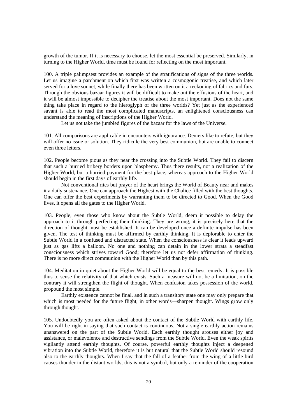growth of the tumor. If it is necessary to choose, let the most essential be preserved. Similarly, in turning to the Higher World, time must be found for reflecting on the most important.

100. A triple palimpsest provides an example of the stratifications of signs of the three worlds. Let us imagine a parchment on which first was written a cosmogonic treatise, and which later served for a love sonnet, while finally there has been written on it a reckoning of fabrics and furs. Through the obvious bazaar figures it will be difficult to make out the effusions of the heart, and it will be almost impossible to decipher the treatise about the most important. Does not the same thing take place in regard to the hieroglyph of the three worlds? Yet just as the experienced savant is able to read the most complicated manuscripts, an enlightened consciousness can understand the meaning of inscriptions of the Higher World.

Let us not take the jumbled figures of the bazaar for the laws of the Universe.

101. All comparisons are applicable in encounters with ignorance. Deniers like to refute, but they will offer no issue or solution. They ridicule the very best communion, but are unable to connect even three letters.

102. People become pious as they near the crossing into the Subtle World. They fail to discern that such a hurried bribery borders upon blasphemy. Thus there results, not a realization of the Higher World, but a hurried payment for the best place, whereas approach to the Higher World should begin in the first days of earthly life.

 Not conventional rites but prayer of the heart brings the World of Beauty near and makes it a daily sustenance. One can approach the Highest with the Chalice filled with the best thoughts. One can offer the best experiments by warranting them to be directed to Good. When the Good lives, it opens all the gates to the Higher World.

103. People, even those who know about the Subtle World, deem it possible to delay the approach to it through perfecting their thinking. They are wrong, it is precisely here that the direction of thought must be established. It can be developed once a definite impulse has been given. The test of thinking must be affirmed by earthly thinking. It is deplorable to enter the Subtle World in a confused and distracted state. When the consciousness is clear it leads upward just as gas lifts a balloon. No one and nothing can detain in the lower strata a steadfast consciousness which strives toward Good; therefore let us not defer affirmation of thinking. There is no more direct communion with the Higher World than by this path.

104. Meditation in quiet about the Higher World will be equal to the best remedy. It is possible thus to sense the relativity of that which exists. Such a measure will not be a limitation, on the contrary it will strengthen the flight of thought. When confusion takes possession of the world, propound the most simple.

 Earthly existence cannot be final, and in such a transitory state one may only prepare that which is most needed for the future flight, in other words—sharpen thought. Wings grow only through thought.

105. Undoubtedly you are often asked about the contact of the Subtle World with earthly life. You will be right in saying that such contact is continuous. Not a single earthly action remains unanswered on the part of the Subtle World. Each earthly thought arouses either joy and assistance, or malevolence and destructive sendings from the Subtle World. Even the weak spirits vigilantly attend earthly thoughts. Of course, powerful earthly thoughts inject a deepened vibration into the Subtle World, therefore it is but natural that the Subtle World should resound also to the earthly thoughts. When I say that the fall of a feather from the wing of a little bird causes thunder in the distant worlds, this is not a symbol, but only a reminder of the cooperation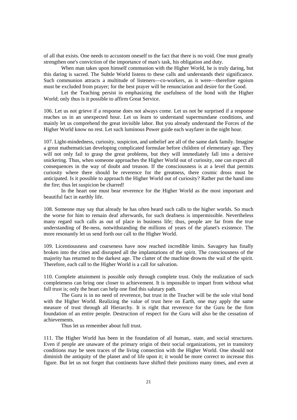of all that exists. One needs to accustom oneself to the fact that there is no void. One must greatly strengthen one's conviction of the importance of man's task, his obligation and duty.

 When man takes upon himself communion with the Higher World, he is truly daring, but this daring is sacred. The Subtle World listens to these calls and understands their significance. Such communion attracts a multitude of listeners—co-workers, as it were—therefore egoism must be excluded from prayer; for the best prayer will be renunciation and desire for the Good.

 Let the Teaching persist in emphasizing the usefulness of the bond with the Higher World; only thus is it possible to affirm Great Service.

106. Let us not grieve if a response does not always come. Let us not be surprised if a response reaches us in an unexpected hour. Let us learn to understand supermundane conditions, and mainly let us comprehend the great invisible labor. But you already understand the Forces of the Higher World know no rest. Let such luminous Power guide each wayfarer in the night hour.

107. Light-mindedness, curiosity, suspicion, and unbelief are all of the same dark family. Imagine a great mathematician developing complicated formulae before children of elementary age. They will not only fail to grasp the great problems, but they will immediately fall into a derisive snickering. Thus, when someone approaches the Higher World out of curiosity, one can expect all consequences in the way of doubt and treason. If the consciousness is at a level that permits curiosity where there should be reverence for the greatness, there cosmic dross must be anticipated. Is it possible to approach the Higher World out of curiosity? Rather put the hand into the fire; thus let suspicion be charred!

 In the heart one must bear reverence for the Higher World as the most important and beautiful fact in earthly life.

108. Someone may say that already he has often heard such calls to the higher worlds. So much the worse for him to remain deaf afterwards, for such deafness is impermissible. Nevertheless many regard such calls as out of place in business life; thus, people are far from the true understanding of Be-ness, notwithstanding the millions of years of the planet's existence. The more resonantly let us send forth our call to the Higher World.

109. Licentiousness and coarseness have now reached incredible limits. Savagery has finally broken into the cities and disrupted all the implantations of the spirit. The consciousness of the majority has returned to the darkest age. The clatter of the machine drowns the wail of the spirit. Therefore, each call to the Higher World is a call for salvation.

110. Complete attainment is possible only through complete trust. Only the realization of such completeness can bring one closer to achievement. It is impossible to impart from without what full trust is; only the heart can help one find this salutary path.

 The Guru is in no need of reverence, but trust in the Teacher will be the sole vital bond with the Higher World. Realizing the value of trust here on Earth, one may apply the same measure of trust through all Hierarchy. It is right that reverence for the Guru be the firm foundation of an entire people. Destruction of respect for the Guru will also be the cessation of achievements.

Thus let us remember about full trust.

111. The Higher World has been in the foundation of all human,. state, and social structures. Even if people are unaware of the primary origin of their social organizations, yet in transitory conditions may be seen traces of the living connection with the Higher World. One should not diminish the antiquity of the planet and of life upon it; it would be more correct to increase this figure. But let us not forget that continents have shifted their positions many times, and even at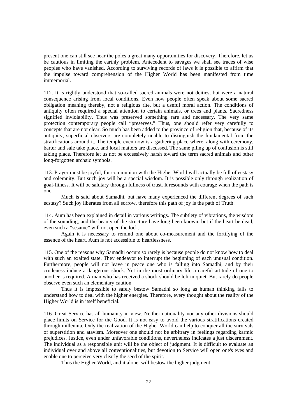present one can still see near the poles a great many opportunities for discovery. Therefore, let us be cautious in limiting the earthly problem. Antecedent to savages we shall see traces of wise peoples who have vanished. According to surviving records of laws it is possible to affirm that the impulse toward comprehension of the Higher World has been manifested from time immemorial.

112. It is rightly understood that so-called sacred animals were not deities, but were a natural consequence arising from local conditions. Even now people often speak about some sacred obligation meaning thereby, not a religious rite, but a useful moral action. The conditions of antiquity often required a special attention to certain animals, or trees and plants. Sacredness signified inviolability. Thus was preserved something rare and necessary. The very same protection contemporary people call "preserves." Thus, one should refer very carefully to concepts that are not clear. So much has been added to the province of religion that, because of its antiquity, superficial observers are completely unable to distinguish the fundamental from the stratifications around it. The temple even now is a gathering place where, along with ceremony, barter and sale take place, and local matters are discussed. The same piling up of confusion is still taking place. Therefore let us not be excessively harsh toward the term sacred animals and other long-forgotten archaic symbols.

113. Prayer must be joyful, for communion with the Higher World will actually be full of ecstasy and solemnity. But such joy will be a special wisdom. It is possible only through realization of goal-fitness. It will be salutary through fullness of trust. It resounds with courage when the path is one.

 Much is said about Samadhi, but have many experienced the different degrees of such ecstasy? Such joy liberates from all sorrow, therefore this path of joy is the path of Truth.

114. Aum has been explained in detail in various writings. The subtlety of vibrations, the wisdom of the sounding, and the beauty of the structure have long been known, but if the heart be dead, even such a "sesame" will not open the lock.

 Again it is necessary to remind one about co-measurement and the fortifying of the essence of the heart. Aum is not accessible to heartlessness.

115. One of the reasons why Samadhi occurs so rarely is because people do not know how to deal with such an exalted state. They endeavor to interrupt the beginning of each unusual condition. Furthermore, people will not leave in peace one who is falling into Samadhi, and by their crudeness induce a dangerous shock. Yet in the most ordinary life a careful attitude of one to another is required. A man who has received a shock should be left in quiet. But rarely do people observe even such an elementary caution.

 Thus it is impossible to safely bestow Samadhi so long as human thinking fails to understand how to deal with the higher energies. Therefore, every thought about the reality of the Higher World is in itself beneficial.

116. Great Service has all humanity in view. Neither nationality nor any other divisions should place limits on Service for the Good. It is not easy to avoid the various stratifications created through millennia. Only the realization of the Higher World can help to conquer all the survivals of superstition and atavism. Moreover one should not be arbitrary in feelings regarding karmic prejudices. Justice, even under unfavorable conditions, nevertheless indicates a just discernment. The individual as a responsible unit will be the object of judgment. It is difficult to evaluate an individual over and above all conventionalities, but devotion to Service will open one's eyes and enable one to perceive very clearly the seed of the spirit.

Thus the Higher World, and it alone, will bestow the higher judgment.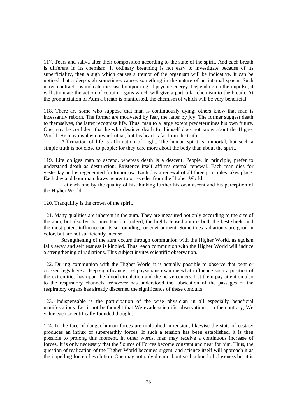117. Tears and saliva alter their composition according to the state of the spirit. And each breath is different in its chemism. If ordinary breathing is not easy to investigate because of its superficiality, then a sigh which causes a tremor of the organism will be indicative. It can be noticed that a deep sigh sometimes causes something in the nature of an internal spasm. Such nerve contractions indicate increased outpouring of psychic energy. Depending on the impulse, it will stimulate the action of certain organs which will give a particular chemism to the breath. At the pronunciation of Aum a breath is manifested, the chemism of which will be very beneficial.

118. There are some who suppose that man is continuously dying; others know that man is incessantly reborn. The former are motivated by fear, the latter by joy. The former suggest death to themselves, the latter recognize life. Thus, man to a large extent predetermines his own future. One may be confident that he who destines death for himself does not know about the Higher World. He may display outward ritual, but his heart is far from the truth.

 Affirmation of life is affirmation of Light. The human spirit is immortal, but such a simple truth is not close to people; for they care more about the body than about the spirit.

119. Life obliges man to ascend, whereas death is a descent. People, in principle, prefer to understand death as destruction. Existence itself affirms eternal renewal. Each man dies for yesterday and is regenerated for tomorrow. Each day a renewal of all three principles takes place. Each day and hour man draws nearer to or recedes from the Higher World.

 Let each one by the quality of his thinking further his own ascent and his perception of the Higher World.

120. Tranquility is the crown of the spirit.

121. Many qualities are inherent in the aura. They are measured not only according to the size of the aura, but also by its inner tension. Indeed, the highly tensed aura is both the best shield and the most potent influence on its surroundings or environment. Sometimes radiation s are good in color, but are not sufficiently intense.

 Strengthening of the aura occurs through communion with the Higher World, as egoism falls away and selflessness is kindled. Thus, each communion with the Higher World will induce a strengthening of radiations. This subject invites scientific observation.

122. During communion with the Higher World it is actually possible to observe that bent or crossed legs have a deep significance. Let physicians examine what influence such a position of the extremities has upon the blood circulation and the nerve centers. Let them pay attention also to the respiratory channels. Whoever has understood the lubrication of the passages of the respiratory organs has already discerned the significance of these conduits.

123. Indispensable is the participation of the wise physician in all especially beneficial manifestations. Let it not be thought that We evade scientific observations; on the contrary, We value each scientifically founded thought.

124. In the face of danger human forces are multiplied in tension, likewise the state of ecstasy produces an influx of superearthly forces. If such a tension has been established, it is then possible to prolong this moment, in other words, man may receive a continuous increase of forces. It is only necessary that the Source of Forces become constant and near for him. Thus, the question of realization of the Higher World becomes urgent, and science itself will approach it as the impelling force of evolution. One may not only dream about such a bond of closeness but it is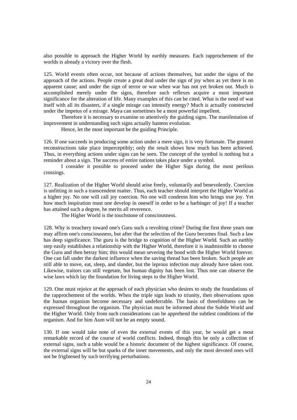also possible to approach the Higher World by earthly measures. Each rapprochement of the worlds is already a victory over the flesh.

125. World events often occur, not because of actions themselves, but under the signs of the approach of the actions. People create a great deal under the sign of joy when as yet there is no apparent cause; and under the sign of terror or war when war has not yet broken out. Much is accomplished merely under the signs, therefore such reflexes acquire a most important significance for the alteration of life. Many examples of this can be cited. What is the need of war itself with all its disasters, if a single mirage can intensify energy? Much is actually constructed under the impetus of a mirage. Maya can sometimes be a most powerful impellent.

 Therefore it is necessary to examine so attentively the guiding signs. The manifestation of improvement in understanding such signs actually hastens evolution.

Hence, let the most important be the guiding Principle.

126. If one succeeds in producing some action under a mere sign, it is very fortunate. The greatest reconstructions take place imperceptibly; only the result shows how much has been achieved. Thus, in everything actions under signs can be seen. The concept of the symbol is nothing but a reminder about a sign. The success of entire nations takes place under a symbol.

 I consider it possible to proceed under the Higher Sign during the most perilous crossings.

127. Realization of the Higher World should arise freely, voluntarily and benevolently. Coercion is unfitting in such a transcendent matter. Thus, each teacher should interpret the Higher World as a higher joy. No one will call joy coercion. No one will condemn him who brings true joy. Yet how much inspiration must one develop in oneself in order to be a harbinger of joy! If a teacher has attained such a degree, he merits all reverence.

The Higher World is the touchstone of consciousness.

128. Why is treachery toward one's Guru such a revolting crime? During the first three years one may affirm one's consciousness, but after that the selection of the Guru becomes final. Such a law has deep significance. The guru is the bridge to cognition of the Higher World. Such an earthly step easily establishes a relationship with the Higher World, therefore it is inadmissible to choose the Guru and then betray him; this would mean severing the bond with the Higher World forever. One can fall under the darkest influence when the saving thread has been broken. Such people are still able to move, eat, sleep, and slander, but the leprous infection may already have taken root. Likewise, traitors can still vegetate, but human dignity has been lost. Thus one can observe the wise laws which lay the foundation for living steps to the Higher World.

129. One must rejoice at the approach of each physician who desires to study the foundations of the rapprochement of the worlds. When the triple sign leads to triunity, then observations upon the human organism become necessary and undeferrable. The basis of threefoldness can be expressed throughout the organism. The physician must be informed about the Subtle World and the Higher World. Only from such considerations can he apprehend the subtlest conditions of the organism. And for him Aum will not be an empty sound.

130. If one would take note of even the external events of this year, he would get a most remarkable record of the course of world conflicts. Indeed, though this be only a collection of external signs, such a table would be a historic document of the highest significance. Of course, the external signs will be but sparks of the inner movements, and only the most devoted ones will not be frightened by such terrifying perturbations.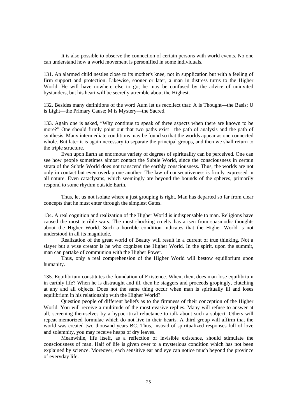It is also possible to observe the connection of certain persons with world events. No one can understand how a world movement is personified in some individuals.

131. An alarmed child nestles close to its mother's knee, not in supplication but with a feeling of firm support and protection. Likewise, sooner or later, a man in distress turns to the Higher World. He will have nowhere else to go; he may be confused by the advice of uninvited bystanders, but his heart will be secretly atremble about the Highest.

132. Besides many definitions of the word Aum let us recollect that: A is Thought—the Basis; U is Light—the Primary Cause; M is Mystery—the Sacred.

133. Again one is asked, "Why continue to speak of three aspects when there are known to be more?" One should firmly point out that two paths exist—the path of analysis and the path of synthesis. Many intermediate conditions may be found so that the worlds appear as one connected whole. But later it is again necessary to separate the principal groups, and then we shall return to the triple structure.

 Even upon Earth an enormous variety of degrees of spirituality can be perceived. One can see how people sometimes almost contact the Subtle World, since the consciousness in certain strata of the Subtle World does not transcend the earthly consciousness. Thus, the worlds are not only in contact but even overlap one another. The law of consecutiveness is firmly expressed in all nature. Even cataclysms, which seemingly are beyond the bounds of the spheres, primarily respond to some rhythm outside Earth.

 Thus, let us not isolate where a just grouping is right. Man has departed so far from clear concepts that he must enter through the simplest Gates.

134. A real cognition and realization of the Higher World is indispensable to man. Religions have caused the most terrible wars. The most shocking cruelty has arisen from spasmodic thoughts about the Higher World. Such a horrible condition indicates that the Higher World is not understood in all its magnitude.

 Realization of the great world of Beauty will result in a current of true thinking. Not a slayer but a wise creator is he who cognizes the Higher World. In the spirit, upon the summit, man can partake of communion with the Higher Power.

 Thus, only a real comprehension of the Higher World will bestow equilibrium upon humanity.

135. Equilibrium constitutes the foundation of Existence. When, then, does man lose equilibrium in earthly life? When he is distraught and ill, then he staggers and proceeds gropingly, clutching at any and all objects. Does not the same thing occur when man is spiritually ill and loses equilibrium in his relationship with the Higher World?

 Question people of different beliefs as to the firmness of their conception of the Higher World. You will receive a multitude of the most evasive replies. Many will refuse to answer at all, screening themselves by a hypocritical reluctance to talk about such a subject. Others will repeat memorized formulae which do not live in their hearts. A third group will affirm that the world was created two thousand years BC. Thus, instead of spiritualized responses full of love and solemnity, you may receive heaps of dry leaves.

 Meanwhile, life itself, as a reflection of invisible existence, should stimulate the consciousness of man. Half of life is given over to a mysterious condition which has not been explained by science. Moreover, each sensitive ear and eye can notice much beyond the province of everyday life.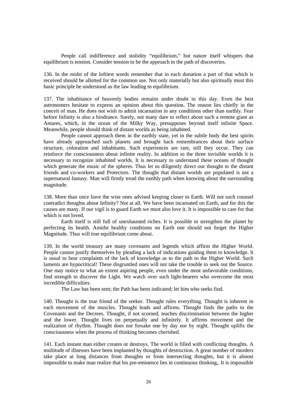People call indifference and stolidity "equilibrium," but nature itself whispers that equilibrium is tension. Consider tension to be the approach to the path of discoveries.

136. In the midst of the loftiest words remember that in each donation a part of that which is received should be allotted for the common use. Not only materially but also spiritually must this basic principle be understood as the law leading to equilibrium.

137. The inhabitance of heavenly bodies remains under doubt to this day. Even the best astronomers hesitate to express an opinion about this question. The reason lies chiefly in the conceit of man. He does not wish to admit incarnation in any conditions other than earthly. Fear before Infinity is also a hindrance. Surely, not many dare to reflect about such a remote giant as Antares, which, in the ocean of the Milky Way, presupposes beyond itself infinite Space. Meanwhile, people should think of distant worlds as being inhabited.

 People cannot approach them in the earthly state, yet in the subtle body the best spirits have already approached such planets and brought back remembrances about their surface structure, coloration and inhabitants. Such experiences are rare, still they occur. They can reinforce the consciousness about infinite reality. In addition to the three invisible worlds it is necessary to recognize inhabited worlds. It is necessary to understand these oceans of thought which generate the music of the spheres. Thus let us diligently direct our thought to the distant friends and co-workers and Protectors. The thought that distant worlds are populated is not a supernatural fantasy. Man will firmly tread the earthly path when knowing about the surrounding magnitude.

138. More than once have the wise ones advised keeping closer to Earth. Will not such counsel contradict thoughts about Infinity? Not at all. We have been incarnated on Earth, and for this the causes are many. If our vigil is to guard Earth we must also love it. It is impossible to care for that which is not loved.

 Earth itself is still full of unexhausted riches. It is possible to strengthen the planet by perfecting its health. Amidst healthy conditions on Earth one should not forget the Higher Magnitude. Thus will true equilibrium come about.

139. In the world treasury are many covenants and legends which affirm the Higher World. People cannot justify themselves by pleading a lack of indications guiding them to knowledge. It is usual to hear complaints of the lack of knowledge as to the path to the Higher World. Such laments are hypocritical! These disgruntled ones will not take the trouble to seek out the Source. One may notice to what an extent aspiring people, even under the most unfavorable conditions, find strength to discover the Light. We watch over such light-bearers who overcome the most incredible difficulties.

The Law has been sent; the Path has been indicated; let him who seeks find.

140. Thought is the true friend of the seeker. Thought rules everything. Thought is inherent in each movement of the muscles. Thought leads and affirms. Thought finds the paths to the Covenants and the Decrees. Thought, if not scorned, teaches discrimination between the higher and the lower. Thought lives on perpetually and infinitely. It affirms movement and the realization of rhythm. Thought does not forsake one by day nor by night. Thought uplifts the consciousness when the process of thinking becomes cherished.

141. Each instant man either creates or destroys. The world is filled with conflicting thoughts. A multitude of illnesses have been implanted by thoughts of destruction. A great number of murders take place at long distances from thoughts or from intersecting thoughts, but it is almost impossible to make man realize that his pre-eminence lies in continuous thinking,. It is impossible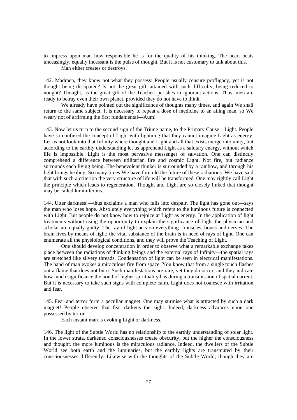to impress upon man how responsible he is for the quality of his thinking. The heart beats unceasingly, equally incessant is the pulse of thought. But it is not customary to talk about this.

Man either creates or destroys.

142. Madmen, they know not what they possess! People usually censure profligacy, yet is not thought being dissipated? Is not the great gift, attained with such difficulty, being reduced to nought? Thought, as the great gift of the Teacher, perishes in ignorant actions. Thus, men are ready to betray even their own planet, provided they do not have to think.

 We already have pointed out the significance of thoughts many times, and again We shall return to the same subject. It is necessary to repeat a dose of medicine to an ailing man, so We weary not of affirming the first fundamental—Aum!

143. Now let us turn to the second sign of the Triune name, to the Primary Cause—Light. People have so confused the concept of Light with lightning that they cannot imagine Light as energy. Let us not look into that Infinity where thought and Light and all that exists merge into unity, but according to the earthly understanding let us apprehend Light as a salutary energy, without which life is impossible. Light is the most pervasive messenger of salvation. One can distinctly comprehend a difference between utilitarian fire and cosmic Light. Not fire, but radiance surrounds each living being. The benevolent thinker is surrounded by a rainbow, and through his light brings healing. So many times We have foretold the future of these radiations. We have said that with such a criterion the very structure of life will be transformed. One may rightly call Light the principle which leads to regeneration. Thought and Light are so closely linked that thought may be called luminiferous.

144. Utter darkness!—thus exclaims a man who falls into despair. The light has gone out—says the man who loses hope. Absolutely everything which refers to the luminous future is connected with Light. But people do not know how to rejoice at Light as energy. In the application of light treatments without using the opportunity to explain the significance of Light the physician and scholar are equally guilty. The ray of light acts on everything—muscles, bones and nerves. The brain lives by means of light; the vital substance of the brain is in need of rays of light. One can enumerate all the physiological conditions, and they will prove the Teaching of Light.

 One should develop concentration in order to observe what a remarkable exchange takes place between the radiations of thinking beings and the external rays of Infinity—the spatial rays are stretched like silvery threads. Condensation of light can be seen in electrical manifestations. The hand of man evokes a miraculous fire from space. You know that from a single touch flashes out a flame that does not burn. Such manifestations are rare, yet they do occur, and they indicate how much significance the bond of higher spirituality has during a transmission of spatial current. But it is necessary to take such signs with complete calm. Light does not coalesce with irritation and fear.

145. Fear and terror form a peculiar magnet. One may surmise what is attracted by such a dark magnet! People observe that fear darkens the sight. Indeed, darkness advances upon one possessed by terror.

Each instant man is evoking Light or darkness.

146. The light of the Subtle World has no relationship to the earthly understanding of solar light. In the lower strata, darkened consciousnesses create obscurity, but the higher the consciousness and thought, the more luminous is the miraculous radiance. Indeed, the dwellers of the Subtle World see both earth and the luminaries, but the earthly lights are transmuted by their consciousnesses differently. Likewise with the thoughts of the Subtle World; though they are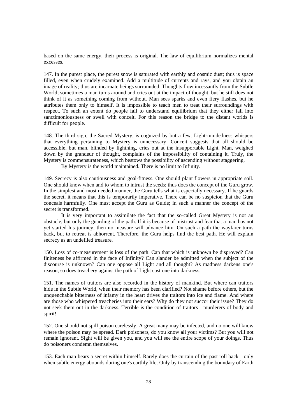based on the same energy, their process is original. The law of equilibrium normalizes mental excesses.

147. In the purest place, the purest snow is saturated with earthly and cosmic dust; thus is space filled, even when crudely examined. Add a multitude of currents and rays, and you obtain an image of reality; thus are incarnate beings surrounded. Thoughts flow incessantly from the Subtle World; sometimes a man turns around and cries out at the impact of thought, but he still does not think of it as something coming from without. Man sees sparks and even fiery flashes, but he attributes them only to himself. It is impossible to teach men to treat their surroundings with respect. To such an extent do people fail to understand equilibrium that they either fall into sanctimoniousness or swell with conceit. For this reason the bridge to the distant worlds is difficult for people.

148. The third sign, the Sacred Mystery, is cognized by but a few. Light-mindedness whispers that everything pertaining to Mystery is unnecessary. Conceit suggests that all should be accessible, but man, blinded by lightning, cries out at the insupportable Light. Man, weighed down by the grandeur of thought, complains of the impossibility of containing it. Truly, the Mystery is commensurateness, which bestows the possibility of ascending without staggering.

By Mystery is the world maintained. There is no limit to Infinity.

149. Secrecy is also cautiousness and goal-fitness. One should plant flowers in appropriate soil. One should know when and to whom to intrust the seeds; thus does the concept of the Guru grow. In the simplest and most needed manner, the Guru tells what is especially necessary. If he guards the secret, it means that this is temporarily imperative. There can be no suspicion that the Guru conceals harmfully. One must accept the Guru as Guide; in such a manner the concept of the secret is transformed.

 It is very important to assimilate the fact that the so-called Great Mystery is not an obstacle, but only the guarding of the path. If it is because of mistrust and fear that a man has not yet started his journey, then no measure will advance him. On such a path the wayfarer turns back, but to retreat is abhorrent. Therefore, the Guru helps find the best path. He will explain secrecy as an undefiled treasure.

150. Loss of co-measurement is loss of the path. Can that which is unknown be disproved? Can finiteness be affirmed in the face of Infinity? Can slander be admitted when the subject of the discourse is unknown? Can one oppose all Light and all thought? As madness darkens one's reason, so does treachery against the path of Light cast one into darkness.

151. The names of traitors are also recorded in the history of mankind. But where can traitors hide in the Subtle World, when their memory has been clarified? Not shame before others, but the unquenchable bitterness of infamy in the heart drives the traitors into ice and flame. And where are those who whispered treacheries into their ears? Why do they not succor their issue? They do not seek them out in the darkness. Terrible is the condition of traitors—murderers of body and spirit!

152. One should not spill poison carelessly. A great many may be infected, and no one will know where the poison may be spread. Dark poisoners, do you know all your victims? But you will not remain ignorant. Sight will be given you, and you will see the entire scope of your doings. Thus do poisoners condemn themselves.

153. Each man bears a secret within himself. Rarely does the curtain of the past roll back—only when subtle energy abounds during one's earthly life. Only by transcending the boundary of Earth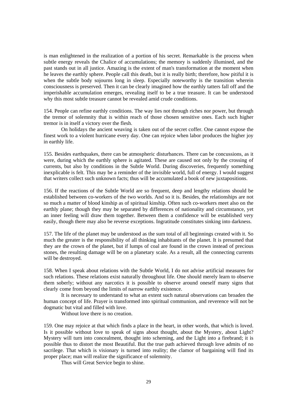is man enlightened in the realization of a portion of his secret. Remarkable is the process when subtle energy reveals the Chalice of accumulations; the memory is suddenly illumined, and the past stands out in all justice. Amazing is the extent of man's transformation at the moment when he leaves the earthly sphere. People call this death, but it is really birth; therefore, how pitiful it is when the subtle body sojourns long in sleep. Especially noteworthy is the transition wherein consciousness is preserved. Then it can be clearly imagined how the earthly tatters fall off and the imperishable accumulation emerges, revealing itself to be a true treasure. It can be understood why this most subtle treasure cannot be revealed amid crude conditions.

154. People can refine earthly conditions. The way lies not through riches nor power, but through the tremor of solemnity that is within reach of those chosen sensitive ones. Each such higher tremor is in itself a victory over the flesh.

 On holidays the ancient weaving is taken out of the secret coffer. One cannot expose the finest work to a violent hurricane every day. One can rejoice when labor produces the higher joy in earthly life.

155. Besides earthquakes, there can be atmospheric disturbances. There can be concussions, as it were, during which the earthly sphere is agitated. These are caused not only by the crossing of currents, but also by conditions in the Subtle World. During discoveries, frequently something inexplicable is felt. This may be a reminder of the invisible world, full of energy. I would suggest that writers collect such unknown facts; thus will be accumulated a book of new juxtapositions.

156. If the reactions of the Subtle World are so frequent, deep and lengthy relations should be established between co-workers of the two worlds. And so it is. Besides, the relationships are not so much a matter of blood kinship as of spiritual kinship. Often such co-workers meet also on the earthly plane; though they may be separated by differences of nationality and circumstance, yet an inner feeling will draw them together. Between them a confidence will be established very easily, though there may also be reverse exceptions. Ingratitude constitutes sinking into darkness.

157. The life of the planet may be understood as the sum total of all beginnings created with it. So much the greater is the responsibility of all thinking inhabitants of the planet. It is presumed that they are the crown of the planet, but if lumps of coal are found in the crown instead of precious stones, the resulting damage will be on a planetary scale. As a result, all the connecting currents will be destroyed.

158. When I speak about relations with the Subtle World, I do not advise artificial measures for such relations. These relations exist naturally throughout life. One should merely learn to observe them soberly; without any narcotics it is possible to observe around oneself many signs that clearly come from beyond the limits of narrow earthly existence.

 It is necessary to understand to what an extent such natural observations can broaden the human concept of life. Prayer is transformed into spiritual communion, and reverence will not be dogmatic but vital and filled with love.

Without love there is no creation.

159. One may rejoice at that which finds a place in the heart, in other words, that which is loved. Is it possible without love to speak of signs about thought, about the Mystery, about Light? Mystery will turn into concealment, thought into scheming, and the Light into a firebrand; it is possible thus to distort the most Beautiful. But the true path achieved through love admits of no sacrilege. That which is visionary is turned into reality; the clamor of bargaining will find its proper place; man will realize the significance of solemnity.

Thus will Great Service begin to shine.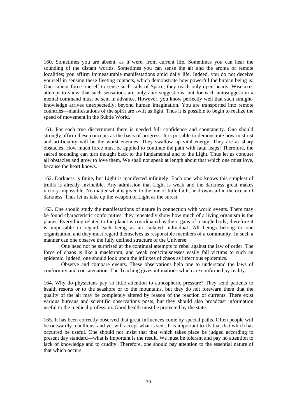160. Sometimes you are absent, as it were, from current life. Sometimes you can hear the sounding of the distant worlds. Sometimes you can sense the air and the aroma of remote localities; you affirm immeasurable manifestations amid daily life. Indeed, you do not deceive yourself in sensing these fleeting contacts, which demonstrate how powerful the human being is. One cannot force oneself to sense such calls of Space, they reach only open hearts. Wiseacres attempt to show that such sensations are only auto-suggestions, but for each autosuggestion a mental command must be sent in advance. However, you know perfectly well that such straightknowledge arrives unexpectedly, beyond human imagination. You are transported into remote countries—manifestations of the spirit are swift as light. Thus it is possible to begin to realize the speed of movement in the Subtle World.

161. For each true discernment there is needed full confidence and spontaneity. One should strongly affirm these concepts as the basis of progress. It is possible to demonstrate how mistrust and artificiality will be the worst enemies. They swallow up vital energy. They are as sharp obstacles. How much force must be applied to continue the path with fatal leaps! Therefore, the sacred sounding can turn thought back to the fundamental and to the Light. Thus let us conquer all obstacles and grow to love them. We shall not speak at length about that which one must love, because the heart knows.

162. Darkness is finite, but Light is manifested infinitely. Each one who knows this simplest of truths is already invincible. Any admission that Light is weak and the darkness great makes victory impossible. No matter what is given to the one of little faith, he drowns all in the ocean of darkness. Thus let us take up the weapon of Light as the surest.

163. One should study the manifestations of nature in connection with world events. There may be found characteristic conformities; they repeatedly show how much of a living organism is the planet. Everything related to the planet is coordinated as the organs of a single body, therefore it is impossible to regard each being as an isolated individual. All beings belong to one organization, and they must regard themselves as responsible members of a community. In such a manner can one observe the fully defined structure of the Universe.

 One need not be surprised at the continual attempts to rebel against the law of order. The force of chaos is like a maelstrom, and weak consciousnesses easily fall victims to such an epidemic. Indeed, one should look upon the influxes of chaos as infectious epidemics.

 Observe and compare events. These observations help one to understand the laws of conformity and concatenation. The Teaching gives intimations which are confirmed by reality.

164. Why do physicians pay so little attention to atmospheric pressure? They send patients to health resorts or to the seashore or to the mountains, but they do not forewarn them that the quality of the air may be completely altered by reason of the reaction of currents. There exist various bureaus and scientific observations posts, but they should also broadcast information useful to the medical profession. Good health must be protected by the state.

165. It has been correctly observed that great Influences come by special paths. Often people will be outwardly rebellious, and yet will accept what is sent. It is important to Us that that which has occurred be useful. One should not insist that that which takes place be judged according to present day standard—what is important is the result. We must be tolerant and pay no attention to lack of knowledge and to crudity. Therefore, one should pay attention to the essential nature of that which occurs.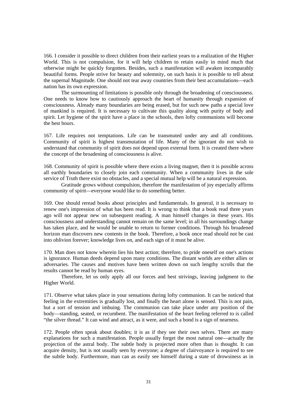166. I consider it possible to direct children from their earliest years to a realization of the Higher World. This is not compulsion, for it will help children to retain easily in mind much that otherwise might be quickly forgotten. Besides, such a manifestation will awaken incomparably beautiful forms. People strive for beauty and solemnity, on such basis it is possible to tell about the supernal Magnitude. One should not tear away countries from their best accumulations—each nation has its own expression.

 The surmounting of limitations is possible only through the broadening of consciousness. One needs to know how to cautiously approach the heart of humanity through expansion of consciousness. Already many boundaries are being erased, but for such new paths a special love of mankind is required. It is necessary to cultivate this quality along with purity of body and spirit. Let hygiene of the spirit have a place in the schools, then lofty communions will become the best hours.

167. Life requires not temptations. Life can be transmuted under any and all conditions. Community of spirit is highest transmutation of life. Many of the ignorant do not wish to understand that community of spirit does not depend upon external form. It is created there where the concept of the broadening of consciousness is alive.

168. Community of spirit is possible where there exists a living magnet, then it is possible across all earthly boundaries to closely join each community. When a community lives in the sole service of Truth there exist no obstacles, and a special mutual help will be a natural expression.

 Gratitude grows without compulsion, therefore the manifestation of joy especially affirms community of spirit—everyone would like to do something better.

169. One should reread books about principles and fundamentals. In general, it is necessary to renew one's impression of what has been read. It is wrong to think that a book read three years ago will not appear new on subsequent reading. A man himself changes in these years. His consciousness and understanding cannot remain on the same level; in all his surroundings change has taken place, and he would be unable to return to former conditions. Through his broadened horizon man discovers new contents in the book. Therefore, a book once read should not be cast into oblivion forever; knowledge lives on, and each sign of it must be alive.

170. Man does not know wherein lies his best action; therefore, to pride oneself on one's actions is ignorance. Human deeds depend upon many conditions. The distant worlds are either allies or adversaries. The causes and motives have been written down on such lengthy scrolls that the results cannot be read by human eyes.

 Therefore, let us only apply all our forces and best strivings, leaving judgment to the Higher World.

171. Observe what takes place in your sensations during lofty communion. It can be noticed that feeling in the extremities is gradually lost, and finally the heart alone is sensed. This is not pain, but a sort of tension and imbuing. The communion can take place under any position of the body—standing, seated, or recumbent. The manifestation of the heart feeling referred to is called "the silver thread." It can wind and attract, as it were, and such a bond is a sign of nearness.

172. People often speak about doubles; it is as if they see their own selves. There are many explanations for such a manifestation. People usually forget the most natural one—actually the projection of the astral body. The subtle body is projected more often than is thought. It can acquire density, but is not usually seen by everyone; a degree of clairvoyance is required to see the subtle body. Furthermore, man can as easily see himself during a state of drowsiness as in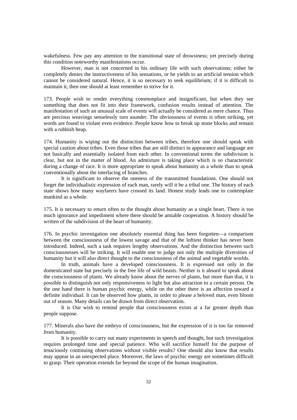wakefulness. Few pay any attention to the transitional state of drowsiness; yet precisely during this condition noteworthy manifestations occur.

 However, man is not concerned in his ordinary life with such observations; either he completely denies the instructiveness of his sensations, or he yields to an artificial tension which cannot be considered natural. Hence, it is so necessary to seek equilibrium; if it is difficult to maintain it, then one should at least remember to strive for it.

173. People wish to render everything commonplace and insignificant, but when they see something that does not fit into their framework, confusion results instead of attention. The manifestation of such an unusual scale of events will actually be considered as mere chance. Thus are precious weavings senselessly torn asunder. The obviousness of events is often striking, yet words are found to violate even evidence. People know how to break up stone blocks and remain with a rubbish heap.

174. Humanity is wiping out the distinction between tribes, therefore one should speak with special caution about tribes. Even those tribes that are still distinct in appearance and language are not basically and essentially isolated from each other. In conventional terms the subdivision is clear, but not in the matter of blood. An admixture is taking place which is so characteristic during a change of race. It is more appropriate to speak about humanity as a whole than to speak conventionally about the interlacing of branches.

 It is significant to observe the oneness of the transmitted foundations. One should not forget the individualistic expression of each man, rarely will it be a tribal one. The history of each state shows how many wayfarers have crossed its land. Honest study leads one to contemplate mankind as a whole.

175. It is necessary to return often to the thought about humanity as a single heart. There is too much ignorance and impediment where there should be amiable cooperation. A history should be written of the subdivision of the heart of humanity.

176. In psychic investigation one absolutely essential thing has been forgotten—a comparison between the consciousness of the lowest savage and that of the loftiest thinker has never been introduced. Indeed, such a task requires lengthy observations. And the distinction between such consciousnesses will be striking. It will enable one to judge not only the multiple diversities of humanity but it will also direct thought to the consciousness of the animal and vegetable worlds.

 In truth, animals have a developed consciousness. It is expressed not only in the domesticated state but precisely in the free life of wild beasts. Neither is it absurd to speak about the consciousness of plants. We already know about the nerves of plants, but more than that, it is possible to distinguish not only responsiveness to light but also attraction to a certain person. On the one hand there is human psychic energy, while on the other there is an affection toward a definite individual. It can be observed how plants, in order to please a beloved man, even bloom out of season. Many details can be drawn from direct observation.

 It is Our wish to remind people that consciousness exists at a far greater depth than people suppose.

177. Minerals also have the embryo of consciousness, but the expression of it is too far removed from humanity.

 It is possible to carry out many experiments in speech and thought, but such investigation requires prolonged time and special patience. Who will sacrifice himself for the purpose of tenaciously continuing observations without visible results? One should also know that results may appear in an unexpected place. Moreover, the laws of psychic energy are sometimes difficult to grasp. Their operation extends far beyond the scope of the human imagination.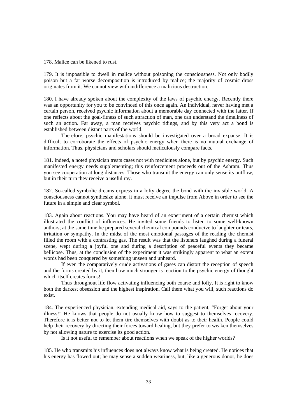178. Malice can be likened to rust.

179. It is impossible to dwell in malice without poisoning the consciousness. Not only bodily poison but a far worse decomposition is introduced by malice; the majority of cosmic dross originates from it. We cannot view with indifference a malicious destruction.

180. I have already spoken about the complexity of the laws of psychic energy. Recently there was an opportunity for you to be convinced of this once again. An individual, never having met a certain person, received psychic information about a memorable day connected with the latter. If one reflects about the goal-fitness of such attraction of man, one can understand the timeliness of such an action. Far away, a man receives psychic tidings, and by this very act a bond is established between distant parts of the world.

 Therefore, psychic manifestations should be investigated over a broad expanse. It is difficult to corroborate the effects of psychic energy when there is no mutual exchange of information. Thus, physicians and scholars should meticulously compare facts.

181. Indeed, a noted physician treats cases not with medicines alone, but by psychic energy. Such manifested energy needs supplementing; this reinforcement proceeds out of the Ashram. Thus you see cooperation at long distances. Those who transmit the energy can only sense its outflow, but in their turn they receive a useful ray.

182. So-called symbolic dreams express in a lofty degree the bond with the invisible world. A consciousness cannot synthesize alone, it must receive an impulse from Above in order to see the future in a simple and clear symbol.

183. Again about reactions. You may have heard of an experiment of a certain chemist which illustrated the conflict of influences. He invited some friends to listen to some well-known authors; at the same time he prepared several chemical compounds conducive to laughter or tears, irritation or sympathy. In the midst of the most emotional passages of the reading the chemist filled the room with a contrasting gas. The result was that the listeners laughed during a funeral scene, wept during a joyful one and during a description of peaceful events they became bellicose. Thus, at the conclusion of the experiment it was strikingly apparent to what an extent words had been conquered by something unseen and unheard.

 If even the comparatively crude activations of gases can distort the reception of speech and the forms created by it, then how much stronger is reaction to the psychic energy of thought which itself creates forms!

 Thus throughout life flow activating influencing both coarse and lofty. It is right to know both the darkest obsession and the highest inspiration. Call them what you will, such reactions do exist.

184. The experienced physician, extending medical aid, says to the patient, "Forget about your illness!" He knows that people do not usually know how to suggest to themselves recovery. Therefore it is better not to let them tire themselves with doubt as to their health. People could help their recovery by directing their forces toward healing, but they prefer to weaken themselves by not allowing nature to exercise its good action.

Is it not useful to remember about reactions when we speak of the higher worlds?

185. He who transmits his influences does not always know what is being created. He notices that his energy has flowed out; he may sense a sudden weariness, but, like a generous donor, he does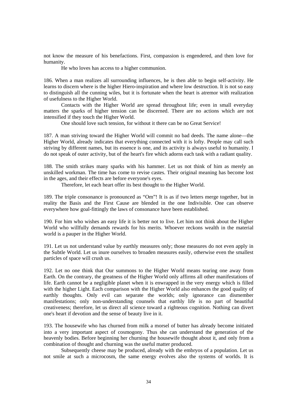not know the measure of his benefactions. First, compassion is engendered, and then love for humanity.

He who loves has access to a higher communion.

186. When a man realizes all surrounding influences, he is then able to begin self-activity. He learns to discern where is the higher Hiero-inspiration and where low destruction. It is not so easy to distinguish all the cunning wiles, but it is fortunate when the heart is atremor with realization of usefulness to the Higher World.

 Contacts with the Higher World are spread throughout life; even in small everyday matters the sparks of higher tension can be discerned. There are no actions which are not intensified if they touch the Higher World.

One should love such tension, for without it there can be no Great Service!

187. A man striving toward the Higher World will commit no bad deeds. The name alone—the Higher World, already indicates that everything connected with it is lofty. People may call such striving by different names, but its essence is one, and its activity is always useful to humanity. I do not speak of outer activity, but of the heart's fire which adorns each task with a radiant quality.

188. The smith strikes many sparks with his hammer. Let us not think of him as merely an unskilled workman. The time has come to revise castes. Their original meaning has become lost in the ages, and their effects are before everyone's eyes.

Therefore, let each heart offer its best thought to the Higher World.

189. The triple consonance is pronounced as "Om"! It is as if two letters merge together, but in reality the Basis and the First Cause are blended in the one Indivisible. One can observe everywhere how goal-fittingly the laws of consonance have been established.

190. For him who wishes an easy life it is better not to live. Let him not think about the Higher World who willfully demands rewards for his merits. Whoever reckons wealth in the material world is a pauper in the Higher World.

191. Let us not understand value by earthly measures only; those measures do not even apply in the Subtle World. Let us inure ourselves to broaden measures easily, otherwise even the smallest particles of space will crush us.

192. Let no one think that Our summons to the Higher World means tearing one away from Earth. On the contrary, the greatness of the Higher World only affirms all other manifestations of life. Earth cannot be a negligible planet when it is enwrapped in the very energy which is filled with the higher Light. Each comparison with the Higher World also enhances the good quality of earthly thoughts. Only evil can separate the worlds; only ignorance can dismember manifestations; only non-understanding counsels that earthly life is no part of beautiful creativeness; therefore, let us direct all science toward a righteous cognition. Nothing can divert one's heart if devotion and the sense of beauty live in it.

193. The housewife who has churned from milk a morsel of butter has already become initiated into a very important aspect of cosmogony. Thus she can understand the generation of the heavenly bodies. Before beginning her churning the housewife thought about it, and only from a combination of thought and churning was the useful matter produced.

 Subsequently cheese may be produced, already with the embryos of a population. Let us not smile at such a microcosm, the same energy evolves also the systems of worlds. It is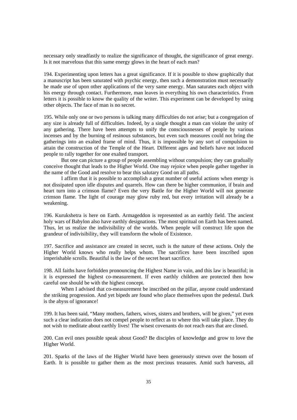necessary only steadfastly to realize the significance of thought, the significance of great energy. Is it not marvelous that this same energy glows in the heart of each man?

194. Experimenting upon letters has a great significance. If it is possible to show graphically that a manuscript has been saturated with psychic energy, then such a demonstration must necessarily be made use of upon other applications of the very same energy. Man saturates each object with his energy through contact. Furthermore, man leaves in everything his own characteristics. From letters it is possible to know the quality of the writer. This experiment can be developed by using other objects. The face of man is no secret.

195. While only one or two persons is talking many difficulties do not arise; but a congregation of any size is already full of difficulties. Indeed, by a single thought a man can violate the unity of any gathering. There have been attempts to unify the consciousnesses of people by various incenses and by the burning of resinous substances, but even such measures could not bring the gatherings into an exalted frame of mind. Thus, it is impossible by any sort of compulsion to attain the construction of the Temple of the Heart. Different ages and beliefs have not induced people to rally together for one exalted transport.

 But one can picture a group of people assembling without compulsion; they can gradually conceive thought that leads to the Higher World. One may rejoice when people gather together in the name of the Good and resolve to bear this salutary Good on all paths.

 I affirm that it is possible to accomplish a great number of useful actions when energy is not dissipated upon idle disputes and quarrels. How can there be higher communion, if brain and heart turn into a crimson flame? Even the very Battle for the Higher World will not generate crimson flame. The light of courage may glow ruby red, but every irritation will already be a weakening.

196. Kurukshetra is here on Earth. Armageddon is represented as an earthly field. The ancient holy wars of Babylon also have earthly designations. The most spiritual on Earth has been named. Thus, let us realize the indivisibility of the worlds. When people will construct life upon the grandeur of indivisibility, they will transform the whole of Existence.

197. Sacrifice and assistance are created in secret, such is the nature of these actions. Only the Higher World knows who really helps whom. The sacrifices have been inscribed upon imperishable scrolls. Beautiful is the law of the secret heart sacrifice.

198. All faiths have forbidden pronouncing the Highest Name in vain, and this law is beautiful; in it is expressed the highest co-measurement. If even earthly children are protected then how careful one should be with the highest concept.

 When I advised that co-measurement be inscribed on the pillar, anyone could understand the striking progression. And yet bipeds are found who place themselves upon the pedestal. Dark is the abyss of ignorance!

199. It has been said, "Many mothers, fathers, wives, sisters and brothers, will be given," yet even such a clear indication does not compel people to reflect as to where this will take place. They do not wish to meditate about earthly lives! The wisest covenants do not reach ears that are closed.

200. Can evil ones possible speak about Good? Be disciples of knowledge and grow to love the Higher World.

201. Sparks of the laws of the Higher World have been generously strewn over the bosom of Earth. It is possible to gather them as the most precious treasures. Amid such harvests, all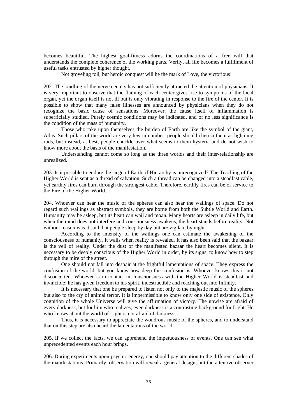becomes beautiful. The highest goal-fitness adorns the coordinations of a free will that understands the complete coherence of the working parts. Verily, all life becomes a fulfillment of useful tasks entrusted by higher thought.

Not groveling toil, but heroic conquest will be the mark of Love, the victorious!

202. The kindling of the nerve centers has not sufficiently attracted the attention of physicians. It is very important to observe that the flaming of each center gives rise to symptoms of the local organ, yet the organ itself is not ill but is only vibrating in response to the fire of the center. It is possible to show that many false illnesses are announced by physicians when they do not recognize the basic cause of sensations. Moreover, the cause itself of inflammation is superficially studied. Purely cosmic conditions may be indicated, and of no less significance is the condition of the mass of humanity.

 Those who take upon themselves the burden of Earth are like the symbol of the giant, Atlas. Such pillars of the world are very few in number; people should cherish them as lightning rods, but instead, at best, people chuckle over what seems to them hysteria and do not wish to know more about the basis of the manifestation.

 Understanding cannot come so long as the three worlds and their inter-relationship are unrealized.

203. Is it possible to endure the siege of Earth, if Hierarchy is unrecognized? The Teaching of the Higher World is sent as a thread of salvation. Such a thread can be changed into a steadfast cable, yet earthly fires can burn through the strongest cable. Therefore, earthly fires can be of service to the Fire of the Higher World.

204. Whoever can hear the music of the spheres can also hear the wailings of space. Do not regard such wailings as abstract symbols, they are borne from both the Subtle World and Earth. Humanity may be asleep, but its heart can wail and moan. Many hearts are asleep in daily life, but when the mind does not interfere and consciousness awakens, the heart stands before reality. Not without reason was it said that people sleep by day but are vigilant by night.

 According to the intensity of the wailings one can estimate the awakening of the consciousness of humanity. It wails when reality is revealed. It has also been said that the bazaar is the veil of reality. Under the dust of the manifested bazaar the heart becomes silent. It is necessary to be deeply conscious of the Higher World in order, by its signs, to know how to step through the mire of the street.

 One should not fall into despair at the frightful lamentations of space. They express the confusion of the world, but you know how deep this confusion is. Whoever knows this is not disconcerted. Whoever is in contact in consciousness with the Higher World is steadfast and invincible; he has given freedom to his spirit, indestructible and reaching out into Infinity.

 It is necessary that one be prepared to listen not only to the majestic music of the spheres but also to the cry of animal terror. It is impermissible to know only one side of existence. Only cognition of the whole Universe will give the affirmation of victory. The unwise are afraid of every darkness, but for him who realizes, even darkness is a contrasting background for Light. He who knows about the world of Light is not afraid of darkness.

 Thus, it is necessary to appreciate the wondrous music of the spheres, and to understand that on this step are also heard the lamentations of the world.

205. If we collect the facts, we can apprehend the impetuousness of events. One can see what unprecedented events each hour brings.

206. During experiments upon psychic energy, one should pay attention to the different shades of the manifestations. Primarily, observation will reveal a general design, but the attentive observer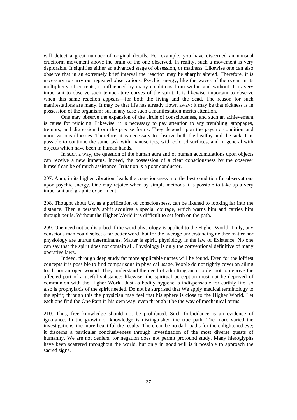will detect a great number of original details. For example, you have discerned an unusual cruciform movement above the brain of the one observed. In reality, such a movement is very deplorable. It signifies either an advanced stage of obsession, or madness. Likewise one can also observe that in an extremely brief interval the reaction may be sharply altered. Therefore, it is necessary to carry out repeated observations. Psychic energy, like the waves of the ocean in its multiplicity of currents, is influenced by many conditions from within and without. It is very important to observe such temperature curves of the spirit. It is likewise important to observe when this same reaction appears—for both the living and the dead. The reason for such manifestations are many. It may be that life has already flown away; it may be that sickness is in possession of the organism; but in any case such a manifestation merits attention.

 One may observe the expansion of the circle of consciousness, and such an achievement is cause for rejoicing. Likewise, it is necessary to pay attention to any trembling, stoppages, tremors, and digression from the precise forms. They depend upon the psychic condition and upon various illnesses. Therefore, it is necessary to observe both the healthy and the sick. It is possible to continue the same task with manuscripts, with colored surfaces, and in general with objects which have been in human hands.

 In such a way, the question of the human aura and of human accumulations upon objects can receive a new impetus. Indeed, the possession of a clear consciousness by the observer himself can be of much assistance. Irritation is a poor conductor.

207. Aum, in its higher vibration, leads the consciousness into the best condition for observations upon psychic energy. One may rejoice when by simple methods it is possible to take up a very important and graphic experiment.

208. Thought about Us, as a purification of consciousness, can be likened to looking far into the distance. Then a person's spirit acquires a special courage, which warns him and carries him through perils. Without the Higher World it is difficult to set forth on the path.

209. One need not be disturbed if the word physiology is applied to the Higher World. Truly, any conscious man could select a far better word, but for the average understanding neither matter nor physiology are untrue determinants. Matter is spirit, physiology is the law of Existence. No one can say that the spirit does not contain all. Physiology is only the conventional definitive of many operative laws.

 Indeed, through deep study far more applicable names will be found. Even for the loftiest concepts it is possible to find comparisons in physical usage. People do not tightly cover an ailing tooth nor an open wound. They understand the need of admitting air in order not to deprive the affected part of a useful substance; likewise, the spiritual perception must not be deprived of communion with the Higher World. Just as bodily hygiene is indispensable for earthly life, so also is prophylaxis of the spirit needed. Do not be surprised that We apply medical terminology to the spirit; through this the physician may feel that his sphere is close to the Higher World. Let each one find the One Path in his own way, even through it be the way of mechanical terms.

210. Thus, free knowledge should not be prohibited. Such forbiddance is an evidence of ignorance. In the growth of knowledge is distinguished the true path. The more varied the investigations, the more beautiful the results. There can be no dark paths for the enlightened eye; it discerns a particular conclusiveness through investigation of the most diverse quests of humanity. We are not deniers, for negation does not permit profound study. Many hieroglyphs have been scattered throughout the world, but only in good will is it possible to approach the sacred signs.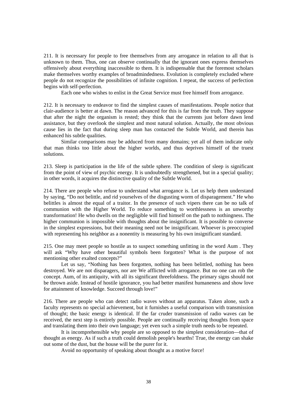211. It is necessary for people to free themselves from any arrogance in relation to all that is unknown to them. Thus, one can observe continually that the ignorant ones express themselves offensively about everything inaccessible to them. It is indispensable that the foremost scholars make themselves worthy examples of broadmindedness. Evolution is completely excluded where people do not recognize the possibilities of infinite cognition. I repeat, the success of perfection begins with self-perfection.

Each one who wishes to enlist in the Great Service must free himself from arrogance.

212. It is necessary to endeavor to find the simplest causes of manifestations. People notice that clair-audience is better at dawn. The reason advanced for this is far from the truth. They suppose that after the night the organism is rested; they think that the currents just before dawn lend assistance, but they overlook the simplest and most natural solution. Actually, the most obvious cause lies in the fact that during sleep man has contacted the Subtle World, and therein has enhanced his subtle qualities.

 Similar comparisons may be adduced from many domains; yet all of them indicate only that man thinks too little about the higher worlds, and thus deprives himself of the truest solutions.

213. Sleep is participation in the life of the subtle sphere. The condition of sleep is significant from the point of view of psychic energy. It is undoubtedly strengthened, but in a special quality; in other words, it acquires the distinctive quality of the Subtle World.

214. There are people who refuse to understand what arrogance is. Let us help them understand by saying, "Do not belittle, and rid yourselves of the disgusting worm of disparagement." He who belittles is almost the equal of a traitor. In the presence of such vipers there can be no talk of communion with the Higher World. To reduce something to worthlessness is an unworthy transformation! He who dwells on the negligible will find himself on the path to nothingness. The higher communion is impossible with thoughts about the insignificant. It is possible to converse in the simplest expressions, but their meaning need not be insignificant. Whoever is preoccupied with representing his neighbor as a nonentity is measuring by his own insignificant standard.

215. One may meet people so hostile as to suspect something unfitting in the word Aum . They will ask "Why have other beautiful symbols been forgotten? What is the purpose of not mentioning other exalted concepts?"

 Let us say, "Nothing has been forgotten, nothing has been belittled, nothing has been destroyed. We are not disparagers, nor are We afflicted with arrogance. But no one can rob the concept. Aum, of its antiquity, with all its significant threefoldness. The primary signs should not be thrown aside. Instead of hostile ignorance, you had better manifest humaneness and show love for attainment of knowledge. Succeed through love!"

216. There are people who can detect radio waves without an apparatus. Taken alone, such a faculty represents no special achievement, but it furnishes a useful comparison with transmission of thought; the basic energy is identical. If the far cruder transmission of radio waves can be received, the next step is entirely possible. People are continually receiving thoughts from space and translating them into their own language; yet even such a simple truth needs to be repeated.

 It is incomprehensible why people are so opposed to the simplest consideration—that of thought as energy. As if such a truth could demolish people's hearths! True, the energy can shake out some of the dust, but the house will be the purer for it.

Avoid no opportunity of speaking about thought as a motive force!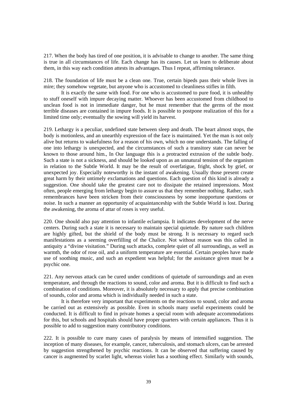217. When the body has tired of one position, it is advisable to change to another. The same thing is true in all circumstances of life. Each change has its causes. Let us learn to deliberate about them, in this way each condition attests its advantages. Thus I repeat, affirming tolerance.

218. The foundation of life must be a clean one. True, certain bipeds pass their whole lives in mire; they somehow vegetate, but anyone who is accustomed to cleanliness stifles in filth.

 It is exactly the same with food. For one who is accustomed to pure food, it is unhealthy to stuff oneself with impure decaying matter. Whoever has been accustomed from childhood to unclean food is not in immediate danger, but he must remember that the germs of the most terrible diseases are contained in impure foods. It is possible to postpone realization of this for a limited time only; eventually the sowing will yield its harvest.

219. Lethargy is a peculiar, undefined state between sleep and death. The heart almost stops, the body is motionless, and an unearthly expression of the face is maintained. Yet the man is not only alive but returns to wakefulness for a reason of his own, which no one understands. The falling of one into lethargy is unexpected, and the circumstances of such a transitory state can never be known to those around him., In Our language this is a protracted extrusion of the subtle body. Such a state is not a sickness, and should be looked upon as an unnatural tension of the organism in relation to the Subtle World. It may be the result of overfatigue, fright, shock by grief, or unexpected joy. Especially noteworthy is the instant of awakening. Usually those present create great harm by their untimely exclamations and questions. Each question of this kind is already a suggestion. One should take the greatest care not to dissipate the retained impressions. Most often, people emerging from lethargy begin to assure us that they remember nothing. Rather, such remembrances have been stricken from their consciousness by some inopportune questions or noise. In such a manner an opportunity of acquaintanceship with the Subtle World is lost. During the awakening, the aroma of attar of roses is very useful.

220. One should also pay attention to infantile eclampsia. It indicates development of the nerve centers. During such a state it is necessary to maintain special quietude. By nature such children are highly gifted, but the shield of the body must be strong. It is necessary to regard such manifestations as a seeming overfilling of the Chalice. Not without reason was this called in antiquity a "divine visitation." During such attacks, complete quiet of all surroundings, as well as warmth, the odor of rose oil, and a uniform temperature are essential. Certain peoples have made use of soothing music, and such an expedient was helpful; for the assistance given must be a psychic one.

221. Any nervous attack can be cured under conditions of quietude of surroundings and an even temperature, and through the reactions to sound, color and aroma. But it is difficult to find such a combination of conditions. Moreover, it is absolutely necessary to apply that precise combination of sounds, color and aroma which is individually needed in such a state.

 It is therefore very important that experiments on the reactions to sound, color and aroma be carried out as extensively as possible. Even in schools many useful experiments could be conducted. It is difficult to find in private homes a special room with adequate accommodations for this, but schools and hospitals should have proper quarters with certain appliances. Thus it is possible to add to suggestion many contributory conditions.

222. It is possible to cure many cases of paralysis by means of intensified suggestion. The inception of many diseases, for example, cancer, tuberculosis, and stomach ulcers, can be arrested by suggestion strengthened by psychic reactions. It can be observed that suffering caused by cancer is augmented by scarlet light, whereas violet has a soothing effect. Similarly with sounds,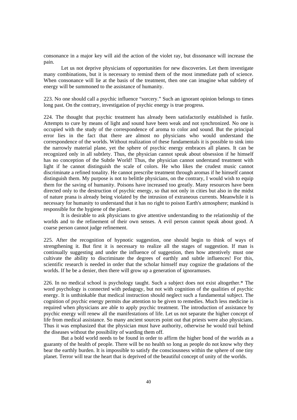consonance in a major key will aid the action of the violet ray, but dissonance will increase the pain.

 Let us not deprive physicians of opportunities for new discoveries. Let them investigate many combinations, but it is necessary to remind them of the most immediate path of science. When consonance will lie at the basis of the treatment, then one can imagine what subtlety of energy will be summoned to the assistance of humanity.

223. No one should call a psychic influence "sorcery." Such an ignorant opinion belongs to times long past. On the contrary, investigation of psychic energy is true progress.

224. The thought that psychic treatment has already been satisfactorily established is futile. Attempts to cure by means of light and sound have been weak and not synchronized. No one is occupied with the study of the correspondence of aroma to color and sound. But the principal error lies in the fact that there are almost no physicians who would understand the correspondence of the worlds. Without realization of these fundamentals it is possible to sink into the narrowly material plane, yet the sphere of psychic energy embraces all planes. It can be recognized only in all subtlety. Thus, the physician cannot speak about obsession if he himself has no conception of the Subtle World! Thus, the physician cannot understand treatment with light if he cannot distinguish the scale of colors. He who likes the crudest music cannot discriminate a refined tonality. He cannot prescribe treatment through aromas if he himself cannot distinguish them. My purpose is not to belittle physicians, on the contrary, I would wish to equip them for the saving of humanity. Poisons have increased too greatly. Many resources have been directed only to the destruction of psychic energy, so that not only in cities but also in the midst of nature prana is already being violated by the intrusion of extraneous currents. Meanwhile it is necessary for humanity to understand that it has no right to poison Earth's atmosphere; mankind is responsible for the hygiene of the planet.

 It is desirable to ask physicians to give attentive understanding to the relationship of the worlds and to the refinement of their own senses. A evil person cannot speak about good. A coarse person cannot judge refinement.

225. After the recognition of hypnotic suggestion, one should begin to think of ways of strengthening it. But first it is necessary to realize all the stages of suggestion. If man is continually suggesting and under the influence of suggestion, then how attentively must one cultivate the ability to discriminate the degrees of earthly and subtle influences! For this, scientific research is needed in order that the scholar himself may cognize the gradations of the worlds. If he be a denier, then there will grow up a generation of ignoramuses.

226. In no medical school is psychology taught. Such a subject does not exist altogether.\* The word psychology is connected with pedagogy, but not with cognition of the qualities of psychic energy. It is unthinkable that medical instruction should neglect such a fundamental subject. The cognition of psychic energy permits due attention to be given to remedies. Much less medicine is required when physicians are able to apply psychic treatment. The introduction of assistance by psychic energy will renew all the manifestations of life. Let us not separate the higher concept of life from medical assistance. So many ancient sources point out that priests were also physicians. Thus it was emphasized that the physician must have authority, otherwise he would trail behind the diseases without the possibility of warding them off.

 But a bold world needs to be found in order to affirm the higher bond of the worlds as a guaranty of the health of people. There will be no health so long as people do not know why they bear the earthly burden. It is impossible to satisfy the consciousness within the sphere of one tiny planet. Terror will tear the heart that is deprived of the beautiful concept of unity of the worlds.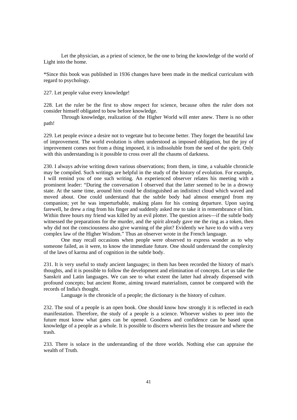Let the physician, as a priest of science, be the one to bring the knowledge of the world of Light into the home.

\*Since this book was published in 1936 changes have been made in the medical curriculum with regard to psychology.

227. Let people value every knowledge!

228. Let the ruler be the first to show respect for science, because often the ruler does not consider himself obligated to bow before knowledge.

 Through knowledge, realization of the Higher World will enter anew. There is no other path!

229. Let people evince a desire not to vegetate but to become better. They forget the beautiful law of improvement. The world evolution is often understood as imposed obligation, but the joy of improvement comes not from a thing imposed, it is indissoluble from the seed of the spirit. Only with this understanding is it possible to cross over all the chasms of darkness.

230. I always advise writing down various observations; from them, in time, a valuable chronicle may be compiled. Such writings are helpful in the study of the history of evolution. For example, I will remind you of one such writing. An experienced observer relates his meeting with a prominent leader: "During the conversation I observed that the latter seemed to be in a drowsy state. At the same time, around him could be distinguished an indistinct cloud which waved and moved about. One could understand that the subtle body had almost emerged from my companion; yet he was imperturbable, making plans for his coming departure. Upon saying farewell, he drew a ring from his finger and suddenly asked me to take it in remembrance of him. Within three hours my friend was killed by an evil plotter. The question arises—if the subtle body witnessed the preparations for the murder, and the spirit already gave me the ring as a token, then why did not the consciousness also give warning of the plot? Evidently we have to do with a very complex law of the Higher Wisdom." Thus an observer wrote in the French language.

 One may recall occasions when people were observed to express wonder as to why someone failed, as it were, to know the immediate future. One should understand the complexity of the laws of karma and of cognition in the subtle body.

231. It is very useful to study ancient languages; in them has been recorded the history of man's thoughts, and it is possible to follow the development and elimination of concepts. Let us take the Sanskrit and Latin languages. We can see to what extent the latter had already dispensed with profound concepts; but ancient Rome, aiming toward materialism, cannot be compared with the records of India's thought.

Language is the chronicle of a people; the dictionary is the history of culture.

232. The soul of a people is an open book. One should know how strongly it is reflected in each manifestation. Therefore, the study of a people is a science. Whoever wishes to peer into the future must know what gates can be opened. Goodness and confidence can be based upon knowledge of a people as a whole. It is possible to discern wherein lies the treasure and where the trash.

233. There is solace in the understanding of the three worlds. Nothing else can appraise the wealth of Truth.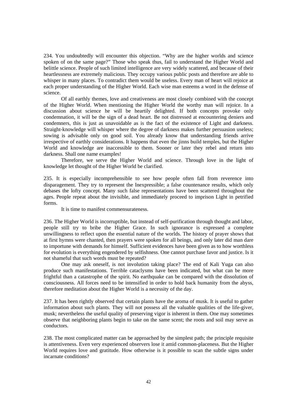234. You undoubtedly will encounter this objection. "Why are the higher worlds and science spoken of on the same page?" Those who speak thus, fail to understand the Higher World and belittle science. People of such limited intelligence are very widely scattered, and because of their heartlessness are extremely malicious. They occupy various public posts and therefore are able to whisper in many places. To contradict them would be useless. Every man of heart will rejoice at each proper understanding of the Higher World. Each wise man esteems a word in the defense of science.

 Of all earthly themes, love and creativeness are most closely combined with the concept of the Higher World. When mentioning the Higher World the worthy man will rejoice. In a discussion about science he will be heartily delighted. If both concepts provoke only condemnation, it will be the sign of a dead heart. Be not distressed at encountering deniers and condemners, this is just as unavoidable as is the fact of the existence of Light and darkness. Straight-knowledge will whisper where the degree of darkness makes further persuasion useless; sowing is advisable only on good soil. You already know that understanding friends arrive irrespective of earthly considerations. It happens that even the jinns build temples, but the Higher World and knowledge are inaccessible to them. Sooner or later they rebel and return into darkness. Shall one name examples!

 Therefore, we serve the Higher World and science. Through love in the light of knowledge let thought of the Higher World be clarified.

235. It is especially incomprehensible to see how people often fall from reverence into disparagement. They try to represent the Inexpressible; a false countenance results, which only debases the lofty concept. Many such false representations have been scattered throughout the ages. People repeat about the invisible, and immediately proceed to imprison Light in petrified forms.

It is time to manifest commensurateness.

236. The Higher World is incorruptible, but instead of self-purification through thought and labor, people still try to bribe the Higher Grace. In such ignorance is expressed a complete unwillingness to reflect upon the essential nature of the worlds. The history of prayer shows that at first hymns were chanted, then prayers were spoken for all beings, and only later did man dare to importune with demands for himself. Sufficient evidences have been given as to how worthless for evolution is everything engendered by selfishness. One cannot purchase favor and justice. Is it not shameful that such words must be repeated?

 One may ask oneself, is not involution taking place? The end of Kali Yuga can also produce such manifestations. Terrible cataclysms have been indicated, but what can be more frightful than a catastrophe of the spirit. No earthquake can be compared with the dissolution of consciousness. All forces need to be intensified in order to hold back humanity from the abyss, therefore meditation about the Higher World is a necessity of the day.

237. It has been rightly observed that certain plants have the aroma of musk. It is useful to gather information about such plants. They will not possess all the valuable qualities of the life-giver, musk; nevertheless the useful quality of preserving vigor is inherent in them. One may sometimes observe that neighboring plants begin to take on the same scent; the roots and soil may serve as conductors.

238. The most complicated matter can be approached by the simplest path; the principle requisite is attentiveness. Even very experienced observers lose it amid common-placeness. But the Higher World requires love and gratitude. How otherwise is it possible to scan the subtle signs under incarnate conditions?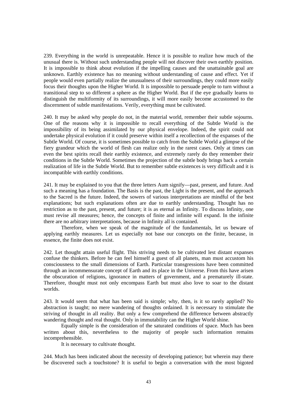239. Everything in the world is unrepeatable. Hence it is possible to realize how much of the unusual there is. Without such understanding people will not discover their own earthly position. It is impossible to think about evolution if the impelling causes and the unattainable goal are unknown. Earthly existence has no meaning without understanding of cause and effect. Yet if people would even partially realize the unusualness of their surroundings, they could more easily focus their thoughts upon the Higher World. It is impossible to persuade people to turn without a transitional step to so different a sphere as the Higher World. But if the eye gradually learns to distinguish the multiformity of its surroundings, it will more easily become accustomed to the discernment of subtle manifestations. Verily, everything must be cultivated.

240. It may be asked why people do not, in the material world, remember their subtle sojourns. One of the reasons why it is impossible to recall everything of the Subtle World is the impossibility of its being assimilated by our physical envelope. Indeed, the spirit could not undertake physical evolution if it could preserve within itself a recollection of the expanses of the Subtle World. Of course, it is sometimes possible to catch from the Subtle World a glimpse of the fiery grandeur which the world of flesh can realize only in the rarest cases. Only at times can even the best spirits recall their earthly existence, and extremely rarely do they remember their conditions in the Subtle World. Sometimes the projection of the subtle body brings back a certain realization of life in the Subtle World. But to remember subtle existences is very difficult and it is incompatible with earthly conditions.

241. It may be explained to you that the three letters Aum signify—past, present, and future. And such a meaning has a foundation. The Basis is the past, the Light is the present, and the approach to the Sacred is the future. Indeed, the sowers of various interpretations are mindful of the best explanations; but such explanations often are due to earthly understanding. Thought has no restriction as to the past, present, and future; it is as eternal as Infinity. To discuss Infinity, one must revise all measures; hence, the concepts of finite and infinite will expand. In the infinite there are no arbitrary interpretations, because in Infinity all is contained.

 Therefore, when we speak of the magnitude of the fundamentals, let us beware of applying earthly measures. Let us especially not base our concepts on the finite, because, in essence, the finite does not exist.

242. Let thought attain useful flight. This striving needs to be cultivated lest distant expanses confuse the thinkers. Before he can feel himself a guest of all planets, man must accustom his consciousness to the small dimensions of Earth. Particular transgressions have been committed through an incommensurate concept of Earth and its place in the Universe. From this have arisen the obscuration of religions, ignorance in matters of government, and a prematurely ill-state. Therefore, thought must not only encompass Earth but must also love to soar to the distant worlds.

243. It would seem that what has been said is simple; why, then, is it so rarely applied? No abstraction is taught; no mere wandering of thoughts ordained. It is necessary to stimulate the striving of thought in all reality. But only a few comprehend the difference between abstractly wandering thought and real thought. Only in immutability can the Higher World shine.

 Equally simple is the consideration of the saturated conditions of space. Much has been written about this, nevertheless to the majority of people such information remains incomprehensible.

It is necessary to cultivate thought.

244. Much has been indicated about the necessity of developing patience; but wherein may there be discovered such a touchstone? It is useful to begin a conversation with the most bigoted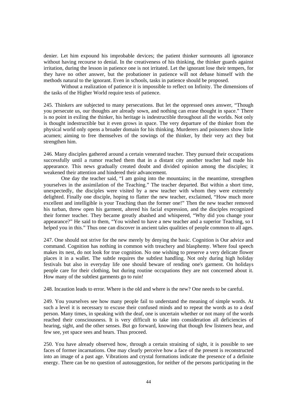denier. Let him expound his improbable devices; the patient thinker surmounts all ignorance without having recourse to denial. In the creativeness of his thinking, the thinker guards against irritation, during the lesson in patience one is not irritated. Let the ignorant lose their tempers, for they have no other answer, but the probationer in patience will not debase himself with the methods natural to the ignorant. Even in schools, tasks in patience should be proposed.

 Without a realization of patience it is impossible to reflect on Infinity. The dimensions of the tasks of the Higher World require tests of patience.

245. Thinkers are subjected to many persecutions. But let the oppressed ones answer, "Though you persecute us, our thoughts are already sown, and nothing can erase thought in space." There is no point in exiling the thinker, his heritage is indestructible throughout all the worlds. Not only is thought indestructible but it even grows in space. The very departure of the thinker from the physical world only opens a broader domain for his thinking. Murderers and poisoners show little acumen; aiming to free themselves of the sowings of the thinker, by their very act they but strengthen him.

246. Many disciples gathered around a certain venerated teacher. They pursued their occupations successfully until a rumor reached them that in a distant city another teacher had made his appearance. This news gradually created doubt and divided opinion among the disciples; it weakened their attention and hindered their advancement.

 One day the teacher said, "I am going into the mountains; in the meantime, strengthen yourselves in the assimilation of the Teaching." The teacher departed. But within a short time, unexpectedly, the disciples were visited by a new teacher with whom they were extremely delighted. Finally one disciple, hoping to flatter the new teacher, exclaimed, "How much more excellent and intelligible is your Teaching than the former one!" Then the new teacher removed his turban, threw open his garment, altered his facial expression, and the disciples recognized their former teacher. They became greatly abashed and whispered, "Why did you change your appearance?" He said to them, "You wished to have a new teacher and a superior Teaching, so I helped you in this." Thus one can discover in ancient tales qualities of people common to all ages.

247. One should not strive for the new merely by denying the basic. Cognition is Our advice and command. Cognition has nothing in common with treachery and blasphemy. Where foul speech makes its nest, do not look for true cognition. No one wishing to preserve a very delicate flower places it in a wallet. The subtle requires the subtlest handling. Not only during high holiday festivals but also in everyday life one should beware of rending one's garment. On holidays people care for their clothing, but during routine occupations they are not concerned about it. How many of the subtlest garments go to ruin!

248. Incaution leads to error. Where is the old and where is the new? One needs to be careful.

249. You yourselves see how many people fail to understand the meaning of simple words. At such a level it is necessary to excuse their confused minds and to repeat the words as to a deaf person. Many times, in speaking with the deaf, one is uncertain whether or not many of the words reached their consciousness. It is very difficult to take into consideration all deficiencies of hearing, sight, and the other senses. But go forward, knowing that though few listeners hear, and few see, yet space sees and hears. Thus proceed.

250. You have already observed how, through a certain straining of sight, it is possible to see faces of former incarnations. One may clearly perceive how a face of the present is reconstructed into an image of a past age. Vibrations and crystal formations indicate the presence of a definite energy. There can be no question of autosuggestion, for neither of the persons participating in the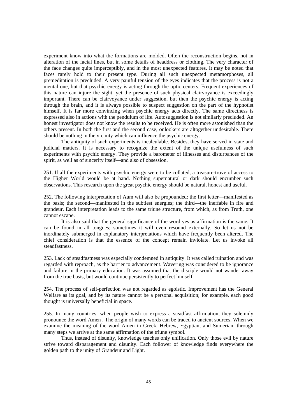experiment know into what the formations are molded. Often the reconstruction begins, not in alteration of the facial lines, but in some details of headdress or clothing. The very character of the face changes quite imperceptibly, and in the most unexpected features. It may be noted that faces rarely hold to their present type. During all such unexpected metamorphoses, all premeditation is precluded. A very painful tension of the eyes indicates that the process is not a mental one, but that psychic energy is acting through the optic centers. Frequent experiences of this nature can injure the sight, yet the presence of such physical clairvoyance is exceedingly important. There can be clairvoyance under suggestion, but then the psychic energy is acting through the brain, and it is always possible to suspect suggestion on the part of the hypnotist himself. It is far more convincing when psychic energy acts directly. The same directness is expressed also in actions with the pendulum of life. Autosuggestion is not similarly precluded. An honest investigator does not know the results to be received. He is often more astonished than the others present. In both the first and the second case, onlookers are altogether undesirable. There should be nothing in the vicinity which can influence the psychic energy.

 The antiquity of such experiments is incalculable. Besides, they have served in state and judicial matters. It is necessary to recognize the extent of the unique usefulness of such experiments with psychic energy. They provide a barometer of illnesses and disturbances of the spirit, as well as of sincerity itself—and also of obsession.

251. If all the experiments with psychic energy were to be collated, a treasure-trove of access to the Higher World would be at hand. Nothing supernatural or dark should encumber such observations. This research upon the great psychic energy should be natural, honest and useful.

252. The following interpretation of Aum will also be propounded: the first letter—manifested as the basis; the second—manifested in the subtlest energies; the third—the ineffable in fire and grandeur. Each interpretation leads to the same triune structure, from which, as from Truth, one cannot escape.

 It is also said that the general significance of the word yes as affirmation is the same. It can be found in all tongues; sometimes it will even resound externally. So let us not be inordinately submerged in explanatory interpretations which have frequently been altered. The chief consideration is that the essence of the concept remain inviolate. Let us invoke all steadfastness.

253. Lack of steadfastness was especially condemned in antiquity. It was called ruination and was regarded with reproach, as the barrier to advancement. Wavering was considered to be ignorance and failure in the primary education. It was assumed that the disciple would not wander away from the true basis, but would continue persistently to perfect himself.

254. The process of self-perfection was not regarded as egoistic. Improvement has the General Welfare as its goal, and by its nature cannot be a personal acquisition; for example, each good thought is universally beneficial in space.

255. In many countries, when people wish to express a steadfast affirmation, they solemnly pronounce the word Amen . The origin of many words can be traced to ancient sources. When we examine the meaning of the word Amen in Greek, Hebrew, Egyptian, and Sumerian, through many steps we arrive at the same affirmation of the triune symbol.

 Thus, instead of disunity, knowledge teaches only unification. Only those evil by nature strive toward disparagement and disunity. Each follower of knowledge finds everywhere the golden path to the unity of Grandeur and Light.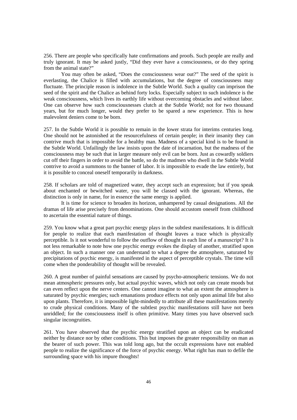256. There are people who specifically hate confirmations and proofs. Such people are really and truly ignorant. It may be asked justly, "Did they ever have a consciousness, or do they spring from the animal state?"

 You may often be asked, "Does the consciousness wear out?" The seed of the spirit is everlasting, the Chalice is filled with accumulations, but the degree of consciousness may fluctuate. The principle reason is indolence in the Subtle World. Such a quality can imprison the seed of the spirit and the Chalice as behind forty locks. Especially subject to such indolence is the weak consciousness, which lives its earthly life without overcoming obstacles and without labor. One can observe how such consciousnesses clutch at the Subtle World; not for two thousand years, but for much longer, would they prefer to be spared a new experience. This is how malevolent deniers come to be born.

257. In the Subtle World it is possible to remain in the lower strata for interims centuries long. One should not be astonished at the resourcefulness of certain people; in their insanity they can contrive much that is impossible for a healthy man. Madness of a special kind is to be found in the Subtle World. Unfailingly the law insists upon the date of incarnation, but the madness of the consciousness may be such that in larger measure only evil can be born. Just as cowardly soldiers cut off their fingers in order to avoid the battle, so do the madmen who dwell in the Subtle World contrive to avoid a summons to the banner of labor. It is impossible to evade the law entirely, but it is possible to conceal oneself temporarily in darkness.

258. If scholars are told of magnetized water, they accept such an expression; but if you speak about enchanted or bewitched water, you will be classed with the ignorant. Whereas, the distinction is only in name, for in essence the same energy is applied.

 It is time for science to broaden its horizon, unhampered by casual designations. All the dramas of life arise precisely from denominations. One should accustom oneself from childhood to ascertain the essential nature of things.

259. You know what a great part psychic energy plays in the subtlest manifestations. It is difficult for people to realize that each manifestation of thought leaves a trace which is physically perceptible. Is it not wonderful to follow the outflow of thought in each line of a manuscript? It is not less remarkable to note how one psychic energy evokes the display of another, stratified upon an object. In such a manner one can understand to what a degree the atmosphere, saturated by precipitations of psychic energy, is manifested in the aspect of perceptible crystals. The time will come when the ponderability of thought will be revealed.

260. A great number of painful sensations are caused by psycho-atmospheric tensions. We do not mean atmospheric pressures only, but actual psychic waves, which not only can create moods but can even reflect upon the nerve centers. One cannot imagine to what an extent the atmosphere is saturated by psychic energies; such emanations produce effects not only upon animal life but also upon plants. Therefore, it is impossible light-mindedly to attribute all these manifestations merely to crude physical conditions. Many of the subtlest psychic manifestations still have not been unriddled; for the consciousness itself is often primitive. Many times you have observed such singular incongruities.

261. You have observed that the psychic energy stratified upon an object can be eradicated neither by distance nor by other conditions. This but imposes the greater responsibility on man as the bearer of such power. This was told long ago, but the occult expressions have not enabled people to realize the significance of the force of psychic energy. What right has man to defile the surrounding space with his impure thoughts!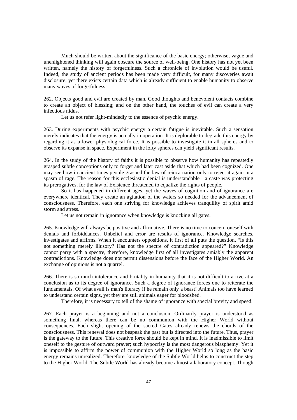Much should be written about the significance of the basic energy; otherwise, vague and unenlightened thinking will again obscure the source of well-being. One history has not yet been written, namely the history of forgetfulness. Such a chronicle of involution would be useful. Indeed, the study of ancient periods has been made very difficult, for many discoveries await disclosure; yet there exists certain data which is already sufficient to enable humanity to observe many waves of forgetfulness.

262. Objects good and evil are created by man. Good thoughts and benevolent contacts combine to create an object of blessing; and on the other hand, the touches of evil can create a very infectious nidus.

Let us not refer light-mindedly to the essence of psychic energy.

263. During experiments with psychic energy a certain fatigue is inevitable. Such a sensation merely indicates that the energy is actually in operation. It is deplorable to degrade this energy by regarding it as a lower physiological force. It is possible to investigate it in all spheres and to observe its expanse in space. Experiment in the lofty spheres can yield significant results.

264. In the study of the history of faiths it is possible to observe how humanity has repeatedly grasped subtle conceptions only to forget and later cast aside that which had been cognized. One may see how in ancient times people grasped the law of reincarnation only to reject it again in a spasm of rage. The reason for this ecclesiastic denial is understandable—a caste was protecting its prerogatives, for the law of Existence threatened to equalize the rights of people.

 So it has happened in different ages, yet the waves of cognition and of ignorance are everywhere identical. They create an agitation of the waters so needed for the advancement of consciousness. Therefore, each one striving for knowledge achieves tranquility of spirit amid storm and stress.

Let us not remain in ignorance when knowledge is knocking all gates.

265. Knowledge will always be positive and affirmative. There is no time to concern oneself with denials and forbiddances. Unbelief and error are results of ignorance. Knowledge searches, investigates and affirms. When it encounters oppositions, it first of all puts the question, "Is this not something merely illusory? Has not the spectre of contradiction appeared?" Knowledge cannot parry with a spectre, therefore, knowledge first of all investigates amiably the apparent contradictions. Knowledge does not permit dissensions before the face of the Higher World. An exchange of opinions is not a quarrel.

266. There is so much intolerance and brutality in humanity that it is not difficult to arrive at a conclusion as to its degree of ignorance. Such a degree of ignorance forces one to reiterate the fundamentals. Of what avail is man's literacy if he remain only a beast! Animals too have learned to understand certain signs, yet they are still animals eager for bloodshed.

Therefore, it is necessary to tell of the shame of ignorance with special brevity and speed.

267. Each prayer is a beginning and not a conclusion. Ordinarily prayer is understood as something final, whereas there can be no communion with the Higher World without consequences. Each slight opening of the sacred Gates already renews the chords of the consciousness. This renewal does not bespeak the past but is directed into the future. Thus, prayer is the gateway to the future. This creative force should be kept in mind. It is inadmissible to limit oneself to the gesture of outward prayer; such hypocrisy is the most dangerous blasphemy. Yet it is impossible to affirm the power of communion with the Higher World so long as the basic energy remains unrealized. Therefore, knowledge of the Subtle World helps to construct the step to the Higher World. The Subtle World has already become almost a laboratory concept. Though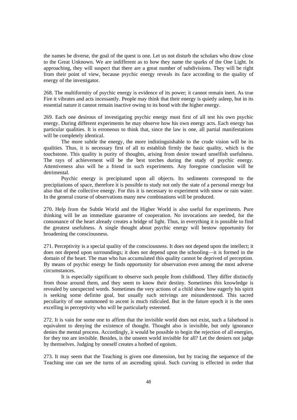the names be diverse, the goal of the quest is one. Let us not disturb the scholars who draw close to the Great Unknown. We are indifferent as to how they name the sparks of the One Light. In approaching, they will suspect that there are a great number of subdivisions. They will be right from their point of view, because psychic energy reveals its face according to the quality of energy of the investigator.

268. The multiformity of psychic energy is evidence of its power; it cannot remain inert. As true Fire it vibrates and acts incessantly. People may think that their energy is quietly asleep, but in its essential nature it cannot remain inactive owing to its bond with the higher energy.

269. Each one desirous of investigating psychic energy must first of all test his own psychic energy. During different experiments he may observe how his own energy acts. Each energy has particular qualities. It is erroneous to think that, since the law is one, all partial manifestations will be completely identical.

 The more subtle the energy, the more indistinguishable to the crude vision will be its qualities. Thus, it is necessary first of all to establish firmly the basic quality, which is the touchstone. This quality is purity of thoughts, arising from desire toward unselfish usefulness. The rays of achievement will be the best torches during the study of psychic energy. Attentiveness also will be a friend in such experiments. Any foregone conclusion will be detrimental.

 Psychic energy is precipitated upon all objects. Its sediments correspond to the precipitations of space, therefore it is possible to study not only the state of a personal energy but also that of the collective energy. For this it is necessary to experiment with snow or rain water. In the general course of observations many new combinations will be produced.

270. Help from the Subtle World and the Higher World is also useful for experiments. Pure thinking will be an immediate guarantee of cooperation. No invocations are needed, for the consonance of the heart already creates a bridge of light. Thus, in everything it is possible to find the greatest usefulness. A single thought about psychic energy will bestow opportunity for broadening the consciousness.

271. Perceptivity is a special quality of the consciousness. It does not depend upon the intellect; it does not depend upon surroundings; it does not depend upon the schooling—it is formed in the domain of the heart. The man who has accumulated this quality cannot be deprived of perception. By means of psychic energy he finds opportunity for observation even among the most adverse circumstances.

 It is especially significant to observe such people from childhood. They differ distinctly from those around them, and they seem to know their destiny. Sometimes this knowledge is revealed by unexpected words. Sometimes the very actions of a child show how eagerly his spirit is seeking some definite goal, but usually such strivings are misunderstood. This sacred peculiarity of one summoned to ascent is much ridiculed. But in the future epoch it is the ones excelling in perceptivity who will be particularly esteemed.

272. It is vain for some one to affirm that the invisible world does not exist, such a falsehood is equivalent to denying the existence of thought. Thought also is invisible, but only ignorance denies the mental process. Accordingly, it would be possible to begin the rejection of all energies, for they too are invisible. Besides, is the unseen world invisible for all? Let the deniers not judge by themselves. Judging by oneself creates a hotbed of egoism.

273. It may seem that the Teaching is given one dimension, but by tracing the sequence of the Teaching one can see the turns of an ascending spiral. Such curving is effected in order that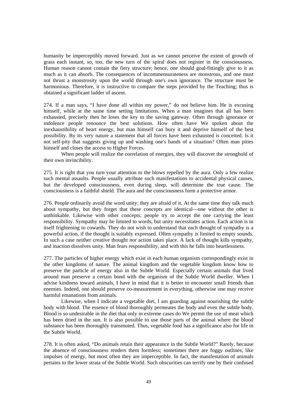humanity be imperceptibly moved forward. Just as we cannot perceive the extent of growth of grass each instant, so, too, the new turn of the spiral does not register in the consciousness. Human reason cannot contain the fiery structure; hence, one should goal-fittingly give to it as much as it can absorb. The consequences of incommensurateness are monstrous, and one must not thrust a monstrosity upon the world through one's own ignorance. The structure must be harmonious. Therefore, it is instructive to compare the steps provided by the Teaching; thus is obtained a significant ladder of ascent.

274. If a man says, "I have done all within my power," do not believe him. He is excusing himself, while at the same time setting limitations. When a man imagines that all has been exhausted, precisely then he loses the key to the saving gateway. Often through ignorance or indolence people renounce the best solutions. How often have We spoken about the inexhaustibility of heart energy, but man himself can bury it and deprive himself of the best possibility. By its very nature a statement that all forces have been exhausted is conceited. Is it not self-pity that suggests giving up and washing one's hands of a situation? Often man pities himself and closes the access to Higher Forces.

 When people will realize the correlation of energies, they will discover the stronghold of their own invincibility.

275. It is right that you turn your attention to the blows repelled by the aura. Only a few realize such mental assaults. People usually attribute such manifestations to accidental physical causes, but the developed consciousness, even during sleep, will determine the true cause. The consciousness is a faithful shield. The aura and the consciousness form a protective armor.

276. People ordinarily avoid the word unity; they are afraid of it. At the same time they talk much about sympathy, but they forget that these concepts are identical—one without the other is unthinkable. Likewise with other concepts; people try to accept the one carrying the least responsibility. Sympathy may be limited to words, but unity necessitates action. Each action is in itself frightening to cowards. They do not wish to understand that each thought of sympathy is a powerful action, if the thought is suitably expressed. Often sympathy is limited to empty sounds. In such a case neither creative thought nor action takes place. A lack of thought kills sympathy, and inaction dissolves unity. Man fears responsibility, and with this he falls into heartlessness.

277. The particles of higher energy which exist in each human organism correspondingly exist in the other kingdoms of nature. The animal kingdom and the vegetable kingdom know how to preserve the particle of energy also in the Subtle World. Especially certain animals that lived around man preserve a certain bond with the organism of the Subtle World dweller. When I advise kindness toward animals, I have in mind that it is better to encounter small friends than enemies. Indeed, one should preserve co-measurement in everything, otherwise one may receive harmful emanations from animals.

 Likewise, when I indicate a vegetable diet, I am guarding against nourishing the subtle body with blood. The essence of blood thoroughly permeates the body and even the subtle body. Blood is so undesirable in the diet that only in extreme cases do We permit the use of meat which has been dried in the sun. It is also possible to use those parts of the animal where the blood substance has been thoroughly transmuted. Thus, vegetable food has a significance also for life in the Subtle World.

278. It is often asked, "Do animals retain their appearance in the Subtle World?" Rarely, because the absence of consciousness renders them formless; sometimes there are foggy outlines, like impulses of energy, but most often they are imperceptible. In fact, the manifestation of animals pertains to the lower strata of the Subtle World. Such obscurities can terrify one by their confused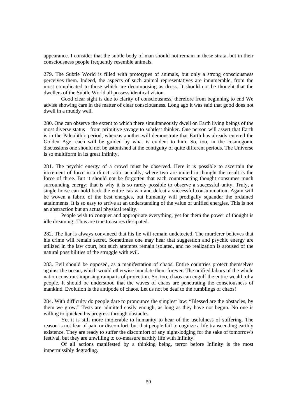appearance. I consider that the subtle body of man should not remain in these strata, but in their consciousness people frequently resemble animals.

279. The Subtle World is filled with prototypes of animals, but only a strong consciousness perceives them. Indeed, the aspects of such animal representatives are innumerable, from the most complicated to those which are decomposing as dross. It should not be thought that the dwellers of the Subtle World all possess identical vision.

 Good clear sight is due to clarity of consciousness, therefore from beginning to end We advise showing care in the matter of clear consciousness. Long ago it was said that good does not dwell in a muddy well.

280. One can observe the extent to which there simultaneously dwell on Earth living beings of the most diverse status—from primitive savage to subtlest thinker. One person will assert that Earth is in the Paleolithic period, whereas another will demonstrate that Earth has already entered the Golden Age, each will be guided by what is evident to him. So, too, in the cosmogonic discussions one should not be astonished at the contiguity of quite different periods. The Universe is so multiform in its great Infinity.

281. The psychic energy of a crowd must be observed. Here it is possible to ascertain the increment of force in a direct ratio: actually, where two are united in thought the result is the force of three. But it should not be forgotten that each counteracting thought consumes much surrounding energy; that is why it is so rarely possible to observe a successful unity. Truly, a single horse can hold back the entire caravan and defeat a successful consummation. Again will be woven a fabric of the best energies, but humanity will prodigally squander the ordained attainments. It is so easy to arrive at an understanding of the value of unified energies. This is not an abstraction but an actual physical reality.

 People wish to conquer and appropriate everything, yet for them the power of thought is idle dreaming! Thus are true treasures dissipated.

282. The liar is always convinced that his lie will remain undetected. The murderer believes that his crime will remain secret. Sometimes one may hear that suggestion and psychic energy are utilized in the law court, but such attempts remain isolated, and no realization is aroused of the natural possibilities of the struggle with evil.

283. Evil should be opposed, as a manifestation of chaos. Entire countries protect themselves against the ocean, which would otherwise inundate them forever. The unified labors of the whole nation construct imposing ramparts of protection. So, too, chaos can engulf the entire wealth of a people. It should be understood that the waves of chaos are penetrating the consciousness of mankind. Evolution is the antipode of chaos. Let us not be deaf to the rumblings of chaos!

284. With difficulty do people dare to pronounce the simplest law: "Blessed are the obstacles, by them we grow." Tests are admitted easily enough, as long as they have not begun. No one is willing to quicken his progress through obstacles.

 Yet it is still more intolerable to humanity to hear of the usefulness of suffering. The reason is not fear of pain or discomfort, but that people fail to cognize a life transcending earthly existence. They are ready to suffer the discomfort of any night-lodging for the sake of tomorrow's festival, but they are unwilling to co-measure earthly life with Infinity.

 Of all actions manifested by a thinking being, terror before Infinity is the most impermissibly degrading.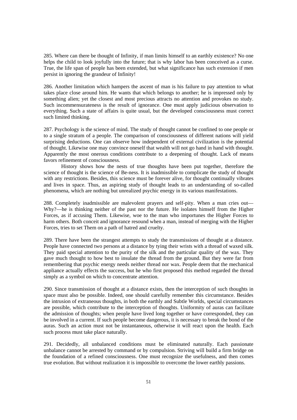285. Where can there be thought of Infinity, if man limits himself to an earthly existence? No one helps the child to look joyfully into the future; that is why labor has been conceived as a curse. True, the life span of people has been extended, but what significance has such extension if men persist in ignoring the grandeur of Infinity!

286. Another limitation which hampers the ascent of man is his failure to pay attention to what takes place close around him. He wants that which belongs to another; he is impressed only by something alien; yet the closest and most precious attracts no attention and provokes no study. Such incommensurateness is the result of ignorance. One must apply judicious observation to everything. Such a state of affairs is quite usual, but the developed consciousness must correct such limited thinking.

287. Psychology is the science of mind. The study of thought cannot be confined to one people or to a single stratum of a people. The comparison of consciousness of different nations will yield surprising deductions. One can observe how independent of external civilization is the potential of thought. Likewise one may convince oneself that wealth will not go hand in hand with thought. Apparently the most onerous conditions contribute to a deepening of thought. Lack of means favors refinement of consciousness.

 History shows how the nests of true thoughts have been put together, therefore the science of thought is the science of Be-ness. It is inadmissible to complicate the study of thought with any restrictions. Besides, this science must be forever alive, for thought continually vibrates and lives in space. Thus, an aspiring study of thought leads to an understanding of so-called phenomena, which are nothing but unrealized psychic energy in its various manifestations.

288. Completely inadmissible are malevolent prayers and self-pity. When a man cries out— Why?—he is thinking neither of the past nor the future. He isolates himself from the Higher Forces, as if accusing Them. Likewise, woe to the man who importunes the Higher Forces to harm others. Both conceit and ignorance resound when a man, instead of merging with the Higher Forces, tries to set Them on a path of hatred and cruelty.

289. There have been the strangest attempts to study the transmissions of thought at a distance. People have connected two persons at a distance by tying their wrists with a thread of waxed silk. They paid special attention to the purity of the silk and the particular quality of the wax. They gave much thought to how best to insulate the thread from the ground. But they were far from remembering that psychic energy needs neither thread nor wax. People deem that the mechanical appliance actually effects the success, but he who first proposed this method regarded the thread simply as a symbol on which to concentrate attention.

290. Since transmission of thought at a distance exists, then the interception of such thoughts in space must also be possible. Indeed, one should carefully remember this circumstance. Besides the intrusion of extraneous thoughts, in both the earthly and Subtle Worlds, special circumstances are possible, which contribute to the interception of thoughts. Uniformity of auras can facilitate the admission of thoughts; when people have lived long together or have corresponded, they can be involved in a current. If such people become dangerous, it is necessary to break the bond of the auras. Such an action must not be instantaneous, otherwise it will react upon the health. Each such process must take place naturally.

291. Decidedly, all unbalanced conditions must be eliminated naturally. Each passionate unbalance cannot be arrested by command or by compulsion. Striving will build a firm bridge on the foundation of a refined consciousness. One must recognize the usefulness, and then comes true evolution. But without realization it is impossible to overcome the lower earthly passions.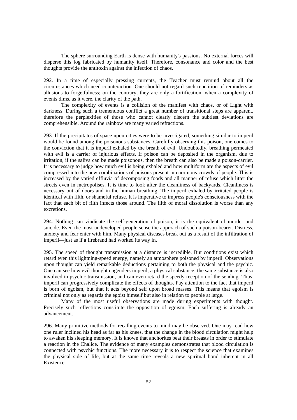The sphere surrounding Earth is dense with humanity's passions. No external forces will disperse this fog fabricated by humanity itself. Therefore, consonance and color and the best thoughts provide the antitoxin against the infection of chaos.

292. In a time of especially pressing currents, the Teacher must remind about all the circumstances which need counteraction. One should not regard such repetition of reminders as allusions to forgetfulness; on the contrary, they are only a fortification, when a complexity of events dims, as it were, the clarity of the path.

 The complexity of events is a collision of the manifest with chaos, or of Light with darkness. During such a tremendous conflict a great number of transitional steps are apparent, therefore the perplexities of those who cannot clearly discern the subtlest deviations are comprehensible. Around the rainbow are many varied refractions.

293. If the precipitates of space upon cities were to be investigated, something similar to imperil would be found among the poisonous substances. Carefully observing this poison, one comes to the conviction that it is imperil exhaled by the breath of evil. Undoubtedly, breathing permeated with evil is a carrier of injurious effects. If poison can be deposited in the organism, due to irritation, if the saliva can be made poisonous, then the breath can also be made a poison-carrier. It is necessary to judge how much evil is being exhaled and how multiform are the aspects of evil compressed into the new combinations of poisons present in enormous crowds of people. This is increased by the varied effluvia of decomposing foods and all manner of refuse which litter the streets even in metropolises. It is time to look after the cleanliness of backyards. Cleanliness is necessary out of doors and in the human breathing. The imperil exhaled by irritated people is identical with filth, or shameful refuse. It is imperative to impress people's consciousness with the fact that each bit of filth infects those around. The filth of moral dissolution is worse than any excretions.

294. Nothing can vindicate the self-generation of poison, it is the equivalent of murder and suicide. Even the most undeveloped people sense the approach of such a poison-bearer. Distress, anxiety and fear enter with him. Many physical diseases break out as a result of the infiltration of imperil—just as if a firebrand had worked its way in.

295. The speed of thought transmission at a distance is incredible. But conditions exist which retard even this lightning-speed energy, namely an atmosphere poisoned by imperil. Observations upon thought can yield remarkable deductions pertaining to both the physical and the psychic. One can see how evil thought engenders imperil, a physical substance; the same substance is also involved in psychic transmission, and can even retard the speedy reception of the sending. Thus, imperil can progressively complicate the effects of thoughts. Pay attention to the fact that imperil is born of egoism, but that it acts beyond self upon broad masses. This means that egoism is criminal not only as regards the egoist himself but also in relation to people at large.

 Many of the most useful observations are made during experiments with thought. Precisely such reflections constitute the opposition of egoism. Each suffering is already an advancement.

296. Many primitive methods for recalling events to mind may be observed. One may read how one ruler inclined his head as far as his knees, that the change in the blood circulation might help to awaken his sleeping memory. It is known that anchorites beat their breasts in order to stimulate a reaction in the Chalice. The evidence of many examples demonstrates that blood circulation is connected with psychic functions. The more necessary it is to respect the science that examines the physical side of life, but at the same time reveals a new spiritual bond inherent in all Existence.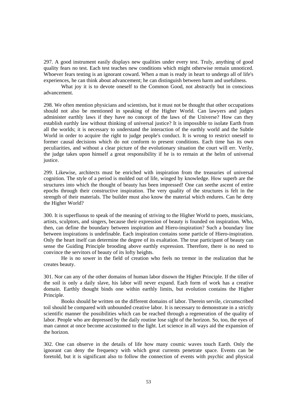297. A good instrument easily displays new qualities under every test. Truly, anything of good quality fears no test. Each test teaches new conditions which might otherwise remain unnoticed. Whoever fears testing is an ignorant coward. When a man is ready in heart to undergo all of life's experiences, he can think about advancement; he can distinguish between harm and usefulness.

What joy it is to devote oneself to the Common Good, not abstractly but in conscious advancement.

298. We often mention physicians and scientists, but it must not be thought that other occupations should not also be mentioned in speaking of the Higher World. Can lawyers and judges administer earthly laws if they have no concept of the laws of the Universe? How can they establish earthly law without thinking of universal justice? It is impossible to isolate Earth from all the worlds; it is necessary to understand the interaction of the earthly world and the Subtle World in order to acquire the right to judge people's conduct. It is wrong to restrict oneself to former causal decisions which do not conform to present conditions. Each time has its own peculiarities, and without a clear picture of the evolutionary situation the court will err. Verily, the judge takes upon himself a great responsibility if he is to remain at the helm of universal justice.

299. Likewise, architects must be enriched with inspiration from the treasuries of universal cognition. The style of a period is molded out of life, winged by knowledge. How superb are the structures into which the thought of beauty has been impressed! One can seethe ascent of entire epochs through their constructive inspiration. The very quality of the structures is felt in the strength of their materials. The builder must also know the material which endures. Can he deny the Higher World?

300. It is superfluous to speak of the meaning of striving to the Higher World to poets, musicians, artists, sculptors, and singers, because their expression of beauty is founded on inspiration. Who, then, can define the boundary between inspiration and Hiero-inspiration? Such a boundary line between inspirations is undefinable. Each inspiration contains some particle of Hiero-inspiration. Only the heart itself can determine the degree of its exaltation. The true participant of beauty can sense the Guiding Principle brooding above earthly expression. Therefore, there is no need to convince the servitors of beauty of its lofty heights.

 He is no sower in the field of creation who feels no tremor in the realization that he creates beauty.

301. Nor can any of the other domains of human labor disown the Higher Principle. If the tiller of the soil is only a daily slave, his labor will never expand. Each form of work has a creative domain. Earthly thought binds one within earthly limits, but evolution contains the Higher Principle.

 Books should be written on the different domains of labor. Therein servile, circumscribed toil should be compared with unbounded creative labor. It is necessary to demonstrate in a strictly scientific manner the possibilities which can be reached through a regeneration of the quality of labor. People who are depressed by the daily routine lose sight of the horizon. So, too, the eyes of man cannot at once become accustomed to the light. Let science in all ways aid the expansion of the horizon.

302. One can observe in the details of life how many cosmic waves touch Earth. Only the ignorant can deny the frequency with which great currents penetrate space. Events can be foretold, but it is significant also to follow the connection of events with psychic and physical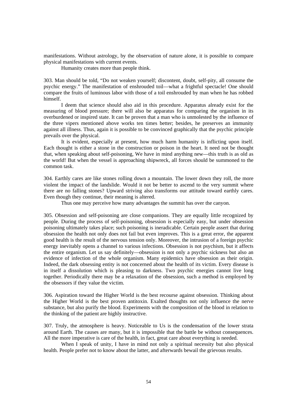manifestations. Without astrology, by the observation of nature alone, it is possible to compare physical manifestations with current events.

Humanity creates more than people think.

303. Man should be told, "Do not weaken yourself; discontent, doubt, self-pity, all consume the psychic energy." The manifestation of enshrouded toil—what a frightful spectacle! One should compare the fruits of luminous labor with those of a toil enshrouded by man when he has robbed himself.

 I deem that science should also aid in this procedure. Apparatus already exist for the measuring of blood pressure; there will also be apparatus for comparing the organism in its overburdened or inspired state. It can be proven that a man who is unmolested by the influence of the three vipers mentioned above works ten times better; besides, he preserves an immunity against all illness. Thus, again it is possible to be convinced graphically that the psychic principle prevails over the physical.

 It is evident, especially at present, how much harm humanity is inflicting upon itself. Each thought is either a stone in the construction or poison in the heart. It need not be thought that, when speaking about self-poisoning, We have in mind anything new—this truth is as old as the world! But when the vessel is approaching shipwreck, all forces should be summoned to the common task.

304. Earthly cares are like stones rolling down a mountain. The lower down they roll, the more violent the impact of the landslide. Would it not be better to ascend to the very summit where there are no falling stones? Upward striving also transforms our attitude toward earthly cares. Even though they continue, their meaning is altered.

Thus one may perceive how many advantages the summit has over the canyon.

305. Obsession and self-poisoning are close companions. They are equally little recognized by people. During the process of self-poisoning, obsession is especially easy, but under obsession poisoning ultimately takes place; such poisoning is ineradicable. Certain people assert that during obsession the health not only does not fail but even improves. This is a great error, the apparent good health is the result of the nervous tension only. Moreover, the intrusion of a foreign psychic energy inevitably opens a channel to various infections. Obsession is not psychism, but it affects the entire organism. Let us say definitely—obsession is not only a psychic sickness but also an evidence of infection of the whole organism. Many epidemics have obsession as their origin. Indeed, the dark obsessing entity is not concerned about the health of its victim. Every disease is in itself a dissolution which is pleasing to darkness. Two psychic energies cannot live long together. Periodically there may be a relaxation of the obsession, such a method is employed by the obsessors if they value the victim.

306. Aspiration toward the Higher World is the best recourse against obsession. Thinking about the Higher World is the best proven antitoxin. Exalted thoughts not only influence the nerve substance, but also purify the blood. Experiments with the composition of the blood in relation to the thinking of the patient are highly instructive.

307. Truly, the atmosphere is heavy. Noticeable to Us is the condensation of the lower strata around Earth. The causes are many, but it is impossible that the battle be without consequences. All the more imperative is care of the health, in fact, great care about everything is needed.

When I speak of unity, I have in mind not only a spiritual necessity but also physical health. People prefer not to know about the latter, and afterwards bewail the grievous results.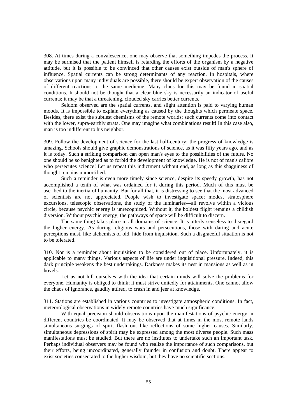308. At times during a convalescence, one may observe that something impedes the process. It may be surmised that the patient himself is retarding the efforts of the organism by a negative attitude, but it is possible to be convinced that other causes exist outside of man's sphere of influence. Spatial currents can be strong determinants of any reaction. In hospitals, where observations upon many individuals are possible, there should be expert observation of the causes of different reactions to the same medicine. Many clues for this may be found in spatial conditions. It should not be thought that a clear blue sky is necessarily an indicator of useful currents; it may be that a threatening, clouded sky carries better currents.

 Seldom observed are the spatial currents, and slight attention is paid to varying human moods. It is impossible to explain everything as caused by the thoughts which permeate space. Besides, there exist the subtlest chemisms of the remote worlds; such currents come into contact with the lower, supra-earthly strata. One may imagine what combinations result! In this case also, man is too indifferent to his neighbor.

309. Follow the development of science for the last half-century; the progress of knowledge is amazing. Schools should give graphic demonstrations of science, as it was fifty years ago, and as it is today. Such a striking comparison can open man's eyes to the possibilities of the future. No one should be so benighted as to forbid the development of knowledge. He is not of man's calibre who persecutes science! Let us repeat this indictment without end, as long as this shagginess of thought remains unmortified.

 Such a reminder is even more timely since science, despite its speedy growth, has not accomplished a tenth of what was ordained for it during this period. Much of this must be ascribed to the inertia of humanity. But for all that, it is distressing to see that the most advanced of scientists are not appreciated. People wish to investigate space; modest stratosphere excursions, telescopic observations, the study of the luminaries—all revolve within a vicious circle, because psychic energy is unrecognized. Without it, the boldest flight remains a childish diversion. Without psychic energy, the pathways of space will be difficult to discern.

 The same thing takes place in all domains of science. It is utterly senseless to disregard the higher energy. As during religious wars and persecutions, those with daring and acute perceptions must, like alchemists of old, hide from inquisition. Such a disgraceful situation is not to be tolerated.

310. Nor is a reminder about inquisition to be considered out of place. Unfortunately, it is applicable to many things. Various aspects of life are under inquisitional pressure. Indeed, this dark principle weakens the best undertakings. Darkness makes its nest in mansions as well as in hovels.

 Let us not lull ourselves with the idea that certain minds will solve the problems for everyone. Humanity is obliged to think; it must strive unitedly for attainments. One cannot allow the chaos of ignorance, gaudily attired, to crash in and jeer at knowledge.

311. Stations are established in various countries to investigate atmospheric conditions. In fact, meteorological observations in widely remote countries have much significance.

 With equal precision should observations upon the manifestations of psychic energy in different countries be coordinated. It may be observed that at times in the most remote lands simultaneous surgings of spirit flash out like reflections of some higher causes. Similarly, simultaneous depressions of spirit may be expressed among the most diverse people. Such mass manifestations must be studied. But there are no institutes to undertake such an important task. Perhaps individual observers may be found who realize the importance of such comparisons, but their efforts, being uncoordinated, generally founder in confusion and doubt. There appear to exist societies consecrated to the higher wisdom, but they have no scientific sections.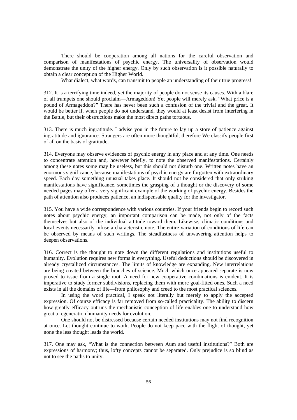There should be cooperation among all nations for the careful observation and comparison of manifestations of psychic energy. The universality of observation would demonstrate the unity of the higher energy. Only by such observation is it possible naturally to obtain a clear conception of the Higher World.

What dialect, what words, can transmit to people an understanding of their true progress!

312. It is a terrifying time indeed, yet the majority of people do not sense its causes. With a blare of all trumpets one should proclaim—Armageddon! Yet people will merely ask, "What price is a pound of Armageddon?" There has never been such a confusion of the trivial and the great. It would be better if, when people do not understand, they would at least desist from interfering in the Battle, but their obstructions make the most direct paths tortuous.

313. There is much ingratitude. I advise you in the future to lay up a store of patience against ingratitude and ignorance. Strangers are often more thoughtful, therefore We classify people first of all on the basis of gratitude.

314. Everyone may observe evidences of psychic energy in any place and at any time. One needs to concentrate attention and, however briefly, to note the observed manifestations. Certainly among these notes some may be useless, but this should not disturb one. Written notes have an enormous significance, because manifestations of psychic energy are forgotten with extraordinary speed. Each day something unusual takes place. It should not be considered that only striking manifestations have significance, sometimes the grasping of a thought or the discovery of some needed pages may offer a very significant example of the working of psychic energy. Besides the path of attention also produces patience, an indispensable quality for the investigator.

315. You have a wide correspondence with various countries. If your friends begin to record such notes about psychic energy, an important comparison can be made, not only of the facts themselves but also of the individual attitude toward them. Likewise, climatic conditions and local events necessarily infuse a characteristic note. The entire variation of conditions of life can be observed by means of such writings. The steadfastness of unwavering attention helps to deepen observations.

316. Correct is the thought to note down the different regulations and institutions useful to humanity. Evolution requires new forms in everything. Useful deductions should be discovered in already crystallized circumstances. The limits of knowledge are expanding. New interrelations are being created between the branches of science. Much which once appeared separate is now proved to issue from a single root. A need for new cooperative combinations is evident. It is imperative to study former subdivisions, replacing them with more goal-fitted ones. Such a need exists in all the domains of life—from philosophy and creed to the most practical sciences.

 In using the word practical, I speak not literally but merely to apply the accepted expression. Of course efficacy is far removed from so-called practicality. The ability to discern how greatly efficacy outruns the mechanistic conception of life enables one to understand how great a regeneration humanity needs for evolution.

 One should not be distressed because certain needed institutions may not find recognition at once. Let thought continue to work. People do not keep pace with the flight of thought, yet none the less thought leads the world.

317. One may ask, "What is the connection between Aum and useful institutions?" Both are expressions of harmony; thus, lofty concepts cannot be separated. Only prejudice is so blind as not to see the paths to unity.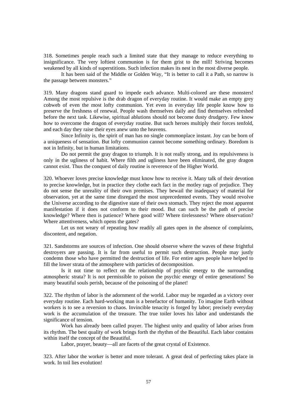318. Sometimes people reach such a limited state that they manage to reduce everything to insignificance. The very loftiest communion is for them grist to the mill! Striving becomes weakened by all kinds of superstitions. Such infection makes its nest in the most diverse people.

 It has been said of the Middle or Golden Way, "It is better to call it a Path, so narrow is the passage between monsters."

319. Many dragons stand guard to impede each advance. Multi-colored are these monsters! Among the most repulsive is the drab dragon of everyday routine. It would make an empty grey cobweb of even the most lofty communion. Yet even in everyday life people know how to preserve the freshness of renewal. People wash themselves daily and find themselves refreshed before the next task. Likewise, spiritual ablutions should not become dusty drudgery. Few know how to overcome the dragon of everyday routine. But such heroes multiply their forces tenfold, and each day they raise their eyes anew unto the heavens.

 Since Infinity is, the spirit of man has no single commonplace instant. Joy can be born of a uniqueness of sensation. But lofty communion cannot become something ordinary. Boredom is not in Infinity, but in human limitations.

 Do not permit the gray dragon to triumph. It is not really strong, and its repulsiveness is only in the ugliness of habit. Where filth and ugliness have been eliminated, the gray dragon cannot exist. Thus the conquest of daily routine is reverence of the Higher World.

320. Whoever loves precise knowledge must know how to receive it. Many talk of their devotion to precise knowledge, but in practice they clothe each fact in the motley rags of prejudice. They do not sense the unreality of their own premises. They bewail the inadequacy of material for observation, yet at the same time disregard the most unprecedented events. They would revolve the Universe according to the digestive state of their own stomach. They reject the most apparent manifestation if it does not conform to their mood. But can such be the path of precise knowledge? Where then is patience? Where good will? Where tirelessness? Where observation? Where attentiveness, which opens the gates?

Let us not weary of repeating how readily all gates open in the absence of complaints, discontent, and negation.

321. Sandstorms are sources of infection. One should observe where the waves of these frightful destroyers are passing. It is far from useful to permit such destruction. People may justly condemn those who have permitted the destruction of life. For entire ages people have helped to fill the lower strata of the atmosphere with particles of decomposition.

 Is it not time to reflect on the relationship of psychic energy to the surrounding atmospheric strata? It is not permissible to poison the psychic energy of entire generations! So many beautiful souls perish, because of the poisoning of the planet!

322. The rhythm of labor is the adornment of the world. Labor may be regarded as a victory over everyday routine. Each hard-working man is a benefactor of humanity. To imagine Earth without workers is to see a reversion to chaos. Invincible tenacity is forged by labor; precisely everyday work is the accumulation of the treasure. The true toiler loves his labor and understands the significance of tension.

 Work has already been called prayer. The highest unity and quality of labor arises from its rhythm. The best quality of work brings forth the rhythm of the Beautiful. Each labor contains within itself the concept of the Beautiful.

Labor, prayer, beauty—all are facets of the great crystal of Existence.

323. After labor the worker is better and more tolerant. A great deal of perfecting takes place in work. In toil lies evolution!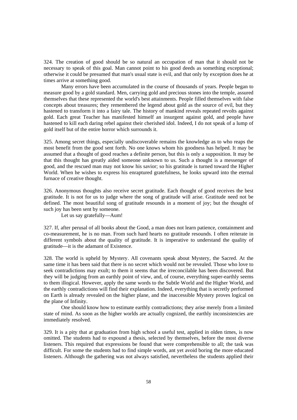324. The creation of good should be so natural an occupation of man that it should not be necessary to speak of this goal. Man cannot point to his good deeds as something exceptional; otherwise it could be presumed that man's usual state is evil, and that only by exception does he at times arrive at something good.

 Many errors have been accumulated in the course of thousands of years. People began to measure good by a gold standard. Men, carrying gold and precious stones into the temple, assured themselves that these represented the world's best attainments. People filled themselves with false concepts about treasures; they remembered the legend about gold as the source of evil, but they hastened to transform it into a fairy tale. The history of mankind reveals repeated revolts against gold. Each great Teacher has manifested himself an insurgent against gold, and people have hastened to kill each daring rebel against their cherished idol. Indeed, I do not speak of a lump of gold itself but of the entire horror which surrounds it.

325. Among secret things, especially undiscoverable remains the knowledge as to who reaps the most benefit from the good sent forth. No one knows whom his goodness has helped. It may be assumed that a thought of good reaches a definite person, but this is only a supposition. It may be that this thought has greatly aided someone unknown to us. Such a thought is a messenger of good, and the rescued man may not know his savior; so his gratitude is turned toward the Higher World. When he wishes to express his enraptured gratefulness, he looks upward into the eternal furnace of creative thought.

326. Anonymous thoughts also receive secret gratitude. Each thought of good receives the best gratitude. It is not for us to judge where the song of gratitude will arise. Gratitude need not be defined. The most beautiful song of gratitude resounds in a moment of joy; but the thought of such joy has been sent by someone.

Let us say gratefully—Aum!

327. If, after perusal of all books about the Good, a man does not learn patience, containment and co-measurement, he is no man. From such hard hearts no gratitude resounds. I often reiterate in different symbols about the quality of gratitude. It is imperative to understand the quality of gratitude—it is the adamant of Existence.

328. The world is upheld by Mystery. All covenants speak about Mystery, the Sacred. At the same time it has been said that there is no secret which would not be revealed. Those who love to seek contradictions may exult; to them it seems that the irreconcilable has been discovered. But they will be judging from an earthly point of view, and, of course, everything super-earthly seems to them illogical. However, apply the same words to the Subtle World and the Higher World, and the earthly contradictions will find their explanation. Indeed, everything that is secretly performed on Earth is already revealed on the higher plane, and the inaccessible Mystery proves logical on the plane of Infinity.

 One should know how to estimate earthly contradictions; they arise merely from a limited state of mind. As soon as the higher worlds are actually cognized, the earthly inconsistencies are immediately resolved.

329. It is a pity that at graduation from high school a useful test, applied in olden times, is now omitted. The students had to expound a thesis, selected by themselves, before the most diverse listeners. This required that expressions be found that were comprehensible to all; the task was difficult. For some the students had to find simple words, ant yet avoid boring the more educated listeners. Although the gathering was not always satisfied, nevertheless the students applied their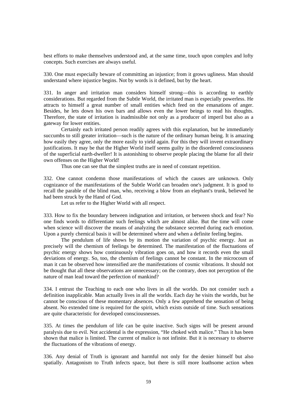best efforts to make themselves understood and, at the same time, touch upon complex and lofty concepts. Such exercises are always useful.

330. One must especially beware of committing an injustice; from it grows ugliness. Man should understand where injustice begins. Not by words is it defined, but by the heart.

331. In anger and irritation man considers himself strong—this is according to earthly considerations. But regarded from the Subtle World, the irritated man is especially powerless. He attracts to himself a great number of small entities which feed on the emanations of anger. Besides, he lets down his own bars and allows even the lower beings to read his thoughts. Therefore, the state of irritation is inadmissible not only as a producer of imperil but also as a gateway for lower entities.

 Certainly each irritated person readily agrees with this explanation, but he immediately succumbs to still greater irritation—such is the nature of the ordinary human being. It is amazing how easily they agree, only the more easily to yield again. For this they will invent extraordinary justifications. It may be that the Higher World itself seems guilty in the disordered consciousness of the superficial earth-dweller! It is astonishing to observe people placing the blame for all their own offenses on the Higher World!

Thus one can see that the simplest truths are in need of constant repetition.

332. One cannot condemn those manifestations of which the causes are unknown. Only cognizance of the manifestations of the Subtle World can broaden one's judgment. It is good to recall the parable of the blind man, who, receiving a blow from an elephant's trunk, believed he had been struck by the Hand of God.

Let us refer to the Higher World with all respect.

333. How to fix the boundary between indignation and irritation, or between shock and fear? No one finds words to differentiate such feelings which are almost alike. But the time will come when science will discover the means of analyzing the substance secreted during each emotion. Upon a purely chemical basis it will be determined where and when a definite feeling begins.

 The pendulum of life shows by its motion the variation of psychic energy. Just as precisely will the chemism of feelings be determined. The manifestation of the fluctuations of psychic energy shows how continuously vibration goes on, and how it records even the small deviations of energy. So, too, the chemism of feelings cannot be constant. In the microcosm of man it can be observed how intensified are the manifestations of cosmic vibrations. It should not be thought that all these observations are unnecessary; on the contrary, does not perception of the nature of man lead toward the perfection of mankind?

334. I entrust the Teaching to each one who lives in all the worlds. Do not consider such a definition inapplicable. Man actually lives in all the worlds. Each day he visits the worlds, but he cannot be conscious of these momentary absences. Only a few apprehend the sensation of being absent. No extended time is required for the spirit, which exists outside of time. Such sensations are quite characteristic for developed consciousnesses.

335. At times the pendulum of life can be quite inactive. Such signs will be present around paralysis due to evil. Not accidental is the expression, "He choked with malice." Thus it has been shown that malice is limited. The current of malice is not infinite. But it is necessary to observe the fluctuations of the vibrations of energy.

336. Any denial of Truth is ignorant and harmful not only for the denier himself but also spatially. Antagonism to Truth infects space, but there is still more loathsome action when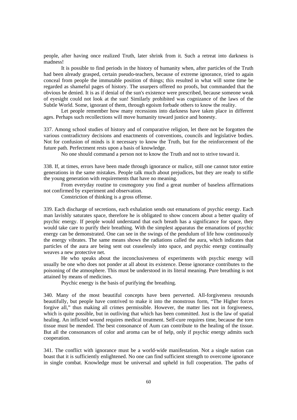people, after having once realized Truth, later shrink from it. Such a retreat into darkness is madness!

 It is possible to find periods in the history of humanity when, after particles of the Truth had been already grasped, certain pseudo-teachers, because of extreme ignorance, tried to again conceal from people the immutable position of things; this resulted in what will some time be regarded as shameful pages of history. The usurpers offered no proofs, but commanded that the obvious be denied. It is as if denial of the sun's existence were prescribed, because someone weak of eyesight could not look at the sun! Similarly prohibited was cognizance of the laws of the Subtle World. Some, ignorant of them, through egoism forbade others to know the reality.

 Let people remember how many recessions into darkness have taken place in different ages. Perhaps such recollections will move humanity toward justice and honesty.

337. Among school studies of history and of comparative religion, let there not be forgotten the various contradictory decisions and enactments of conventions, councils and legislative bodies. Not for confusion of minds is it necessary to know the Truth, but for the reinforcement of the future path. Perfectment rests upon a basis of knowledge.

No one should command a person not to know the Truth and not to strive toward it.

338. If, at times, errors have been made through ignorance or malice, still one cannot tutor entire generations in the same mistakes. People talk much about prejudices, but they are ready to stifle the young generation with requirements that have no meaning.

 From everyday routine to cosmogony you find a great number of baseless affirmations not confirmed by experiment and observation.

Constriction of thinking is a gross offense.

339. Each discharge of secretions, each exhalation sends out emanations of psychic energy. Each man lavishly saturates space, therefore he is obligated to show concern about a better quality of psychic energy. If people would understand that each breath has a significance for space, they would take care to purify their breathing. With the simplest apparatus the emanations of psychic energy can be demonstrated. One can see in the swings of the pendulum of life how continuously the energy vibrates. The same means shows the radiations called the aura, which indicates that particles of the aura are being sent out ceaselessly into space, and psychic energy continually weaves a new protective net.

 He who speaks about the inconclusiveness of experiments with psychic energy will usually be one who does not ponder at all about its existence. Dense ignorance contributes to the poisoning of the atmosphere. This must be understood in its literal meaning. Pure breathing is not attained by means of medicines.

Psychic energy is the basis of purifying the breathing.

340. Many of the most beautiful concepts have been perverted. All-forgiveness resounds beautifully, but people have contrived to make it into the monstrous form, "The Higher forces forgive all," thus making all crimes permissible. However, the matter lies not in forgiveness, which is quite possible, but in outliving that which has been committed. Just is the law of spatial healing. An inflicted wound requires medical treatment. Self-cure requires time, because the torn tissue must be mended. The best consonance of Aum can contribute to the healing of the tissue. But all the consonances of color and aroma can be of help, only if psychic energy admits such cooperation.

341. The conflict with ignorance must be a world-wide manifestation. Not a single nation can boast that it is sufficiently enlightened. No one can find sufficient strength to overcome ignorance in single combat. Knowledge must be universal and upheld in full cooperation. The paths of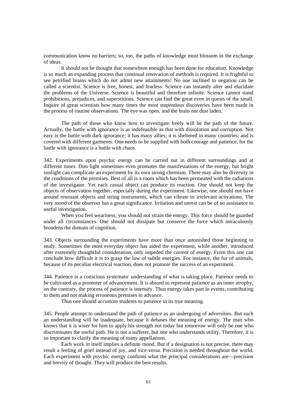communication know no barriers; so, too, the paths of knowledge must blossom in the exchange of ideas.

 It should not be thought that somewhere enough has been done for education. Knowledge is so much an expanding process that continual renovation of methods is required. It is frightful to see petrified brains which do not admit new attainments! No one inclined to negation can be called a scientist. Science is free, honest, and fearless. Science can instantly alter and elucidate the problems of the Universe. Science is beautiful and therefore infinite. Science cannot stand prohibitions, prejudices, and superstitions. Science can find the great even in quests of the small. Inquire of great scientists how many times the most stupendous discoveries have been made in the process of routine observations. The eye was open, and the brain not dust laden.

 The path of those who know how to investigate freely will be the path of the future. Actually, the battle with ignorance is as indefeasible as that with dissolution and corruption. Not easy is the battle with dark ignorance; it has many allies; it is sheltered in many countries; and is covered with different garments. One needs to be supplied with both courage and patience, for the battle with ignorance is a battle with chaos.

342. Experiments upon psychic energy can be carried out in different surroundings and at different times. Dim light sometimes even promotes the manifestations of the energy, but bright sunlight can complicate an experiment by its own strong chemism. There may also be diversity in the conditions of the premises. Best of all is a room which has been permeated with the radiations of the investigator. Yet each casual object can produce its reaction. One should not keep the objects of observation together, especially during the experiment. Likewise, one should not have around resonant objects and string instruments, which can vibrate to irrelevant activations. The very mood of the observer has a great significance. Irritation and unrest can be of no assistance to useful investigation.

 When you feel weariness, you should not strain the energy. This force should be guarded under all circumstances. One should not dissipate but conserve the force which miraculously broadens the domain of cognition.

343. Objects surrounding the experiments have more than once astonished those beginning to study. Sometimes the most everyday object has aided the experiment, while another, introduced after extremely thoughtful consideration, only impeded the current of energy. From this one can conclude how difficult it is to grasp the law of subtle energies. For instance, the fur of animals, because of its peculiar electrical reaction, does not promote the success of an experiment.

344. Patience is a conscious systematic understanding of what is taking place. Patience needs to be cultivated as a promoter of advancement. It is absurd to represent patience as an inner atrophy, on the contrary, the process of patience is intensity. Thus energy takes part in events, contributing to them and not making erroneous premises in advance.

Thus one should accustom students to patience in its true meaning.

345. People attempt to understand the path of patience as an undergoing of adversities. But such an understanding will be inadequate, because it debases the meaning of energy. The man who knows that it is wiser for him to apply his strength not today but tomorrow will only be one who discriminates the useful path. He is not a sufferer, but one who understands utility. Therefore, it is so important to clarify the meaning of many appellations.

 Each work in itself implies a definite mood. But if a designation is not precise, there may result a feeling of grief instead of joy, and vice-versa. Precision is needed throughout the world. Each experiment with psychic energy confirms what the principal considerations are—precision and brevity of thought. They will produce the best results.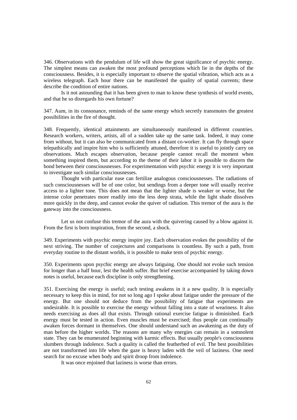346. Observations with the pendulum of life will show the great significance of psychic energy. The simplest means can awaken the most profound perceptions which lie in the depths of the consciousness. Besides, it is especially important to observe the spatial vibration, which acts as a wireless telegraph. Each hour there can be manifested the quality of spatial currents; these describe the condition of entire nations.

 Is it not astounding that it has been given to man to know these synthesis of world events, and that he so disregards his own fortune?

347. Aum, in its consonance, reminds of the same energy which secretly transmutes the greatest possibilities in the fire of thought.

348. Frequently, identical attainments are simultaneously manifested in different countries. Research workers, writers, artists, all of a sudden take up the same task. Indeed, it may come from without, but it can also be communicated from a distant co-worker. It can fly through space telepathically and inspire him who is sufficiently attuned, therefore it is useful to jointly carry on observations. Much escapes observation, because people cannot recall the moment when something inspired them, but according to the theme of their labor it is possible to discern the bond between their consciousnesses. For experimentation with psychic energy it is very important to investigate such similar consciousnesses.

 Thought with particular ease can fertilize analogous consciousnesses. The radiations of such consciousnesses will be of one color, but sendings from a deeper tone will usually receive access to a lighter tone. This does not mean that the lighter shade is weaker or worse, but the intense color penetrates more readily into the less deep strata, while the light shade dissolves more quickly in the deep, and cannot evoke the quiver of radiation. This tremor of the aura is the gateway into the consciousness.

Let us not confuse this tremor of the aura with the quivering caused by a blow against it. From the first is born inspiration, from the second, a shock.

349. Experiments with psychic energy inspire joy. Each observation evokes the possibility of the next striving. The number of conjectures and comparisons is countless. By such a path, from everyday routine to the distant worlds, it is possible to make tests of psychic energy.

350. Experiments upon psychic energy are always fatiguing. One should not evoke such tension for longer than a half hour, lest the health suffer. But brief exercise accompanied by taking down notes is useful, because each discipline is only strengthening.

351. Exercising the energy is useful; each testing awakens in it a new quality. It is especially necessary to keep this in mind, for not so long ago I spoke about fatigue under the pressure of the energy. But one should not deduce from the possibility of fatigue that experiments are undesirable. It is possible to exercise the energy without falling into a state of weariness. It also needs exercising as does all that exists. Through rational exercise fatigue is diminished. Each energy must be tested in action. Even muscles must be exercised; thus people can continually awaken forces dormant in themselves. One should understand such an awakening as the duty of man before the higher worlds. The reasons are many why energies can remain in a somnolent state. They can be enumerated beginning with karmic effects. But usually people's consciousness slumbers through indolence. Such a quality is called the featherbed of evil. The best possibilities are not transformed into life when the gaze is heavy laden with the veil of laziness. One need search for no excuse when body and spirit droop from indolence.

It was once enjoined that laziness is worse than errors.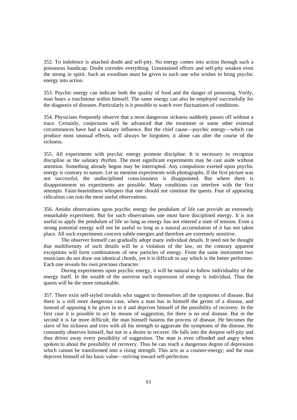352. To indolence is attached doubt and self-pity. No energy comes into action through such a poisonous handicap. Doubt corrodes everything. Unsustained efforts and self-pity weaken even the strong in spirit. Such an exordium must be given to each one who wishes to bring psychic energy into action.

353. Psychic energy can indicate both the quality of food and the danger of poisoning. Verily, man bears a touchstone within himself. The same energy can also be employed successfully for the diagnosis of diseases. Particularly is it possible to watch over fluctuations of conditions.

354. Physicians frequently observe that a most dangerous sickness suddenly passes off without a trace. Certainly, conjectures will be advanced that the treatment or some other external circumstances have had a salutary influence. But the chief cause—psychic energy—which can produce most unusual effects, will always be forgotten; it alone can alter the course of the sickness.

355. All experiments with psychic energy promote discipline. It is necessary to recognize discipline as the salutary rhythm. The most significant experiments may be cast aside without attention. Something already begun may be interrupted. Any compulsion exerted upon psychic energy is contrary to nature. Let us mention experiments with photographs. If the first picture was not successful, the undisciplined consciousness is disappointed. But where there is disappointment no experiments are possible. Many conditions can interfere with the first attempts. Faint-heartedness whispers that one should not continue the quests. Fear of appearing ridiculous can ruin the most useful observations.

356. Amidst observations upon psychic energy the pendulum of life can provide an extremely remarkable experiment. But for such observations one must have disciplined energy. It is not useful to apply the pendulum of life so long as energy has not entered a state of tension. Even a strong potential energy will not be useful so long as a natural accumulation of it has not taken place. All such experiments concern subtle energies and therefore are extremely sensitive.

 The observer himself can gradually adopt many individual details. It need not be thought that multiformity of such details will be a violation of the law, on the contrary apparent exceptions will form combinations of new particles of energy. From the same instrument two musicians do not draw out identical chords, yet it is difficult to say which is the better performer. Each one reveals his own precious character.

 During experiments upon psychic energy, it will be natural to follow individuality of the energy itself. In the wealth of the universe each expression of energy is individual. Thus the quests will be the more remarkable.

357. There exist self-styled invalids who suggest to themselves all the symptoms of disease. But there is a still more dangerous case, when a man has in himself the germs of a disease, and instead of opposing it he gives in to it and deprives himself of the possibility of recovery. In the first case it is possible to act by means of suggestion, for there is no real disease. But in the second it is far more difficult; the man himself hastens the process of disease. He becomes the slave of his sickness and tries with all his strength to aggravate the symptoms of the disease. He constantly observes himself, but not in a desire to recover. He falls into the deepest self-pity and thus drives away every possibility of suggestion. The man is even offended and angry when spoken to about the possibility of recovery. Thus he can reach a dangerous degree of depression which cannot be transformed into a rising strength. This acts as a counter-energy; and the man deprives himself of his basic value—striving toward self-perfection.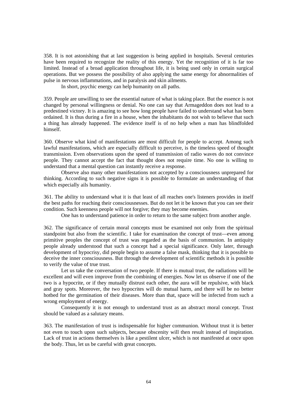358. It is not astonishing that at last suggestion is being applied in hospitals. Several centuries have been required to recognize the reality of this energy. Yet the recognition of it is far too limited. Instead of a broad application throughout life, it is being used only in certain surgical operations. But we possess the possibility of also applying the same energy for abnormalities of pulse in nervous inflammations, and in paralysis and skin ailments.

In short, psychic energy can help humanity on all paths.

359. People are unwilling to see the essential nature of what is taking place. But the essence is not changed by personal willingness or denial. No one can say that Armageddon does not lead to a predestined victory. It is amazing to see how long people have failed to understand what has been ordained. It is thus during a fire in a house, when the inhabitants do not wish to believe that such a thing has already happened. The evidence itself is of no help when a man has blindfolded himself.

360. Observe what kind of manifestations are most difficult for people to accept. Among such lawful manifestations, which are especially difficult to perceive, is the timeless speed of thought transmission. Even observations upon the speed of transmission of radio waves do not convince people. They cannot accept the fact that thought does not require time. No one is willing to understand that a mental question can instantly receive a response.

 Observe also many other manifestations not accepted by a consciousness unprepared for thinking. According to such negative signs it is possible to formulate an understanding of that which especially ails humanity.

361. The ability to understand what it is that least of all reaches one's listeners provides in itself the best paths for reaching their consciousnesses. But do not let it be known that you can see their condition. Such keenness people will not forgive; they may become enemies.

One has to understand patience in order to return to the same subject from another angle.

362. The significance of certain moral concepts must be examined not only from the spiritual standpoint but also from the scientific. I take for examination the concept of trust—even among primitive peoples the concept of trust was regarded as the basis of communion. In antiquity people already understood that such a concept had a special significance. Only later, through development of hypocrisy, did people begin to assume a false mask, thinking that it is possible to deceive the inner consciousness. But through the development of scientific methods it is possible to verify the value of true trust.

 Let us take the conversation of two people. If there is mutual trust, the radiations will be excellent and will even improve from the combining of energies. Now let us observe if one of the two is a hypocrite, or if they mutually distrust each other, the aura will be repulsive, with black and gray spots. Moreover, the two hypocrites will do mutual harm, and there will be no better hotbed for the germination of their diseases. More than that, space will be infected from such a wrong employment of energy.

 Consequently it is not enough to understand trust as an abstract moral concept. Trust should be valued as a salutary means.

363. The manifestation of trust is indispensable for higher communion. Without trust it is better not even to touch upon such subjects, because obscenity will then result instead of inspiration. Lack of trust in actions themselves is like a pestilent ulcer, which is not manifested at once upon the body. Thus, let us be careful with great concepts.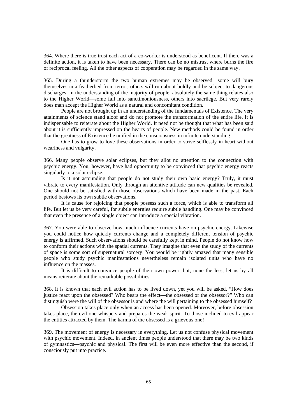364. Where there is true trust each act of a co-worker is understood as beneficent. If there was a definite action, it is taken to have been necessary. There can be no mistrust where burns the fire of reciprocal feeling. All the other aspects of cooperation may be regarded in the same way.

365. During a thunderstorm the two human extremes may be observed—some will bury themselves in a featherbed from terror, others will run about boldly and be subject to dangerous discharges. In the understanding of the majority of people, absolutely the same thing relates also to the Higher World—some fall into sanctimoniousness, others into sacrilege. But very rarely does man accept the Higher World as a natural and concomitant condition.

 People are not brought up in an understanding of the fundamentals of Existence. The very attainments of science stand aloof and do not promote the transformation of the entire life. It is indispensable to reiterate about the Higher World. It need not be thought that what has been said about it is sufficiently impressed on the hearts of people. New methods could be found in order that the greatness of Existence be unified in the consciousness in infinite understanding.

 One has to grow to love these observations in order to strive selflessly in heart without weariness and vulgarity.

366. Many people observe solar eclipses, but they allot no attention to the connection with psychic energy. You, however, have had opportunity to be convinced that psychic energy reacts singularly to a solar eclipse.

 Is it not astounding that people do not study their own basic energy? Truly, it must vibrate to every manifestation. Only through an attentive attitude can new qualities be revealed. One should not be satisfied with those observations which have been made in the past. Each period bestows its own subtle observations.

 It is cause for rejoicing that people possess such a force, which is able to transform all life. But let us be very careful, for subtle energies require subtle handling. One may be convinced that even the presence of a single object can introduce a special vibration.

367. You were able to observe how much influence currents have on psychic energy. Likewise you could notice how quickly currents change and a completely different tension of psychic energy is affirmed. Such observations should be carefully kept in mind. People do not know how to conform their actions with the spatial currents. They imagine that even the study of the currents of space is some sort of supernatural sorcery. You would be rightly amazed that many sensible people who study psychic manifestations nevertheless remain isolated units who have no influence on the masses.

 It is difficult to convince people of their own power, but, none the less, let us by all means reiterate about the remarkable possibilities.

368. It is known that each evil action has to be lived down, yet you will be asked, "How does justice react upon the obsessed? Who bears the effect—the obsessed or the obsessor?" Who can distinguish were the will of the obsessor is and where the will pertaining to the obsessed himself?

 Obsession takes place only when an access has been opened. Moreover, before obsession takes place, the evil one whispers and prepares the weak spirit. To those inclined to evil appear the entities attracted by them. The karma of the obsessed is a grievous one!

369. The movement of energy is necessary in everything. Let us not confuse physical movement with psychic movement. Indeed, in ancient times people understood that there may be two kinds of gymnastics—psychic and physical. The first will be even more effective than the second, if consciously put into practice.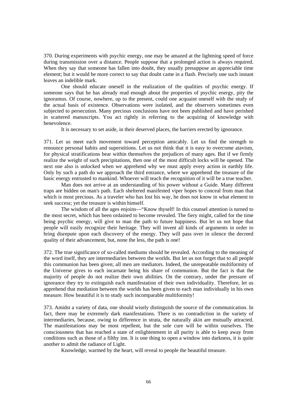370. During experiments with psychic energy, one may be amazed at the lightning speed of force during transmission over a distance. People suppose that a prolonged action is always required. When they say that someone has fallen into doubt, they usually presuppose an appreciable time element; but it would be more correct to say that doubt came in a flash. Precisely one such instant leaves an indelible mark.

 One should educate oneself in the realization of the qualities of psychic energy. If someone says that he has already read enough about the properties of psychic energy, pity the ignoramus. Of course, nowhere, up to the present, could one acquaint oneself with the study of the actual basis of existence. Observations were isolated, and the observers sometimes even subjected to persecution. Many precious conclusions have not been published and have perished in scattered manuscripts. You act rightly in referring to the acquiring of knowledge with benevolence.

It is necessary to set aside, in their deserved places, the barriers erected by ignorance.

371. Let us meet each movement toward perception amicably. Let us find the strength to renounce personal habits and superstitions. Let us not think that it is easy to overcome atavism, for physical stratifications bear within themselves the prejudices of many ages. But if we firmly realize the weight of such precipitations, then one of the most difficult locks will be opened. The next one also is unlocked when we apprehend why we must apply every action in earthly life. Only by such a path do we approach the third entrance, where we apprehend the treasure of the basic energy entrusted to mankind. Whoever will teach the recognition of it will be a true teacher.

 Man does not arrive at an understanding of his power without a Guide. Many different traps are hidden on man's path. Each sheltered manifested viper hopes to conceal from man that which is most precious. As a traveler who has lost his way, he does not know in what element to seek success; yet the treasure is within himself.

 The wisdom of all the ages enjoins—"Know thyself! In this counsel attention is turned to the most secret, which has been ordained to become revealed. The fiery might, called for the time being psychic energy, will give to man the path to future happiness. But let us not hope that people will easily recognize their heritage. They will invent all kinds of arguments in order to bring disrepute upon each discovery of the energy. They will pass over in silence the decreed quality of their advancement, but, none the less, the path is one!

372. The true significance of so-called mediums should be revealed. According to the meaning of the word itself, they are intermediaries between the worlds. But let us not forget that to all people this communion has been given; all men are mediators. Indeed, the unrepeatable multiformity of the Universe gives to each incarnate being his share of communion. But the fact is that the majority of people do not realize their own abilities. On the contrary, under the pressure of ignorance they try to extinguish each manifestation of their own individuality. Therefore, let us apprehend that mediation between the worlds has been given to each man individually in his own measure. How beautiful it is to study such incomparable multiformity!

373. Amidst a variety of data, one should wisely distinguish the source of the communication. In fact, there may be extremely dark manifestations. There is no contradiction in the variety of intermediaries, because, owing to difference in strata, the naturally akin are mutually attracted. The manifestations may be most repellent, but the sole cure will be within ourselves. The consciousness that has reached a state of enlightenment in all purity is able to keep away from conditions such as those of a filthy inn. It is one thing to open a window into darkness, it is quite another to admit the radiance of Light.

Knowledge, warmed by the heart, will reveal to people the beautiful treasure.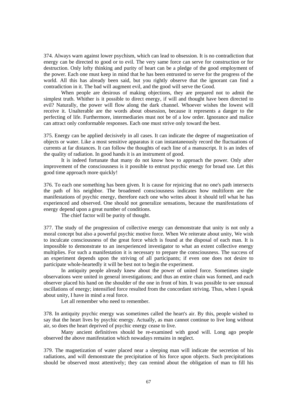374. Always warn against lower psychism, which can lead to obsession. It is no contradiction that energy can be directed to good or to evil. The very same force can serve for construction or for destruction. Only lofty thinking and purity of heart can be a pledge of the good employment of the power. Each one must keep in mind that he has been entrusted to serve for the progress of the world. All this has already been said, but you rightly observe that the ignorant can find a contradiction in it. The bad will augment evil, and the good will serve the Good.

 When people are desirous of making objections, they are prepared not to admit the simplest truth. Whither is it possible to direct energy, if will and thought have been directed to evil? Naturally, the power will flow along the dark channel. Whoever wishes the lowest will receive it. Unalterable are the words about obsession, because it represents a danger to the perfecting of life. Furthermore, intermediaries must not be of a low order. Ignorance and malice can attract only conformable responses. Each one must strive only toward the best.

375. Energy can be applied decisively in all cases. It can indicate the degree of magnetization of objects or water. Like a most sensitive apparatus it can instantaneously record the fluctuations of currents at far distances. It can follow the thoughts of each line of a manuscript. It is an index of the quality of radiation. In good hands it is an instrument of good.

 It is indeed fortunate that many do not know how to approach the power. Only after improvement of the consciousness is it possible to entrust psychic energy for broad use. Let this good time approach more quickly!

376. To each one something has been given. It is cause for rejoicing that no one's path intersects the path of his neighbor. The broadened consciousness indicates how multiform are the manifestations of psychic energy, therefore each one who writes about it should tell what he has experienced and observed. One should not generalize sensations, because the manifestations of energy depend upon a great number of conditions.

The chief factor will be purity of thought.

377. The study of the progression of collective energy can demonstrate that unity is not only a moral concept but also a powerful psychic motive force. When We reiterate about unity, We wish to inculcate consciousness of the great force which is found at the disposal of each man. It is impossible to demonstrate to an inexperienced investigator to what an extent collective energy multiplies. For such a manifestation it is necessary to prepare the consciousness. The success of an experiment depends upon the striving of all participants; if even one does not desire to participate whole-heartedly it will be best not to begin the experiment.

In antiquity people already knew about the power of united force. Sometimes single observations were united in general investigations; and thus an entire chain was formed, and each observer placed his hand on the shoulder of the one in front of him. It was possible to see unusual oscillations of energy; intensified force resulted from the concordant striving. Thus, when I speak about unity, I have in mind a real force.

Let all remember who need to remember.

378. In antiquity psychic energy was sometimes called the heart's air. By this, people wished to say that the heart lives by psychic energy. Actually, as man cannot continue to live long without air, so does the heart deprived of psychic energy cease to live.

 Many ancient definitives should be re-examined with good will. Long ago people observed the above manifestation which nowadays remains in neglect.

379. The magnetization of water placed near a sleeping man will indicate the secretion of his radiations, and will demonstrate the precipitation of his force upon objects. Such precipitations should be observed most attentively; they can remind about the obligation of man to fill his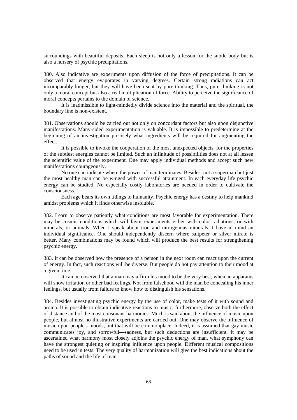surroundings with beautiful deposits. Each sleep is not only a lesson for the subtle body but is also a nursery of psychic precipitations.

380. Also indicative are experiments upon diffusion of the force of precipitations. It can be observed that energy evaporates in varying degrees. Certain strong radiations can act incomparably longer, but they will have been sent by pure thinking. Thus, pure thinking is not only a moral concept but also a real multiplication of force. Ability to perceive the significance of moral concepts pertains to the domain of science.

 It is inadmissible to light-mindedly divide science into the material and the spiritual, the boundary line is non-existent.

381. Observations should be carried out not only on concordant factors but also upon disjunctive manifestations. Many-sided experimentation is valuable. It is impossible to predetermine at the beginning of an investigation precisely what ingredients will be required for augmenting the effect.

 It is possible to invoke the cooperation of the most unexpected objects, for the properties of the subtlest energies cannot be limited. Such an infinitude of possibilities does not at all lessen the scientific value of the experiment. One may apply individual methods and accept such new manifestations courageously.

 No one can indicate where the power of man terminates. Besides. not a superman but just the most healthy man can be winged with successful attainment. In each everyday life psychic energy can be studied. No especially costly laboratories are needed in order to cultivate the consciousness.

 Each age bears its own tidings to humanity. Psychic energy has a destiny to help mankind amidst problems which it finds otherwise insoluble.

382. Learn to observe patiently what conditions are most favorable for experimentation. There may be cosmic conditions which will favor experiments either with color radiations, or with minerals, or animals. When I speak about iron and nitrogenous minerals, I have in mind an individual significance. One should independently discern where saltpeter or silver nitrate is better. Many combinations may be found which will produce the best results for strengthening psychic energy.

383. It can be observed how the presence of a person in the next room can react upon the current of energy. In fact, such reactions will be diverse. But people do not pay attention to their mood at a given time.

 It can be observed that a man may affirm his mood to be the very best, when an apparatus will show irritation or other bad feelings. Not from falsehood will the man be concealing his inner feelings, but usually from failure to know how to distinguish his sensations.

384. Besides investigating psychic energy by the use of color, make tests of it with sound and aroma. It is possible to obtain indicative reactions to music; furthermore, observe both the effect of distance and of the most consonant harmonies. Much is said about the influence of music upon people, but almost no illustrative experiments are carried out. One may observe the influence of music upon people's moods, but that will be commonplace. Indeed, it is assumed that gay music communicates joy, and sorrowful—sadness, but such deductions are insufficient. It may be ascertained what harmony most closely adjoins the psychic energy of man, what symphony can have the strongest quieting or inspiring influence upon people. Different musical compositions need to be used in tests. The very quality of harmonization will give the best indications about the paths of sound and the life of man.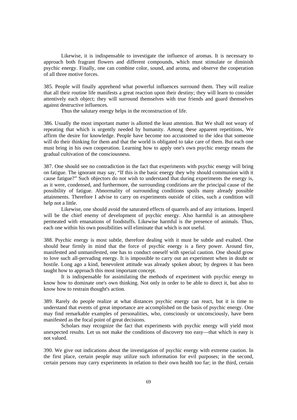Likewise, it is indispensable to investigate the influence of aromas. It is necessary to approach both fragrant flowers and different compounds, which must stimulate or diminish psychic energy. Finally, one can combine color, sound, and aroma, and observe the cooperation of all three motive forces.

385. People will finally apprehend what powerful influences surround them. They will realize that all their routine life manifests a great reaction upon their destiny; they will learn to consider attentively each object; they will surround themselves with true friends and guard themselves against destructive influences.

Thus the salutary energy helps in the reconstruction of life.

386. Usually the most important matter is allotted the least attention. But We shall not weary of repeating that which is urgently needed by humanity. Among these apparent repetitions, We affirm the desire for knowledge. People have become too accustomed to the idea that someone will do their thinking for them and that the world is obligated to take care of them. But each one must bring in his own cooperation. Learning how to apply one's own psychic energy means the gradual cultivation of the consciousness.

387. One should see no contradiction in the fact that experiments with psychic energy will bring on fatigue. The ignorant may say, "If this is the basic energy they why should communion with it cause fatigue?" Such objectors do not wish to understand that during experiments the energy is, as it were, condensed, and furthermore, the surrounding conditions are the principal cause of the possibility of fatigue. Abnormality of surrounding conditions spoils many already possible attainments. Therefore I advise to carry on experiments outside of cities, such a condition will help not a little.

 Likewise, one should avoid the saturated effects of quarrels and of any irritations. Imperil will be the chief enemy of development of psychic energy. Also harmful is an atmosphere permeated with emanations of foodstuffs. Likewise harmful is the presence of animals. Thus, each one within his own possibilities will eliminate that which is not useful.

388. Psychic energy is most subtle, therefore dealing with it must be subtle and exalted. One should bear firmly in mind that the force of psychic energy is a fiery power. Around fire, manifested and unmanifested, one has to conduct oneself with special caution. One should grow to love such all-pervading energy. It is impossible to carry out an experiment when in doubt or hostile. Long ago a kind, benevolent attitude was already spoken about; by degrees it has been taught how to approach this most important concept.

 It is indispensable for assimilating the methods of experiment with psychic energy to know how to dominate one's own thinking. Not only in order to be able to direct it, but also to know how to restrain thought's action.

389. Rarely do people realize at what distances psychic energy can react, but it is time to understand that events of great importance are accomplished on the basis of psychic energy. One may find remarkable examples of personalities, who, consciously or unconsciously, have been manifested as the focal point of great decisions.

Scholars may recognize the fact that experiments with psychic energy will yield most unexpected results. Let us not make the conditions of discovery too easy—that which is easy is not valued.

390. We give out indications about the investigation of psychic energy with extreme caution. In the first place, certain people may utilize such information for evil purposes; in the second, certain persons may carry experiments in relation to their own health too far; in the third, certain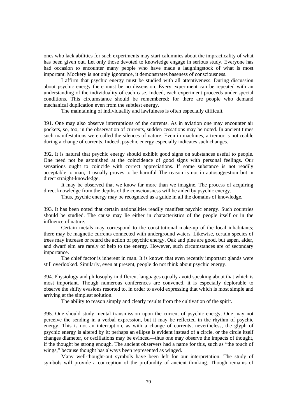ones who lack abilities for such experiments may start calumnies about the impracticality of what has been given out. Let only those devoted to knowledge engage in serious study. Everyone has had occasion to encounter many people who have made a laughingstock of what is most important. Mockery is not only ignorance, it demonstrates baseness of consciousness.

 I affirm that psychic energy must be studied with all attentiveness. During discussion about psychic energy there must be no dissension. Every experiment can be repeated with an understanding of the individuality of each case. Indeed, each experiment proceeds under special conditions. This circumstance should be remembered; for there are people who demand mechanical duplication even from the subtlest energy.

The maintaining of individuality and lawfulness is often especially difficult.

391. One may also observe interruptions of the currents. As in aviation one may encounter air pockets, so, too, in the observation of currents, sudden cessations may be noted. In ancient times such manifestations were called the silences of nature. Even in machines, a tremor is noticeable during a change of currents. Indeed, psychic energy especially indicates such changes.

392. It is natural that psychic energy should exhibit good signs on substances useful to people. One need not be astonished at the coincidence of good signs with personal feelings. Our sensations ought to coincide with correct appreciations. If some substance is not readily acceptable to man, it usually proves to be harmful The reason is not in autosuggestion but in direct straight-knowledge.

 It may be observed that we know far more than we imagine. The process of acquiring direct knowledge from the depths of the consciousness will be aided by psychic energy.

Thus, psychic energy may be recognized as a guide in all the domains of knowledge.

393. It has been noted that certain nationalities readily manifest psychic energy. Such countries should be studied. The cause may lie either in characteristics of the people itself or in the influence of nature.

 Certain metals may correspond to the constitutional make-up of the local inhabitants; there may be magnetic currents connected with underground waters. Likewise, certain species of trees may increase or retard the action of psychic energy. Oak and pine are good, but aspen, alder, and dwarf elm are rarely of help to the energy. However, such circumstances are of secondary importance.

 The chief factor is inherent in man. It is known that even recently important glands were still overlooked. Similarly, even at present, people do not think about psychic energy.

394. Physiology and philosophy in different languages equally avoid speaking about that which is most important. Though numerous conferences are convened, it is especially deplorable to observe the shifty evasions resorted to, in order to avoid expressing that which is most simple and arriving at the simplest solution.

The ability to reason simply and clearly results from the cultivation of the spirit.

395. One should study mental transmission upon the current of psychic energy. One may not perceive the sending in a verbal expression, but it may be reflected in the rhythm of psychic energy. This is not an interruption, as with a change of currents; nevertheless, the glyph of psychic energy is altered by it; perhaps an ellipse is evident instead of a circle, or the circle itself changes diameter, or oscillations may be evinced—thus one may observe the impacts of thought, if the thought be strong enough. The ancient observers had a name for this, such as "the touch of wings," because thought has always been represented as winged.

 Many well-thought-out symbols have been left for our interpretation. The study of symbols will provide a conception of the profundity of ancient thinking. Though remains of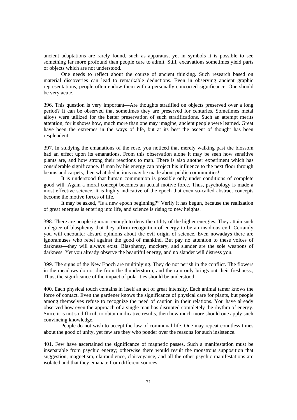ancient adaptations are rarely found, such as apparatus, yet in symbols it is possible to see something far more profound than people care to admit. Still, excavations sometimes yield parts of objects which are not understood.

 One needs to reflect about the course of ancient thinking. Such research based on material discoveries can lead to remarkable deductions. Even in observing ancient graphic representations, people often endow them with a personally concocted significance. One should be very acute.

396. This question is very important—Are thoughts stratified on objects preserved over a long period? It can be observed that sometimes they are preserved for centuries. Sometimes metal alloys were utilized for the better preservation of such stratifications. Such an attempt merits attention; for it shows how, much more than one may imagine, ancient people were learned. Great have been the extremes in the ways of life, but at its best the ascent of thought has been resplendent.

397. In studying the emanations of the rose, you noticed that merely walking past the blossom had an effect upon its emanations. From this observation alone it may be seen how sensitive plants are, and how strong their reactions to man. There is also another experiment which has considerable significance. If man by his energy can project his influence to the next floor through beams and carpets, then what deductions may be made about public communities!

 It is understood that human communion is possible only under conditions of complete good will. Again a moral concept becomes an actual motive force. Thus, psychology is made a most effective science. It is highly indicative of the epoch that even so-called abstract concepts become the motive forces of life.

 It may be asked, "Is a new epoch beginning?" Verily it has begun, because the realization of great energies is entering into life, and science is rising to new heights.

398. There are people ignorant enough to deny the utility of the higher energies. They attain such a degree of blasphemy that they affirm recognition of energy to be an insidious evil. Certainly you will encounter absurd opinions about the evil origin of science. Even nowadays there are ignoramuses who rebel against the good of mankind. But pay no attention to these voices of darkness—they will always exist. Blasphemy, mockery, and slander are the sole weapons of darkness. Yet you already observe the beautiful energy, and no slander will distress you.

399. The signs of the New Epoch are multiplying. They do not perish in the conflict. The flowers in the meadows do not die from the thunderstorm, and the rain only brings out their freshness., Thus, the significance of the impact of polarities should be understood.

400. Each physical touch contains in itself an act of great intensity. Each animal tamer knows the force of contact. Even the gardener knows the significance of physical care for plants, but people among themselves refuse to recognize the need of caution in their relations. You have already observed how even the approach of a single man has disrupted completely the rhythm of energy. Since it is not so difficult to obtain indicative results, then how much more should one apply such convincing knowledge.

 People do not wish to accept the law of communal life. One may repeat countless times about the good of unity, yet few are they who ponder over the reasons for such insistence.

401. Few have ascertained the significance of magnetic passes. Such a manifestation must be inseparable from psychic energy; otherwise there would result the monstrous supposition that suggestion, magnetism, clairaudience, clairvoyance, and all the other psychic manifestations are isolated and that they emanate from different sources.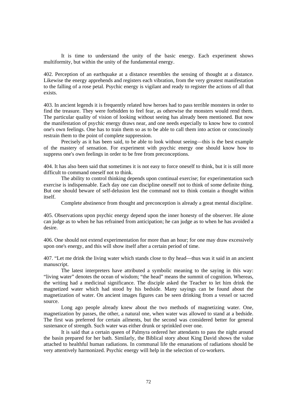It is time to understand the unity of the basic energy. Each experiment shows multiformity, but within the unity of the fundamental energy.

402. Perception of an earthquake at a distance resembles the sensing of thought at a distance. Likewise the energy apprehends and registers each vibration, from the very greatest manifestation to the falling of a rose petal. Psychic energy is vigilant and ready to register the actions of all that exists.

403. In ancient legends it is frequently related how heroes had to pass terrible monsters in order to find the treasure. They were forbidden to feel fear, as otherwise the monsters would rend them. The particular quality of vision of looking without seeing has already been mentioned. But now the manifestation of psychic energy draws near, and one needs especially to know how to control one's own feelings. One has to train them so as to be able to call them into action or consciously restrain them to the point of complete suppression.

 Precisely as it has been said, to be able to look without seeing—this is the best example of the mastery of sensation. For experiment with psychic energy one should know how to suppress one's own feelings in order to be free from preconceptions.

404. It has also been said that sometimes it is not easy to force oneself to think, but it is still more difficult to command oneself not to think.

 The ability to control thinking depends upon continual exercise; for experimentation such exercise is indispensable. Each day one can discipline oneself not to think of some definite thing. But one should beware of self-delusion lest the command not to think contain a thought within itself.

Complete abstinence from thought and preconception is already a great mental discipline.

405. Observations upon psychic energy depend upon the inner honesty of the observer. He alone can judge as to when he has refrained from anticipation; he can judge as to when he has avoided a desire.

406. One should not extend experimentation for more than an hour; for one may draw excessively upon one's energy, and this will show itself after a certain period of time.

407. "Let me drink the living water which stands close to thy head—thus was it said in an ancient manuscript.

 The latest interpreters have attributed a symbolic meaning to the saying in this way: "living water" denotes the ocean of wisdom; "the head" means the summit of cognition. Whereas, the writing had a medicinal significance. The disciple asked the Teacher to let him drink the magnetized water which had stood by his bedside. Many sayings can be found about the magnetization of water. On ancient images figures can be seen drinking from a vessel or sacred source.

 Long ago people already knew about the two methods of magnetizing water. One, magnetization by passes, the other, a natural one, when water was allowed to stand at a bedside. The first was preferred for certain ailments, but the second was considered better for general sustenance of strength. Such water was either drunk or sprinkled over one.

 It is said that a certain queen of Palmyra ordered her attendants to pass the night around the basin prepared for her bath. Similarly, the Biblical story about King David shows the value attached to healthful human radiations. In communal life the emanations of radiations should be very attentively harmonized. Psychic energy will help in the selection of co-workers.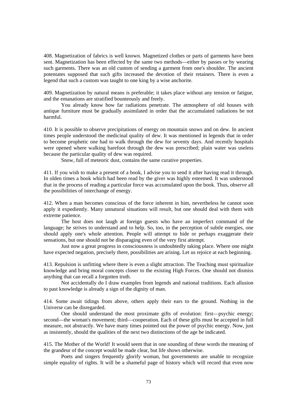408. Magnetization of fabrics is well known. Magnetized clothes or parts of garments have been sent. Magnetization has been effected by the same two methods—either by passes or by wearing such garments. There was an old custom of sending a garment from one's shoulder. The ancient potentates supposed that such gifts increased the devotion of their retainers. There is even a legend that such a custom was taught to one king by a wise anchorite.

409. Magnetization by natural means is preferable; it takes place without any tension or fatigue, and the emanations are stratified bounteously and freely.

 You already know how far radiations penetrate. The atmosphere of old houses with antique furniture must be gradually assimilated in order that the accumulated radiations be not harmful.

410. It is possible to observe precipitations of energy on mountain snows and on dew. In ancient times people understood the medicinal quality of dew. It was mentioned in legends that in order to become prophetic one had to walk through the dew for seventy days. And recently hospitals were opened where walking barefoot through the dew was prescribed; plain water was useless because the particular quality of dew was required.

Snow, full of meteoric dust, contains the same curative properties.

411. If you wish to make a present of a book, I advise you to send it after having read it through. In olden times a book which had been read by the giver was highly esteemed. It was understood that in the process of reading a particular force was accumulated upon the book. Thus, observe all the possibilities of interchange of energy.

412. When a man becomes conscious of the force inherent in him, nevertheless he cannot soon apply it expediently. Many unnatural situations will result, but one should deal with them with extreme patience.

 The host does not laugh at foreign guests who have an imperfect command of the language; he strives to understand and to help. So, too, in the perception of subtle energies, one should apply one's whole attention. People will attempt to hide or perhaps exaggerate their sensations, but one should not be disparaging even of the very first attempt.

 Just now a great progress in consciousness is undoubtedly taking place. Where one might have expected negation, precisely there, possibilities are arising. Let us rejoice at each beginning.

413. Repulsion is unfitting where there is even a slight attraction. The Teaching must spiritualize knowledge and bring moral concepts closer to the existing High Forces. One should not dismiss anything that can recall a forgotten truth.

 Not accidentally do I draw examples from legends and national traditions. Each allusion to past knowledge is already a sign of the dignity of man.

414. Some await tidings from above, others apply their ears to the ground. Nothing in the Universe can be disregarded.

 One should understand the most proximate gifts of evolution: first—psychic energy; second—the woman's movement; third—cooperation. Each of these gifts must be accepted in full measure, not abstractly. We have many times pointed out the power of psychic energy. Now, just as insistently, should the qualities of the next two distinctions of the age be indicated.

415. The Mother of the World! It would seem that in one sounding of these words the meaning of the grandeur of the concept would be made clear, but life shows otherwise.

 Poets and singers frequently glorify woman, but governments are unable to recognize simple equality of rights. It will be a shameful page of history which will record that even now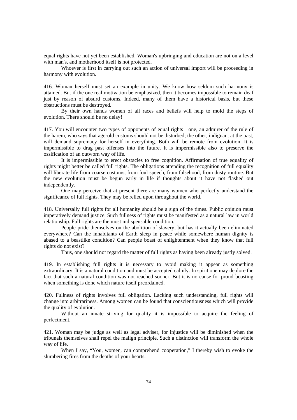equal rights have not yet been established. Woman's upbringing and education are not on a level with man's, and motherhood itself is not protected.

 Whoever is first in carrying out such an action of universal import will be proceeding in harmony with evolution.

416. Woman herself must set an example in unity. We know how seldom such harmony is attained. But if the one real motivation be emphasized, then it becomes impossible to remain deaf just by reason of absurd customs. Indeed, many of them have a historical basis, but these obstructions must be destroyed.

 By their own hands women of all races and beliefs will help to mold the steps of evolution. There should be no delay!

417. You will encounter two types of opponents of equal rights—one, an admirer of the rule of the harem, who says that age-old customs should not be disturbed; the other, indignant at the past, will demand supremacy for herself in everything. Both will be remote from evolution. It is impermissible to drag past offenses into the future. It is impermissible also to preserve the ossification of an outworn way of life.

 It is impermissible to erect obstacles to free cognition. Affirmation of true equality of rights might better be called full rights. The obligations attending the recognition of full equality will liberate life from coarse customs, from foul speech, from falsehood, from dusty routine. But the new evolution must be begun early in life if thoughts about it have not flashed out independently.

 One may perceive that at present there are many women who perfectly understand the significance of full rights. They may be relied upon throughout the world.

418. Universally full rights for all humanity should be a sign of the times. Public opinion must imperatively demand justice. Such fullness of rights must be manifested as a natural law in world relationship. Full rights are the most indispensable condition.

 People pride themselves on the abolition of slavery, but has it actually been eliminated everywhere? Can the inhabitants of Earth sleep in peace while somewhere human dignity is abased to a beastlike condition? Can people boast of enlightenment when they know that full rights do not exist?

Thus, one should not regard the matter of full rights as having been already justly solved.

419. In establishing full rights it is necessary to avoid making it appear as something extraordinary. It is a natural condition and must be accepted calmly. In spirit one may deplore the fact that such a natural condition was not reached sooner. But it is no cause for proud boasting when something is done which nature itself preordained.

420. Fullness of rights involves full obligation. Lacking such understanding, full rights will change into arbitrariness. Among women can be found that conscientiousness which will provide the quality of evolution.

 Without an innate striving for quality it is impossible to acquire the feeling of perfectment.

421. Woman may be judge as well as legal adviser, for injustice will be diminished when the tribunals themselves shall repel the malign principle. Such a distinction will transform the whole way of life.

 When I say, "You, women, can comprehend cooperation," I thereby wish to evoke the slumbering fires from the depths of your hearts.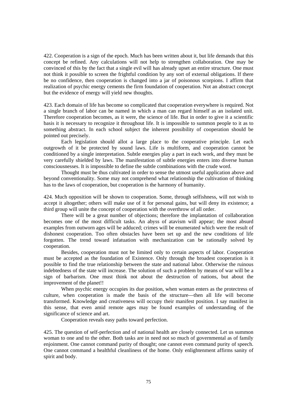422. Cooperation is a sign of the epoch. Much has been written about it, but life demands that this concept be refined. Any calculations will not help to strengthen collaboration. One may be convinced of this by the fact that a single evil will has already upset an entire structure. One must not think it possible to screen the frightful condition by any sort of external obligations. If there be no confidence, then cooperation is changed into a jar of poisonous scorpions. I affirm that realization of psychic energy cements the firm foundation of cooperation. Not an abstract concept but the evidence of energy will yield new thoughts.

423. Each domain of life has become so complicated that cooperation everywhere is required. Not a single branch of labor can be named in which a man can regard himself as an isolated unit. Therefore cooperation becomes, as it were, the science of life. But in order to give it a scientific basis it is necessary to recognize it throughout life. It is impossible to summon people to it as to something abstract. In each school subject the inherent possibility of cooperation should be pointed out precisely.

 Each legislation should allot a large place to the cooperative principle. Let each outgrowth of it be protected by sound laws. Life is multiform, and cooperation cannot be conditioned by a single interpretation. Subtle energies play a part in each work, and they must be very carefully shielded by laws. The manifestation of subtle energies enters into diverse human consciousnesses. It is impossible to define the subtle combinations with the crude word.

 Thought must be thus cultivated in order to sense the utmost useful application above and beyond conventionality. Some may not comprehend what relationship the cultivation of thinking has to the laws of cooperation, but cooperation is the harmony of humanity.

424. Much opposition will be shown to cooperation. Some, through selfishness, will not wish to accept it altogether; others will make use of it for personal gains, but will deny its existence; a third group will unite the concept of cooperation with the overthrow of all order.

 There will be a great number of objections; therefore the implantation of collaboration becomes one of the most difficult tasks. An abyss of atavism will appear; the most absurd examples from outworn ages will be adduced; crimes will be enumerated which were the result of dishonest cooperation. Too often obstacles have been set up and the new conditions of life forgotten. The trend toward infatuation with mechanization can be rationally solved by cooperation.

 Besides, cooperation must not be limited only to certain aspects of labor. Cooperation must be accepted as the foundation of Existence. Only through the broadest cooperation is it possible to find the true relationship between the state and national labor. Otherwise the ruinous indebtedness of the state will increase. The solution of such a problem by means of war will be a sign of barbarism. One must think not about the destruction of nations, but about the improvement of the planet!!

 When psychic energy occupies its due position, when woman enters as the protectress of culture, when cooperation is made the basis of the structure—then all life will become transformed. Knowledge and creativeness will occupy their manifest position. I say manifest in this sense, that even amid remote ages may be found examples of understanding of the significance of science and art.

Cooperation reveals easy paths toward perfection.

425. The question of self-perfection and of national health are closely connected. Let us summon woman to one and to the other. Both tasks are in need not so much of governmental as of family enjoinment. One cannot command purity of thought; one cannot even command purity of speech. One cannot command a healthful cleanliness of the home. Only enlightenment affirms sanity of spirit and body.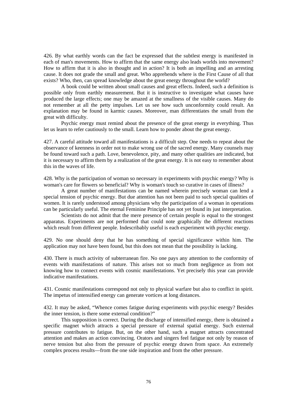426. By what earthly words can the fact be expressed that the subtlest energy is manifested in each of man's movements. How to affirm that the same energy also leads worlds into movement? How to affirm that it is also in thought and in action? It is both an impelling and an arresting cause. It does not grade the small and great. Who apprehends where is the First Cause of all that exists? Who, then, can spread knowledge about the great energy throughout the world?

 A book could be written about small causes and great effects. Indeed, such a definition is possible only from earthly measurement. But it is instructive to investigate what causes have produced the large effects; one may be amazed at the smallness of the visible causes. Many do not remember at all the petty impulses. Let us see how such unconformity could result. An explanation may be found in karmic causes. Moreover, man differentiates the small from the great with difficulty.

 Psychic energy must remind about the presence of the great energy in everything. Thus let us learn to refer cautiously to the small. Learn how to ponder about the great energy.

427. A careful attitude toward all manifestations is a difficult step. One needs to repeat about the observance of keenness in order not to make wrong use of the sacred energy. Many counsels may be found toward such a path. Love, benevolence, pity, and many other qualities are indicated, but it is necessary to affirm them by a realization of the great energy. It is not easy to remember about this in the waves of life.

428. Why is the participation of woman so necessary in experiments with psychic energy? Why is woman's care for flowers so beneficial? Why is woman's touch so curative in cases of illness?

 A great number of manifestations can be named wherein precisely woman can lend a special tension of psychic energy. But due attention has not been paid to such special qualities of women. It is rarely understood among physicians why the participation of a woman in operations can be particularly useful. The eternal Feminine Principle has not yet found its just interpretation.

 Scientists do not admit that the mere presence of certain people is equal to the strongest apparatus. Experiments are not performed that could note graphically the different reactions which result from different people. Indescribably useful is each experiment with psychic energy.

429. No one should deny that he has something of special significance within him. The application may not have been found, but this does not mean that the possibility is lacking.

430. There is much activity of subterranean fire. No one pays any attention to the conformity of events with manifestations of nature. This arises not so much from negligence as from not knowing how to connect events with cosmic manifestations. Yet precisely this year can provide indicative manifestations.

431. Cosmic manifestations correspond not only to physical warfare but also to conflict in spirit. The impetus of intensified energy can generate vortices at long distances.

432. It may be asked, "Whence comes fatigue during experiments with psychic energy? Besides the inner tension, is there some external condition?"

 This supposition is correct. During the discharge of intensified energy, there is obtained a specific magnet which attracts a special pressure of external spatial energy. Such external pressure contributes to fatigue. But, on the other hand, such a magnet attracts concentrated attention and makes an action convincing. Orators and singers feel fatigue not only by reason of nerve tension but also from the pressure of psychic energy drawn from space. An extremely complex process results—from the one side inspiration and from the other pressure.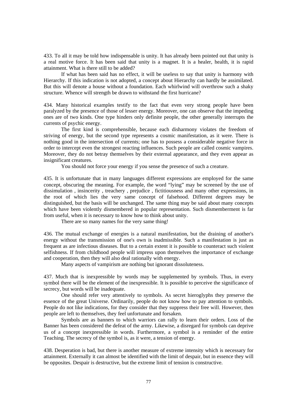433. To all it may be told how indispensable is unity. It has already been pointed out that unity is a real motive force. It has been said that unity is a magnet. It is a healer, health, it is rapid attainment. What is there still to be added?

 If what has been said has no effect, it will be useless to say that unity is harmony with Hierarchy. If this indication is not adopted, a concept about Hierarchy can hardly be assimilated. But this will denote a house without a foundation. Each whirlwind will overthrow such a shaky structure. Whence will strength be drawn to withstand the first hurricane?

434. Many historical examples testify to the fact that even very strong people have been paralyzed by the presence of those of lesser energy. Moreover, one can observe that the impeding ones are of two kinds. One type hinders only definite people, the other generally interrupts the currents of psychic energy.

 The first kind is comprehensible, because each disharmony violates the freedom of striving of energy, but the second type represents a cosmic manifestation, as it were. There is nothing good in the intersection of currents; one has to possess a considerable negative force in order to intercept even the strongest reacting influences. Such people are called cosmic vampires. Moreover, they do not betray themselves by their external appearance, and they even appear as insignificant creatures.

You should not force your energy if you sense the presence of such a creature.

435. It is unfortunate that in many languages different expressions are employed for the same concept, obscuring the meaning. For example, the word "lying" may be screened by the use of dissimulation , insincerity , treachery , prejudice , fictitiousness and many other expressions, in the root of which lies the very same concept of falsehood. Different degrees may be distinguished, but the basis will be unchanged. The same thing may be said about many concepts which have been violently dismembered in popular representation. Such dismemberment is far from useful, when it is necessary to know how to think about unity.

There are so many names for the very same thing!

436. The mutual exchange of energies is a natural manifestation, but the draining of another's energy without the transmission of one's own is inadmissible. Such a manifestation is just as frequent as are infectious diseases. But to a certain extent it is possible to counteract such violent selfishness. If from childhood people will impress upon themselves the importance of exchange and cooperation, then they will also deal rationally with energy.

Many aspects of vampirism are nothing but ignorant dissoluteness.

437. Much that is inexpressible by words may be supplemented by symbols. Thus, in every symbol there will be the element of the inexpressible. It is possible to perceive the significance of secrecy, but words will be inadequate.

 One should refer very attentively to symbols. As secret hieroglyphs they preserve the essence of the great Universe. Ordinarily, people do not know how to pay attention to symbols. People do not like indications, for they consider that they suppress their free will. However, then people are left to themselves, they feel unfortunate and forsaken.

 Symbols are as banners to which warriors can rally to learn their orders. Loss of the Banner has been considered the defeat of the army. Likewise, a disregard for symbols can deprive us of a concept inexpressible in words. Furthermore, a symbol is a reminder of the entire Teaching. The secrecy of the symbol is, as it were, a tension of energy.

438. Desperation is bad, but there is another measure of extreme intensity which is necessary for attainment. Externally it can almost be identified with the limit of despair, but in essence they will be opposites. Despair is destructive, but the extreme limit of tension is constructive.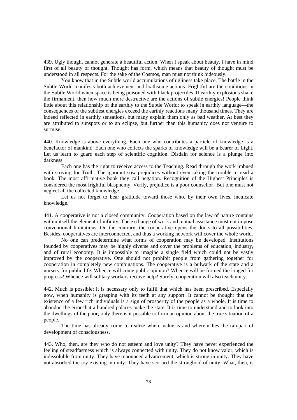439. Ugly thought cannot generate a beautiful action. When I speak about beauty, I have in mind first of all beauty of thought. Thought has form, which means that beauty of thought must be understood in all respects. For the sake of the Cosmos, man must not think hideously.

 You know that in the Subtle world accumulations of ugliness take place. The battle in the Subtle World manifests both achievement and loathsome actions. Frightful are the conditions in the Subtle World when space is being poisoned with black projectiles. If earthly explosions shake the firmament, then how much more destructive are the actions of subtle energies! People think little about this relationship of the earthly to the Subtle World; to speak in earthly language—the consequences of the subtlest energies exceed the earthly reactions many thousand times. They are indeed reflected in earthly sensations, but many explain them only as bad weather. At best they are attributed to sunspots or to an eclipse, but further than this humanity does not venture to surmise.

440. Knowledge is above everything. Each one who contributes a particle of knowledge is a benefactor of mankind. Each one who collects the sparks of knowledge will be a bearer of Light. Let us learn to guard each step of scientific cognition. Disdain for science is a plunge into darkness.

 Each one has the right to receive access to the Teaching. Read through the work imbued with striving for Truth. The ignorant sow prejudices without even taking the trouble to read a book. The most affirmative book they call negation. Recognition of the Highest Principles is considered the most frightful blasphemy. Verily, prejudice is a poor counsellor! But one must not neglect all the collected knowledge.

 Let us not forget to bear gratitude toward those who, by their own lives, inculcate knowledge.

441. A cooperative is not a closed community. Cooperation based on the law of nature contains within itself the element of infinity. The exchange of work and mutual assistance must not impose conventional limitations. On the contrary, the cooperative opens the doors to all possibilities. Besides, cooperatives are interconnected, and thus a working network will cover the whole world.

 No one can predetermine what forms of cooperation may be developed. Institutions founded by cooperatives may be highly diverse and cover the problems of education, industry, and of rural economy. It is impossible to imagine a single field which could not be vastly improved by the cooperative. One should not prohibit people from gathering together for cooperation in completely new combinations. The cooperative is a bulwark of the state and a nursery for public life. Whence will come public opinion? Whence will be formed the longed for progress? Whence will solitary workers receive help? Surely, cooperation will also teach unity.

442. Much is possible; it is necessary only to fulfil that which has been prescribed. Especially now, when humanity is grasping with its teeth at any support. It cannot be thought that the existence of a few rich individuals is a sign of prosperity of the people as a whole. It is time to abandon the error that a hundred palaces make the state. It is time to understand and to look into the dwellings of the poor; only there is it possible to form an opinion about the true situation of a people.

 The time has already come to realize where value is and wherein lies the rampart of development of consciousness.

443. Who, then, are they who do not esteem and love unity? They have never experienced the feeling of steadfastness which is always connected with unity. They do not know valor, which is indissoluble from unity. They have renounced advancement, which is strong in unity. They have not absorbed the joy existing in unity. They have scorned the stronghold of unity. What, then, is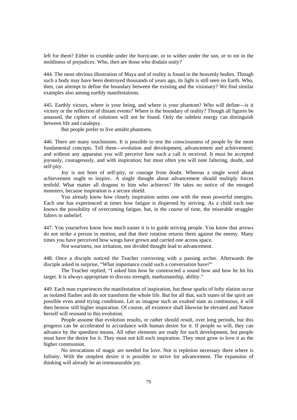left for them? Either to crumble under the hurricane, or to wither under the sun, or to rot in the moldiness of prejudices. Who, then are those who disdain unity?

444. The most obvious illustration of Maya and of reality is found in the heavenly bodies. Though such a body may have been destroyed thousands of years ago, its light is still seen on Earth. Who, then, can attempt to define the boundary between the existing and the visionary? We find similar examples also among earthly manifestations.

445. Earthly victors, where is your being, and where is your phantom? Who will define—is it victory or the reflection of distant events? Where is the boundary of reality? Though all figures be amassed, the ciphers of solutions will not be found. Only the subtlest energy can distinguish between life and catalepsy.

But people prefer to live amidst phantoms.

446. There are many touchstones. It is possible to test the consciousness of people by the most fundamental concepts. Tell them—evolution and development, advancement and achievement; and without any apparatus you will perceive how such a call is received. It must be accepted joyously, courageously, and with inspiration; but most often you will note faltering, doubt, and self-pity.

 Joy is not born of self-pity, or courage from doubt. Whereas a single word about achievement ought to inspire.. A single thought about advancement should multiply forces tenfold. What matter all dragons to him who achieves? He takes no notice of the enraged monsters, because inspiration is a secure shield.

 You already know how closely inspiration unites one with the most powerful energies. Each one has experienced at times how fatigue is dispersed by striving. As a child each one knows the possibility of overcoming fatigue, but, in the course of time, the miserable straggler falters in unbelief.

447. You yourselves know how much easier it is to guide striving people. You know that arrows do not strike a person in motion, and that their rotation returns them against the enemy. Many times you have perceived how wings have grown and carried one across space.

Not weariness, nor irritation, nor divided thought lead to advancement.

448. Once a disciple noticed the Teacher conversing with a passing archer. Afterwards the disciple asked in surprise, "What importance could such a conversation have?"

 The Teacher replied, "I asked him how he constructed a sound bow and how he hit his target. It is always appropriate to discuss strength, marksmanship, ability."

449. Each man experiences the manifestation of inspiration, but these sparks of lofty elation occur as isolated flashes and do not transform the whole life. But for all that, such states of the spirit are possible even amid trying conditions. Let us imagine such an exalted state as continuous, it will then bestow still higher inspiration. Of course, all existence shall likewise be elevated and Nature herself will resound to this evolution.

 People assume that evolution results, or rather should result, over long periods, but this progress can be accelerated in accordance with human desire for it. If people so will, they can advance by the speediest means. All other elements are ready for such development, but people must have the desire for it. They must not kill each inspiration. They must grow to love it as the higher communion.

 No invocations of magic are needed for love. Nor is repletion necessary there where is Infinity. With the simplest desire it is possible to strive for advancement. The expansion of thinking will already be an immeasurable joy.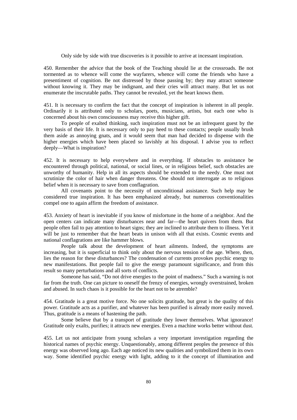Only side by side with true discoveries is it possible to arrive at incessant inspiration.

450. Remember the advice that the book of the Teaching should lie at the crossroads. Be not tormented as to whence will come the wayfarers, whence will come the friends who have a presentiment of cognition. Be not distressed by those passing by; they may attract someone without knowing it. They may be indignant, and their cries will attract many. But let us not enumerate the inscrutable paths. They cannot be revealed, yet the heart knows them.

451. It is necessary to confirm the fact that the concept of inspiration is inherent in all people. Ordinarily it is attributed only to scholars, poets, musicians, artists, but each one who is concerned about his own consciousness may receive this higher gift.

 To people of exalted thinking, such inspiration must not be an infrequent guest by the very basis of their life. It is necessary only to pay heed to these contacts; people usually brush them aside as annoying gnats, and it would seem that man had decided to dispense with the higher energies which have been placed so lavishly at his disposal. I advise you to reflect deeply—What is inspiration?

452. It is necessary to help everywhere and in everything. If obstacles to assistance be encountered through political, national, or social lines, or in religious belief, such obstacles are unworthy of humanity. Help in all its aspects should be extended to the needy. One must not scrutinize the color of hair when danger threatens. One should not interrogate as to religious belief when it is necessary to save from conflagration.

 All covenants point to the necessity of unconditional assistance. Such help may be considered true inspiration. It has been emphasized already, but numerous conventionalities compel one to again affirm the freedom of assistance.

453. Anxiety of heart is inevitable if you know of misfortune in the home of a neighbor. And the open centers can indicate many disturbances near and far—the heart quivers from them. But people often fail to pay attention to heart signs; they are inclined to attribute them to illness. Yet it will be just to remember that the heart beats in unison with all that exists. Cosmic events and national conflagrations are like hammer blows.

 People talk about the development of heart ailments. Indeed, the symptoms are increasing, but it is superficial to think only about the nervous tension of the age. Where, then, lies the reason for these disturbances? The condensation of currents provokes psychic energy to new manifestations. But people fail to give the energy paramount significance, and from this result so many perturbations and all sorts of conflicts.

 Someone has said, "Do not drive energies to the point of madness." Such a warning is not far from the truth. One can picture to oneself the frenzy of energies, wrongly overstrained, broken and abused. In such chaos is it possible for the heart not to be atremble?

454. Gratitude is a great motive force. No one solicits gratitude, but great is the quality of this power. Gratitude acts as a purifier, and whatever has been purified is already more easily moved. Thus, gratitude is a means of hastening the path.

 Some believe that by a transport of gratitude they lower themselves. What ignorance! Gratitude only exalts, purifies; it attracts new energies. Even a machine works better without dust.

455. Let us not anticipate from young scholars a very important investigation regarding the historical names of psychic energy. Unquestionably, among different peoples the presence of this energy was observed long ago. Each age noticed its new qualities and symbolized them in its own way. Some identified psychic energy with light, adding to it the concept of illumination and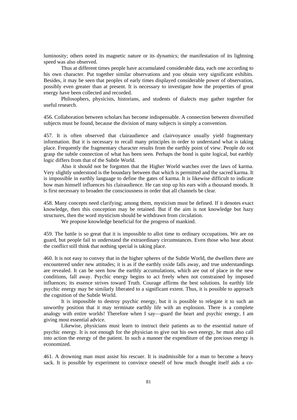luminosity; others noted its magnetic nature or its dynamics; the manifestation of its lightning speed was also observed.

 Thus at different times people have accumulated considerable data, each one according to his own character. Put together similar observations and you obtain very significant exhibits. Besides, it may be seen that peoples of early times displayed considerable power of observation, possibly even greater than at present. It is necessary to investigate how the properties of great energy have been collected and recorded.

 Philosophers, physicists, historians, and students of dialects may gather together for useful research.

456. Collaboration between scholars has become indispensable. A connection between diversified subjects must be found, because the division of many subjects is simply a convention.

457. It is often observed that clairaudience and clairvoyance usually yield fragmentary information. But it is necessary to recall many principles in order to understand what is taking place. Frequently the fragmentary character results from the earthly point of view. People do not grasp the subtle connection of what has been seen. Perhaps the bond is quite logical, but earthly logic differs from that of the Subtle World.

 Also it should not be forgotten that the Higher World watches over the laws of karma. Very slightly understood is the boundary between that which is permitted and the sacred karma. It is impossible in earthly language to define the gates of karma. It is likewise difficult to indicate how man himself influences his clairaudience. He can stop up his ears with a thousand moods. It is first necessary to broaden the consciousness in order that all channels be clear.

458. Many concepts need clarifying; among them, mysticism must be defined. If it denotes exact knowledge, then this conception may be retained. But if the aim is not knowledge but hazy structures, then the word mysticism should be withdrawn from circulation.

We propose knowledge beneficial for the progress of mankind.

459. The battle is so great that it is impossible to allot time to ordinary occupations. We are on guard, but people fail to understand the extraordinary circumstances. Even those who hear about the conflict still think that nothing special is taking place.

460. It is not easy to convey that in the higher spheres of the Subtle World, the dwellers there are encountered under new attitudes; it is as if the earthly oxide falls away, and true understandings are revealed. It can be seen how the earthly accumulations, which are out of place in the new conditions, fall away. Psychic energy begins to act freely when not constrained by imposed influences; its essence strives toward Truth. Courage affirms the best solutions. In earthly life psychic energy may be similarly liberated to a significant extent. Thus, it is possible to approach the cognition of the Subtle World.

 It is impossible to destroy psychic energy, but it is possible to relegate it to such an unworthy position that it may terminate earthly life with an explosion. There is a complete analogy with entire worlds! Therefore when I say—guard the heart and psychic energy, I am giving most essential advice.

 Likewise, physicians must learn to instruct their patients as to the essential nature of psychic energy. It is not enough for the physician to give out his own energy, he must also call into action the energy of the patient. In such a manner the expenditure of the precious energy is economized.

461. A drowning man must assist his rescuer. It is inadmissible for a man to become a heavy sack. It is possible by experiment to convince oneself of how much thought itself aids a co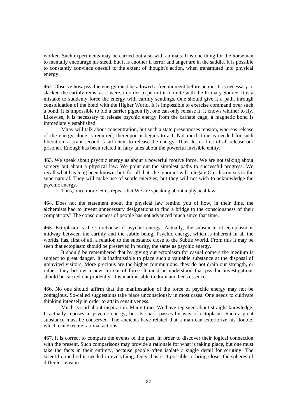worker. Such experiments may be carried out also with animals. It is one thing for the horseman to mentally encourage his steed, but it is another if terror and anger are in the saddle. It is possible to constantly convince oneself to the extent of thought's action, when transmuted into physical energy.

462. Observe how psychic energy must be allowed a free moment before action. It is necessary to slacken the earthly reins, as it were, in order to permit it to unite with the Primary Source. It is a mistake to suddenly force the energy with earthly sendings. One should give it a path, through consolidation of the bond with the Higher World. It is impossible to exercise command over such a bond. It is impossible to bid a carrier pigeon fly, one can only release it; it knows whither to fly. Likewise, it is necessary to release psychic energy from the carnate cage; a magnetic bond is immediately established.

 Many will talk about concentration, but such a state presupposes tension, whereas release of the energy alone is required; thereupon it begins to act. Not much time is needed for such liberation, a scant second is sufficient to release the energy. Thus, let us first of all release our prisoner. Enough has been related in fairy tales about the powerful invisible entity.

463. We speak about psychic energy as about a powerful motive force. We are not talking about sorcery but about a physical law. We point out the simplest paths to successful progress. We recall what has long been known, but, for all that, the ignorant will relegate Our discourses to the supernatural. They will make use of subtle energies, but they will not wish to acknowledge the psychic energy.

Thus, once more let us repeat that We are speaking about a physical law.

464. Does not the statement about the physical law remind you of how, in their time, the alchemists had to invent unnecessary designations to find a bridge to the consciousness of their compatriots? The consciousness of people has not advanced much since that time.

465. Ectoplasm is the storehouse of psychic energy. Actually, the substance of ectoplasm is midway between the earthly and the subtle being. Psychic energy, which is inherent in all the worlds, has, first of all, a relation to the substance close to the Subtle World. From this it may be seen that ectoplasm should be preserved in purity, the same as psychic energy.

 It should be remembered that by giving out ectoplasm for casual comers the medium is subject to great danger. It is inadmissible to place such a valuable substance at the disposal of uninvited visitors. More precious are the higher communions; they do not drain our strength, or rather, they bestow a new current of force. It must be understood that psychic investigations should be carried out prudently. It is inadmissible to drain another's essence.

466. No one should affirm that the manifestation of the force of psychic energy may not be contagious. So-called suggestions take place unconsciously in most cases. One needs to cultivate thinking intensely in order to attain sensitiveness.

 Much is said about inspiration. Many times We have repeated about straight-knowledge. It actually reposes in psychic energy, but its spark passes by way of ectoplasm. Such a great substance must be conserved. The ancients have related that a man can exteriorize his double, which can execute rational actions.

467. It is correct to compare the events of the past, in order to discover their logical connection with the present. Such comparisons may provide a rationale for what is taking place, but one must take the facts in their entirety, because people often isolate a single detail for scrutiny. The scientific method is needed in everything. Only thus is it possible to bring closer the spheres of different tension.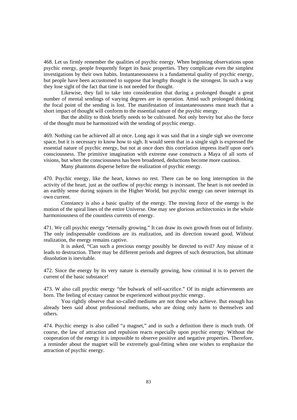468. Let us firmly remember the qualities of psychic energy. When beginning observations upon psychic energy, people frequently forget its basic properties. They complicate even the simplest investigations by their own habits. Instantaneousness is a fundamental quality of psychic energy, but people have been accustomed to suppose that lengthy thought is the strongest. In such a way they lose sight of the fact that time is not needed for thought.

 Likewise, they fail to take into consideration that during a prolonged thought a great number of mental sendings of varying degrees are in operation. Amid such prolonged thinking the focal point of the sending is lost. The manifestation of instantaneousness must teach that a short impact of thought will conform to the essential nature of the psychic energy.

 But the ability to think briefly needs to be cultivated. Not only brevity but also the force of the thought must be harmonized with the sending of psychic energy.

469. Nothing can be achieved all at once. Long ago it was said that in a single sigh we overcome space, but it is necessary to know how to sigh. It would seem that in a single sigh is expressed the essential nature of psychic energy, but not at once does this correlation impress itself upon one's consciousness. The primitive imagination with extreme ease constructs a Maya of all sorts of visions, but when the consciousness has been broadened, deductions become more cautious.

Many phantoms disperse before the realization of psychic energy.

470. Psychic energy, like the heart, knows no rest. There can be no long interruption in the activity of the heart, just as the outflow of psychic energy is incessant. The heart is not needed in an earthly sense during sojourn in the Higher World, but psychic energy can never interrupt its own current.

Constancy is also a basic quality of the energy. The moving force of the energy is the motion of the spiral lines of the entire Universe. One may see glorious architectonics in the whole harmoniousness of the countless currents of energy.

471. We call psychic energy "eternally growing." It can draw its own growth from out of Infinity. The only indispensable conditions are its realization, and its direction toward good. Without realization, the energy remains captive.

 It is asked, "Can such a precious energy possibly be directed to evil? Any misuse of it leads to destruction. There may be different periods and degrees of such destruction, but ultimate dissolution is inevitable.

472. Since the energy by its very nature is eternally growing, how criminal it is to pervert the current of the basic substance!

473. W also call psychic energy "the bulwark of self-sacrifice." Of its might achievements are born. The feeling of ecstasy cannot be experienced without psychic energy.

 You rightly observe that so-called mediums are not those who achieve. But enough has already been said about professional mediums, who are doing only harm to themselves and others.

474. Psychic energy is also called "a magnet," and in such a definition there is much truth. Of course, the law of attraction and repulsion reacts especially upon psychic energy. Without the cooperation of the energy it is impossible to observe positive and negative properties. Therefore, a reminder about the magnet will be extremely goal-fitting when one wishes to emphasize the attraction of psychic energy.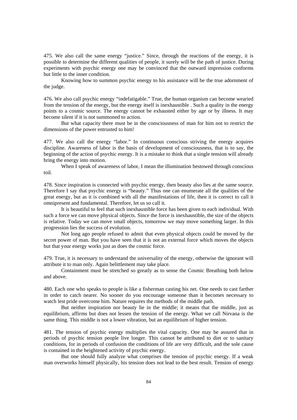475. We also call the same energy "justice." Since, through the reactions of the energy, it is possible to determine the different qualities of people, it surely will be the path of justice. During experiments with psychic energy one may be convinced that the outward impression conforms but little to the inner condition.

 Knowing how to summon psychic energy to his assistance will be the true adornment of the judge.

476. We also call psychic energy "indefatigable." True, the human organism can become wearied from the tension of the energy, but the energy itself is inexhaustible . Such a quality in the energy points to a cosmic source. The energy cannot be exhausted either by age or by illness. It may become silent if it is not summoned to action.

 But what capacity there must be in the consciousness of man for him not to restrict the dimensions of the power entrusted to him!

477. We also call the energy "labor." In continuous conscious striving the energy acquires discipline. Awareness of labor is the basis of development of consciousness, that is to say, the beginning of the action of psychic energy. It is a mistake to think that a single tension will already bring the energy into motion.

 When I speak of awareness of labor, I mean the illumination bestowed through conscious toil.

478. Since inspiration is connected with psychic energy, then beauty also lies at the same source. Therefore I say that psychic energy is "beauty." Thus one can enumerate all the qualities of the great energy, but as it is combined with all the manifestations of life, then it is correct to call it omnipresent and fundamental. Therefore, let us so call it.

 It is beautiful to feel that such inexhaustible force has been given to each individual. With such a force we can move physical objects. Since the force is inexhaustible, the size of the objects is relative. Today we can move small objects, tomorrow we may move something larger. In this progression lies the success of evolution.

 Not long ago people refused to admit that even physical objects could be moved by the secret power of man. But you have seen that it is not an external force which moves the objects but that your energy works just as does the cosmic force.

479. True, it is necessary to understand the universality of the energy, otherwise the ignorant will attribute it to man only. Again belittlement may take place.

 Containment must be stretched so greatly as to sense the Cosmic Breathing both below and above.

480. Each one who speaks to people is like a fisherman casting his net. One needs to cast farther in order to catch nearer. No sooner do you encourage someone than it becomes necessary to watch lest pride overcome him. Nature requires the methods of the middle path.

 But neither inspiration nor beauty lie in the middle; it means that the middle, just as equilibrium, affirms but does not lessen the tension of the energy. What we call Nirvana is the same thing. This middle is not a lower vibration, but an equilibrium of higher tension.

481. The tension of psychic energy multiplies the vital capacity. One may be assured that in periods of psychic tension people live longer. This cannot be attributed to diet or to sanitary conditions, for in periods of confusion the conditions of life are very difficult, and the sole cause is contained in the heightened activity of psychic energy.

 But one should fully analyze what comprises the tension of psychic energy. If a weak man overworks himself physically, his tension does not lead to the best result. Tension of energy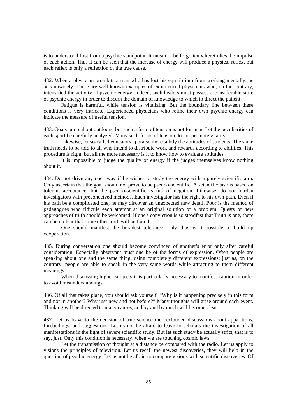is to understood first from a psychic standpoint. It must not be forgotten wherein lies the impulse of each action. Thus it can be seen that the increase of energy will produce a physical reflex, but each reflex is only a reflection of the true cause.

482. When a physician prohibits a man who has lost his equilibrium from working mentally, he acts unwisely. There are well-known examples of experienced physicians who, on the contrary, intensified the activity of psychic energy. Indeed, such healers must possess a considerable store of psychic energy in order to discern the domain of knowledge to which to direct the patient.

 Fatigue is harmful, while tension is vitalizing. But the boundary line between these conditions is very intricate. Experienced physicians who refine their own psychic energy can indicate the measure of useful tension.

483. Goats jump about outdoors, but such a form of tension is not for man. Let the peculiarities of each sport be carefully analyzed. Many such forms of tension do not promote vitality.

 Likewise, let so-called educators appraise more subtly the aptitudes of students. The same truth needs to be told to all who intend to distribute work and rewards according to abilities. This procedure is right, but all the more necessary is it to know how to evaluate aptitudes.

 It is impossible to judge the quality of energy if the judges themselves know nothing about it.

484. Do not drive any one away if he wishes to study the energy with a purely scientific aim. Only ascertain that the goal should not prove to be pseudo-scientific. A scientific task is based on tolerant acceptance, but the pseudo-scientific is full of negation. Likewise, do not burden investigators with preconceived methods. Each investigator has the right to his own path. Even if his path be a complicated one, he may discover an unexpected new detail. Poor is the method of pedagogues who ridicule each attempt at an original solution of a problem. Quests of new approaches of truth should be welcomed. If one's conviction is so steadfast that Truth is one, there can be no fear that some other truth will be found.

 One should manifest the broadest tolerance, only thus is it possible to build up cooperation.

485. During conversation one should become convinced of another's error only after careful consideration. Especially observant must one be of the forms of expression. Often people are speaking about one and the same thing, using completely different expressions; just as, on the contrary, people are able to speak in the very same words while attracting to them different meanings.

 When discussing higher subjects it is particularly necessary to manifest caution in order to avoid misunderstandings.

486. Of all that takes place, you should ask yourself, "Why is it happening precisely in this form and not in another? Why just now and not before?" Many thoughts will arise around each event. Thinking will be directed to many causes, and by and by much will become clear.

487. Let us leave to the decision of true science the beclouded discussions about apparitions, forebodings, and suggestions. Let us not be afraid to leave to scholars the investigation of all manifestations in the light of severe scientific study. But let such study be actually strict, that is to say, just. Only this condition is necessary, when we are touching cosmic laws.

 Let the transmission of thought at a distance be compared with the radio. Let us apply to visions the principles of television. Let us recall the newest discoveries, they will help in the question of psychic energy. Let us not be afraid to compare visions with scientific discoveries. Of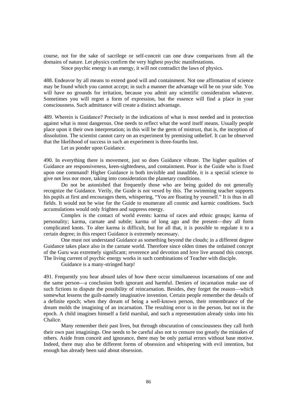course, not for the sake of sacrilege or self-conceit can one draw comparisons from all the domains of nature. Let physics confirm the very highest psychic manifestations.

Since psychic energy is an energy, it will not contradict the laws of physics.

488. Endeavor by all means to extend good will and containment. Not one affirmation of science may be found which you cannot accept; in such a manner the advantage will be on your side. You will have no grounds for irritation, because you admit any scientific consideration whatever. Sometimes you will regret a form of expression, but the essence will find a place in your consciousness. Such admittance will create a distinct advantage.

489. Wherein is Guidance? Precisely in the indications of what is most needed and in protection against what is most dangerous. One needs to reflect what the word itself means. Usually people place upon it their own interpretation; in this will be the germ of mistrust, that is, the inception of dissolution. The scientist cannot carry on an experiment by premising unbelief. It can be observed that the likelihood of success in such an experiment is three-fourths lost.

Let us ponder upon Guidance.

490. In everything there is movement, just so does Guidance vibrate. The higher qualities of Guidance are responsiveness, keen-sightedness, and containment. Poor is the Guide who is fixed upon one command! Higher Guidance is both invisible and inaudible, it is a special science to give not less nor more, taking into consideration the planetary conditions.

 Do not be astonished that frequently those who are being guided do not generally recognize the Guidance. Verily, the Guide is not vexed by this. The swimming teacher supports his pupils at first and encourages them, whispering, "You are floating by yourself." It is thus in all fields. It would not be wise for the Guide to enumerate all cosmic and karmic conditions. Such accumulations would only frighten and suppress energy.

 Complex is the contact of world events: karma of races and ethnic groups; karma of personality; karma, carnate and subtle; karma of long ago and the present—they all form complicated knots. To alter karma is difficult, but for all that, it is possible to regulate it to a certain degree; in this respect Guidance is extremely necessary.

 One must not understand Guidance as something beyond the clouds; in a different degree Guidance takes place also in the carnate world. Therefore since olden times the ordained concept of the Guru was extremely significant; reverence and devotion and love live around this concept. The living current of psychic energy works in such combinations of Teacher with disciple.

Guidance is a many-stringed harp!

491. Frequently you hear absurd tales of how there occur simultaneous incarnations of one and the same person—a conclusion both ignorant and harmful. Deniers of incarnation make use of such fictions to dispute the possibility of reincarnation. Besides, they forget the reason—which somewhat lessens the guilt-namely imaginative invention. Certain people remember the details of a definite epoch; when they dream of being a well-known person, their remembrance of the dream molds the imagining of an incarnation. The resulting error is in the person, but not in the epoch. A child imagines himself a field marshal, and such a representation already sinks into his Chalice.

 Many remember their past lives, but through obscuration of consciousness they call forth their own past imaginings. One needs to be careful also not to censure too greatly the mistakes of others. Aside from conceit and ignorance, there may be only partial errors without base motive. Indeed, there may also be different forms of obsession and whispering with evil intention, but enough has already been said about obsession.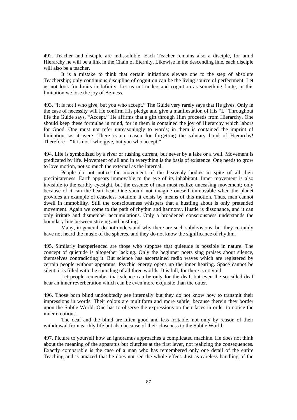492. Teacher and disciple are indissoluble. Each Teacher remains also a disciple, for amid Hierarchy he will be a link in the Chain of Eternity. Likewise in the descending line, each disciple will also be a teacher.

 It is a mistake to think that certain initiations elevate one to the step of absolute Teachership; only continuous discipline of cognition can be the living source of perfectment. Let us not look for limits in Infinity. Let us not understand cognition as something finite; in this limitation we lose the joy of Be-ness.

493. "It is not I who give, but you who accept." The Guide very rarely says that He gives. Only in the case of necessity will He confirm His pledge and give a manifestation of His "I." Throughout life the Guide says, "Accept." He affirms that a gift through Him proceeds from Hierarchy. One should keep these formulae in mind, for in them is contained the joy of Hierarchy which labors for Good. One must not refer unreasoningly to words; in them is contained the imprint of limitation, as it were. There is no reason for forgetting the salutary bond of Hierarchy! Therefore—"It is not I who give, but you who accept."

494. Life is symbolized by a river or rushing current, but never by a lake or a well. Movement is predicated by life. Movement of all and in everything is the basis of existence. One needs to grow to love motion, not so much the external as the internal.

 People do not notice the movement of the heavenly bodies in spite of all their precipitateness. Earth appears immovable to the eye of its inhabitant. Inner movement is also invisible to the earthly eyesight, but the essence of man must realize unceasing movement; only because of it can the heart beat. One should not imagine oneself immovable when the planet provides an example of ceaseless rotation; it exists by means of this motion. Thus, man cannot dwell in immobility. Still the consciousness whispers that a hustling about is only pretended movement. Again we come to the path of rhythm and harmony. Hustle is dissonance, and it can only irritate and dismember accumulations. Only a broadened consciousness understands the boundary line between striving and hustling.

 Many, in general, do not understand why there are such subdivisions, but they certainly have not heard the music of the spheres, and they do not know the significance of rhythm.

495. Similarly inexperienced are those who suppose that quietude is possible in nature. The concept of quietude is altogether lacking. Only the beginner poets sing praises about silence, themselves contradicting it. But science has ascertained radio waves which are registered by certain people without apparatus. Psychic energy opens up the inner hearing. Space cannot be silent, it is filled with the sounding of all three worlds. It is full, for there is no void.

 Let people remember that silence can be only for the deaf, but even the so-called deaf hear an inner reverberation which can be even more exquisite than the outer.

496. Those born blind undoubtedly see internally but they do not know how to transmit their impressions in words. Their colors are multiform and more subtle, because therein they border upon the Subtle World. One has to observe the expressions on their faces in order to notice the inner emotions.

 The deaf and the blind are often good and less irritable, not only by reason of their withdrawal from earthly life but also because of their closeness to the Subtle World.

497. Picture to yourself how an ignoramus approaches a complicated machine. He does not think about the meaning of the apparatus but clutches at the first lever, not realizing the consequences. Exactly comparable is the case of a man who has remembered only one detail of the entire Teaching and is amazed that he does not see the whole effect. Just as careless handling of the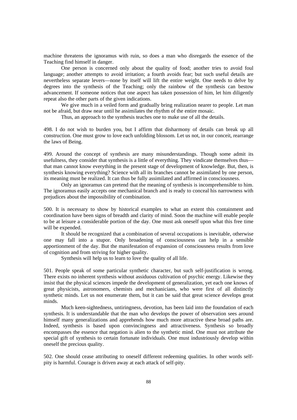machine threatens the ignoramus with ruin, so does a man who disregards the essence of the Teaching find himself in danger.

 One person is concerned only about the quality of food; another tries to avoid foul language; another attempts to avoid irritation; a fourth avoids fear; but such useful details are nevertheless separate levers—none by itself will lift the entire weight. One needs to delve by degrees into the synthesis of the Teaching; only the rainbow of the synthesis can bestow advancement. If someone notices that one aspect has taken possession of him, let him diligently repeat also the other parts of the given indications.

We give much in a veiled form and gradually bring realization nearer to people. Let man not be afraid, but draw near until he assimilates the rhythm of the entire mosaic.

Thus, an approach to the synthesis teaches one to make use of all the details.

498. I do not wish to burden you, but I affirm that disharmony of details can break up all construction. One must grow to love each unfolding blossom. Let us not, in our conceit, rearrange the laws of Being.

499. Around the concept of synthesis are many misunderstandings. Though some admit its usefulness, they consider that synthesis is a little of everything. They vindicate themselves thus that man cannot know everything in the present stage of development of knowledge. But, then, is synthesis knowing everything? Science with all its branches cannot be assimilated by one person, its meaning must be realized. It can thus be fully assimilated and affirmed in consciousness.

 Only an ignoramus can pretend that the meaning of synthesis is incomprehensible to him. The ignoramus easily accepts one mechanical branch and is ready to conceal his narrowness with prejudices about the impossibility of combination.

500. It is necessary to show by historical examples to what an extent this containment and coordination have been signs of breadth and clarity of mind. Soon the machine will enable people to be at leisure a considerable portion of the day. One must ask oneself upon what this free time will be expended.

 It should be recognized that a combination of several occupations is inevitable, otherwise one may fall into a stupor. Only broadening of consciousness can help in a sensible apportionment of the day. But the manifestation of expansion of consciousness results from love of cognition and from striving for higher quality.

Synthesis will help us to learn to love the quality of all life.

501. People speak of some particular synthetic character, but such self-justification is wrong. There exists no inherent synthesis without assiduous cultivation of psychic energy. Likewise they insist that the physical sciences impede the development of generalization, yet each one knows of great physicists, astronomers, chemists and mechanicians, who were first of all distinctly synthetic minds. Let us not enumerate them, but it can be said that great science develops great minds.

 Much keen-sightedness, untiringness, devotion, has been laid into the foundation of each synthesis. It is understandable that the man who develops the power of observation sees around himself many generalizations and apprehends how much more attractive these broad paths are. Indeed, synthesis is based upon convincingness and attractiveness. Synthesis so broadly encompasses the essence that negation is alien to the synthetic mind. One must not attribute the special gift of synthesis to certain fortunate individuals. One must industriously develop within oneself the precious quality.

502. One should cease attributing to oneself different redeeming qualities. In other words selfpity is harmful. Courage is driven away at each attack of self-pity.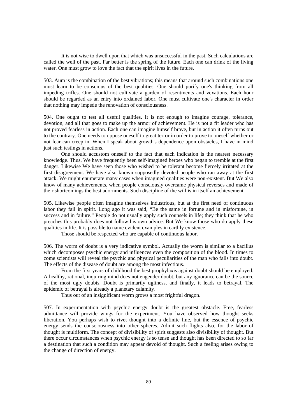It is not wise to dwell upon that which was unsuccessful in the past. Such calculations are called the well of the past. Far better is the spring of the future. Each one can drink of the living water. One must grow to love the fact that the spirit lives in the future.

503. Aum is the combination of the best vibrations; this means that around such combinations one must learn to be conscious of the best qualities. One should purify one's thinking from all impeding trifles. One should not cultivate a garden of resentments and vexations. Each hour should be regarded as an entry into ordained labor. One must cultivate one's character in order that nothing may impede the renovation of consciousness.

504. One ought to test all useful qualities. It is not enough to imagine courage, tolerance, devotion, and all that goes to make up the armor of achievement. He is not a fit leader who has not proved fearless in action. Each one can imagine himself brave, but in action it often turns out to the contrary. One needs to oppose oneself to great terror in order to prove to oneself whether or not fear can creep in. When I speak about growth's dependence upon obstacles, I have in mind just such testings in actions.

 One should accustom oneself to the fact that each indication is the nearest necessary knowledge. Thus, We have frequently been self-imagined heroes who began to tremble at the first danger. Likewise We have seen those who wished to be tolerant become fiercely irritated at the first disagreement. We have also known supposedly devoted people who ran away at the first attack. We might enumerate many cases when imagined qualities were non-existent. But We also know of many achievements, when people consciously overcame physical reverses and made of their shortcomings the best adornments. Such discipline of the will is in itself an achievement.

505. Likewise people often imagine themselves industrious, but at the first need of continuous labor they fail in spirit. Long ago it was said, "Be the same in fortune and in misfortune, in success and in failure." People do not usually apply such counsels in life; they think that he who preaches this probably does not follow his own advice. But We know those who do apply these qualities in life. It is possible to name evident examples in earthly existence.

Those should be respected who are capable of continuous labor.

506. The worm of doubt is a very indicative symbol. Actually the worm is similar to a bacillus which decomposes psychic energy and influences even the composition of the blood. In times to come scientists will reveal the psychic and physical peculiarities of the man who falls into doubt. The effects of the disease of doubt are among the most infectious.

 From the first years of childhood the best prophylaxis against doubt should be employed. A healthy, rational, inquiring mind does not engender doubt, but any ignorance can be the source of the most ugly doubts. Doubt is primarily ugliness, and finally, it leads to betrayal. The epidemic of betrayal is already a planetary calamity.

Thus out of an insignificant worm grows a most frightful dragon.

507. In experimentation with psychic energy doubt is the greatest obstacle. Free, fearless admittance will provide wings for the experiment. You have observed how thought seeks liberation. You perhaps wish to rivet thought into a definite line, but the essence of psychic energy sends the consciousness into other spheres. Admit such flights also, for the labor of thought is multiform. The concept of divisibility of spirit suggests also divisibility of thought. But there occur circumstances when psychic energy is so tense and thought has been directed to so far a destination that such a condition may appear devoid of thought. Such a feeling arises owing to the change of direction of energy.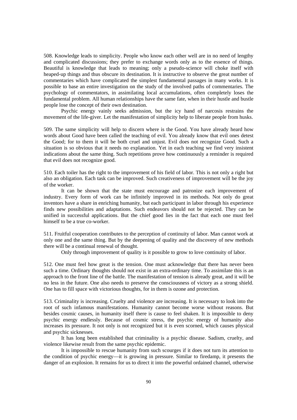508. Knowledge leads to simplicity. People who know each other well are in no need of lengthy and complicated discussions; they prefer to exchange words only as to the essence of things. Beautiful is knowledge that leads to meaning; only a pseudo-science will choke itself with heaped-up things and thus obscure its destination. It is instructive to observe the great number of commentaries which have complicated the simplest fundamental passages in many works. It is possible to base an entire investigation on the study of the involved paths of commentaries. The psychology of commentators, in assimilating local accumulations, often completely loses the fundamental problem. All human relationships have the same fate, when in their hustle and bustle people lose the concept of their own destination.

 Psychic energy vainly seeks admission, but the icy hand of narcosis restrains the movement of the life-giver. Let the manifestation of simplicity help to liberate people from husks.

509. The same simplicity will help to discern where is the Good. You have already heard how words about Good have been called the teaching of evil. You already know that evil ones detest the Good; for to them it will be both cruel and unjust. Evil does not recognize Good. Such a situation is so obvious that it needs no explanation. Yet in each teaching we find very insistent indications about the same thing. Such repetitions prove how continuously a reminder is required that evil does not recognize good.

510. Each toiler has the right to the improvement of his field of labor. This is not only a right but also an obligation. Each task can be improved. Such creativeness of improvement will be the joy of the worker.

 It can be shown that the state must encourage and patronize each improvement of industry. Every form of work can be infinitely improved in its methods. Not only do great inventors have a share in enriching humanity, but each participant in labor through his experience finds new possibilities and adaptations. Such endeavors should not be rejected. They can be unified in successful applications. But the chief good lies in the fact that each one must feel himself to be a true co-worker.

511. Fruitful cooperation contributes to the perception of continuity of labor. Man cannot work at only one and the same thing. But by the deepening of quality and the discovery of new methods there will be a continual renewal of thought.

Only through improvement of quality is it possible to grow to love continuity of labor.

512. One must feel how great is the tension. One must acknowledge that there has never been such a time. Ordinary thoughts should not exist in an extra-ordinary time. To assimilate this is an approach to the front line of the battle. The manifestation of tension is already great, and it will be no less in the future. One also needs to preserve the consciousness of victory as a strong shield. One has to fill space with victorious thoughts, for in them is ozone and protection.

513. Criminality is increasing. Cruelty and violence are increasing. It is necessary to look into the root of such infamous manifestations. Humanity cannot become worse without reasons. But besides cosmic causes, in humanity itself there is cause to feel shaken. It is impossible to deny psychic energy endlessly. Because of cosmic stress, the psychic energy of humanity also increases its pressure. It not only is not recognized but it is even scorned, which causes physical and psychic sicknesses.

 It has long been established that criminality is a psychic disease. Sadism, cruelty, and violence likewise result from the same psychic epidemic.

 It is impossible to rescue humanity from such scourges if it does not turn its attention to the condition of psychic energy—it is growing in pressure. Similar to firedamp, it presents the danger of an explosion. It remains for us to direct it into the powerful ordained channel, otherwise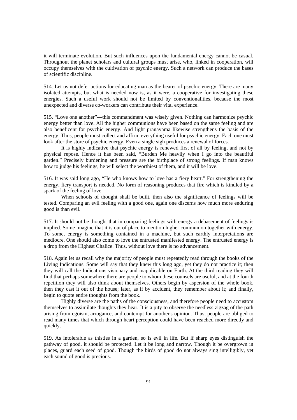it will terminate evolution. But such influences upon the fundamental energy cannot be casual. Throughout the planet scholars and cultural groups must arise, who, linked in cooperation, will occupy themselves with the cultivation of psychic energy. Such a network can produce the bases of scientific discipline.

514. Let us not defer actions for educating man as the bearer of psychic energy. There are many isolated attempts, but what is needed now is, as it were, a cooperative for investigating these energies. Such a useful work should not be limited by conventionalities, because the most unexpected and diverse co-workers can contribute their vital experience.

515. "Love one another"—this commandment was wisely given. Nothing can harmonize psychic energy better than love. All the higher communions have been based on the same feeling and are also beneficent for psychic energy. And light pranayama likewise strengthens the basis of the energy. Thus, people must collect and affirm everything useful for psychic energy. Each one must look after the store of psychic energy. Even a single sigh produces a renewal of forces.

 It is highly indicative that psychic energy is renewed first of all by feeling, and not by physical repose. Hence it has been said, "Burden Me heavily when I go into the beautiful garden." Precisely burdening and pressure are the birthplace of strong feelings. If man knows how to judge his feelings, he will select the worthiest of them, and it will be love.

516. It was said long ago, "He who knows how to love has a fiery heart." For strengthening the energy, fiery transport is needed. No form of reasoning produces that fire which is kindled by a spark of the feeling of love.

 When schools of thought shall be built, then also the significance of feelings will be tested. Comparing an evil feeling with a good one, again one discerns how much more enduring good is than evil.

517. It should not be thought that in comparing feelings with energy a debasement of feelings is implied. Some imagine that it is out of place to mention higher communion together with energy. To some, energy is something contained in a machine, but such earthly interpretations are mediocre. One should also come to love the entrusted manifested energy. The entrusted energy is a drop from the Highest Chalice. Thus, without love there is no advancement.

518. Again let us recall why the majority of people must repeatedly read through the books of the Living Indications. Some will say that they knew this long ago, yet they do not practice it; then they will call the Indications visionary and inapplicable on Earth. At the third reading they will find that perhaps somewhere there are people to whom these counsels are useful, and at the fourth repetition they will also think about themselves. Others begin by aspersion of the whole book, then they cast it out of the house; later, as if by accident, they remember about it; and finally, begin to quote entire thoughts from the book.

 Highly diverse are the paths of the consciousness, and therefore people need to accustom themselves to assimilate thoughts they hear. It is a pity to observe the needless zigzag of the path arising from egoism, arrogance, and contempt for another's opinion. Thus, people are obliged to read many times that which through heart perception could have been reached more directly and quickly.

519. As intolerable as thistles in a garden, so is evil in life. But if sharp eyes distinguish the pathway of good, it should be protected. Let it be long and narrow. Though it be overgrown in places, guard each seed of good. Though the birds of good do not always sing intelligibly, yet each sound of good is precious.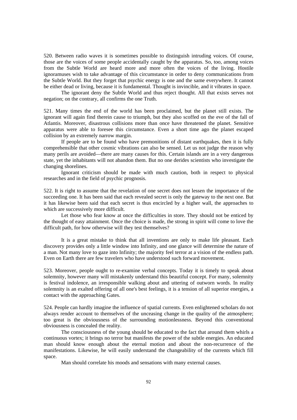520. Between radio waves it is sometimes possible to distinguish intruding voices. Of course, those are the voices of some people accidentally caught by the apparatus. So, too, among voices from the Subtle World are heard more and more often the voices of the living. Hostile ignoramuses wish to take advantage of this circumstance in order to deny communications from the Subtle World. But they forget that psychic energy is one and the same everywhere. It cannot be either dead or living, because it is fundamental. Thought is invincible, and it vibrates in space.

 The ignorant deny the Subtle World and thus reject thought. All that exists serves not negation; on the contrary, all confirms the one Truth.

521. Many times the end of the world has been proclaimed, but the planet still exists. The ignorant will again find therein cause to triumph, but they also scoffed on the eve of the fall of Atlantis. Moreover, disastrous collisions more than once have threatened the planet. Sensitive apparatus were able to foresee this circumstance. Even a short time ago the planet escaped collision by an extremely narrow margin.

 If people are to be found who have premonitions of distant earthquakes, then it is fully comprehensible that other cosmic vibrations can also be sensed. Let us not judge the reason why many perils are avoided—there are many causes for this. Certain islands are in a very dangerous state, yet the inhabitants will not abandon them. But no one derides scientists who investigate the changing shorelines.

 Ignorant criticism should be made with much caution, both in respect to physical researches and in the field of psychic prognosis.

522. It is right to assume that the revelation of one secret does not lessen the importance of the succeeding one. It has been said that each revealed secret is only the gateway to the next one. But it has likewise been said that each secret is thus encircled by a higher wall, the approaches to which are successively more difficult.

 Let those who fear know at once the difficulties in store. They should not be enticed by the thought of easy attainment. Once the choice is made, the strong in spirit will come to love the difficult path, for how otherwise will they test themselves?

 It is a great mistake to think that all inventions are only to make life pleasant. Each discovery provides only a little window into Infinity, and one glance will determine the nature of a man. Not many love to gaze into Infinity; the majority feel terror at a vision of the endless path. Even on Earth there are few travelers who have understood such forward movement.

523. Moreover, people ought to re-examine verbal concepts. Today it is timely to speak about solemnity, however many will mistakenly understand this beautiful concept. For many, solemnity is festival indolence, an irresponsible walking about and uttering of outworn words. In reality solemnity is an exalted offering of all one's best feelings, it is a tension of all superior energies, a contact with the approaching Gates.

524. People can hardly imagine the influence of spatial currents. Even enlightened scholars do not always render account to themselves of the unceasing change in the quality of the atmosphere; too great is the obviousness of the surrounding motionlessness. Beyond this conventional obviousness is concealed the reality.

 The consciousness of the young should be educated to the fact that around them whirls a continuous vortex; it brings no terror but manifests the power of the subtle energies. An educated man should know enough about the eternal motion and about the non-recurrence of the manifestations. Likewise, he will easily understand the changeability of the currents which fill space.

Man should correlate his moods and sensations with many external causes.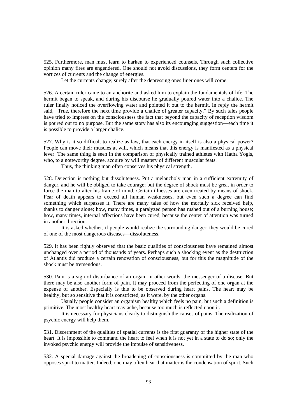525. Furthermore, man must learn to harken to experienced counsels. Through such collective opinion many fires are engendered. One should not avoid discussions, they form centers for the vortices of currents and the change of energies.

Let the currents change; surely after the depressing ones finer ones will come.

526. A certain ruler came to an anchorite and asked him to explain the fundamentals of life. The hermit began to speak, and during his discourse he gradually poured water into a chalice. The ruler finally noticed the overflowing water and pointed it out to the hermit. In reply the hermit said, "True, therefore the next time provide a chalice of greater capacity." By such tales people have tried to impress on the consciousness the fact that beyond the capacity of reception wisdom is poured out to no purpose. But the same story has also its encouraging suggestion—each time it is possible to provide a larger chalice.

527. Why is it so difficult to realize as law, that each energy in itself is also a physical power? People can move their muscles at will, which means that this energy is manifested as a physical lever. The same thing is seen in the comparison of physically trained athletes with Hatha Yogis, who, to a noteworthy degree, acquire by will mastery of different muscular feats.

Thus, the thinking man often conserves his physical strength.

528. Dejection is nothing but dissoluteness. Put a melancholy man in a sufficient extremity of danger, and he will be obliged to take courage; but the degree of shock must be great in order to force the man to alter his frame of mind. Certain illnesses are even treated by means of shock. Fear of death appears to exceed all human weaknesses, but even such a degree can find something which surpasses it. There are many tales of how the mortally sick received help, thanks to danger alone; how, many times, a paralyzed person has rushed out of a burning house; how, many times, internal affections have been cured, because the center of attention was turned in another direction.

 It is asked whether, if people would realize the surrounding danger, they would be cured of one of the most dangerous diseases—dissoluteness.

529. It has been rightly observed that the basic qualities of consciousness have remained almost unchanged over a period of thousands of years. Perhaps such a shocking event as the destruction of Atlantis did produce a certain renovation of consciousness, but for this the magnitude of the shock must be tremendous.

530. Pain is a sign of disturbance of an organ, in other words, the messenger of a disease. But there may be also another form of pain. It may proceed from the perfecting of one organ at the expense of another. Especially is this to be observed during heart pains. The heart may be healthy, but so sensitive that it is constricted, as it were, by the other organs.

 Usually people consider an organism healthy which feels no pain, but such a definition is primitive. The most healthy heart may ache, because too much is reflected upon it.

 It is necessary for physicians clearly to distinguish the causes of pains. The realization of psychic energy will help them.

531. Discernment of the qualities of spatial currents is the first guaranty of the higher state of the heart. It is impossible to command the heart to feel when it is not yet in a state to do so; only the invoked psychic energy will provide the impulse of sensitiveness.

532. A special damage against the broadening of consciousness is committed by the man who opposes spirit to matter. Indeed, one may often hear that matter is the condensation of spirit. Such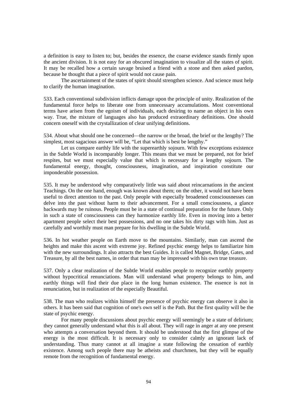a definition is easy to listen to; but, besides the essence, the coarse evidence stands firmly upon the ancient division. It is not easy for an obscured imagination to visualize all the states of spirit. It may be recalled how a certain savage bruised a friend with a stone and then asked pardon, because he thought that a piece of spirit would not cause pain.

 The ascertainment of the states of spirit should strengthen science. And science must help to clarify the human imagination.

533. Each conventional subdivision inflicts damage upon the principle of unity. Realization of the fundamental force helps to liberate one from unnecessary accumulations. Most conventional terms have arisen from the egoism of individuals, each desiring to name an object in his own way. True, the mixture of languages also has produced extraordinary definitions. One should concern oneself with the crystallization of clear unifying definitions.

534. About what should one be concerned—the narrow or the broad, the brief or the lengthy? The simplest, most sagacious answer will be, "Let that which is best be lengthy."

 Let us compare earthly life with the superearthly sojourn. With few exceptions existence in the Subtle World is incomparably longer. This means that we must be prepared, not for brief respites, but we must especially value that which is necessary for a lengthy sojourn. The fundamental energy, thought, consciousness, imagination, and inspiration constitute our imponderable possession.

535. It may be understood why comparatively little was said about reincarnations in the ancient Teachings. On the one hand, enough was known about them; on the other, it would not have been useful to direct attention to the past. Only people with especially broadened consciousnesses can delve into the past without harm to their advancement. For a small consciousness, a glance backwards may be ruinous. People must be in a state of continual preparation for the future. Only in such a state of consciousness can they harmonize earthly life. Even in moving into a better apartment people select their best possessions, and no one takes his dirty rags with him. Just as carefully and worthily must man prepare for his dwelling in the Subtle World.

536. In hot weather people on Earth move to the mountains. Similarly, man can ascend the heights and make this ascent with extreme joy. Refined psychic energy helps to familiarize him with the new surroundings. It also attracts the best Guides. It is called Magnet, Bridge, Gates, and Treasure, by all the best names, in order that man may be impressed with his own true treasure.

537. Only a clear realization of the Subtle World enables people to recognize earthly property without hypocritical renunciations. Man will understand what property belongs to him, and earthly things will find their due place in the long human existence. The essence is not in renunciation, but in realization of the especially Beautiful.

538. The man who realizes within himself the presence of psychic energy can observe it also in others. It has been said that cognition of one's own self is the Path. But the first quality will be the state of psychic energy.

 For many people discussions about psychic energy will seemingly be a state of delirium; they cannot generally understand what this is all about. They will rage in anger at any one present who attempts a conversation beyond them. It should be understood that the first glimpse of the energy is the most difficult. It is necessary only to consider calmly an ignorant lack of understanding. Thus many cannot at all imagine a state following the cessation of earthly existence. Among such people there may be atheists and churchmen, but they will be equally remote from the recognition of fundamental energy.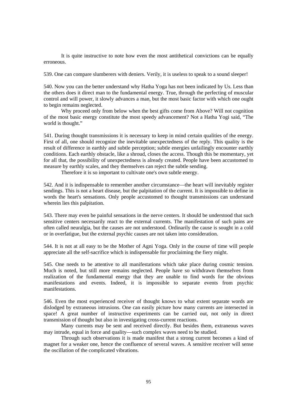It is quite instructive to note how even the most antithetical convictions can be equally erroneous.

539. One can compare slumberers with deniers. Verily, it is useless to speak to a sound sleeper!

540. Now you can the better understand why Hatha Yoga has not been indicated by Us. Less than the others does it direct man to the fundamental energy. True, through the perfecting of muscular control and will power, it slowly advances a man, but the most basic factor with which one ought to begin remains neglected.

 Why proceed only from below when the best gifts come from Above? Will not cognition of the most basic energy constitute the most speedy advancement? Not a Hatha Yogi said, "The world is thought."

541. During thought transmissions it is necessary to keep in mind certain qualities of the energy. First of all, one should recognize the inevitable unexpectedness of the reply. This quality is the result of difference in earthly and subtle perception; subtle energies unfailingly encounter earthly conditions. Each earthly obstacle, like a shroud, closes the access. Though this be momentary, yet for all that, the possibility of unexpectedness is already created. People have been accustomed to measure by earthly scales, and they themselves can reject the subtle sending.

Therefore it is so important to cultivate one's own subtle energy.

542. And it is indispensable to remember another circumstance—the heart will inevitably register sendings. This is not a heart disease, but the palpitation of the current. It is impossible to define in words the heart's sensations. Only people accustomed to thought transmissions can understand wherein lies this palpitation.

543. There may even be painful sensations in the nerve centers. It should be understood that such sensitive centers necessarily react to the external currents. The manifestation of such pains are often called neuralgia, but the causes are not understood. Ordinarily the cause is sought in a cold or in overfatigue, but the external psychic causes are not taken into consideration.

544. It is not at all easy to be the Mother of Agni Yoga. Only in the course of time will people appreciate all the self-sacrifice which is indispensable for proclaiming the fiery might.

545. One needs to be attentive to all manifestations which take place during cosmic tension. Much is noted, but still more remains neglected. People have so withdrawn themselves from realization of the fundamental energy that they are unable to find words for the obvious manifestations and events. Indeed, it is impossible to separate events from psychic manifestations.

546. Even the most experienced receiver of thought knows to what extent separate words are dislodged by extraneous intrusions. One can easily picture how many currents are intersected in space! A great number of instructive experiments can be carried out, not only in direct transmission of thought but also in investigating cross-current reactions.

 Many currents may be sent and received directly. But besides them, extraneous waves may intrude, equal in force and quality—such complex waves need to be studied.

 Through such observations it is made manifest that a strong current becomes a kind of magnet for a weaker one, hence the confluence of several waves. A sensitive receiver will sense the oscillation of the complicated vibrations.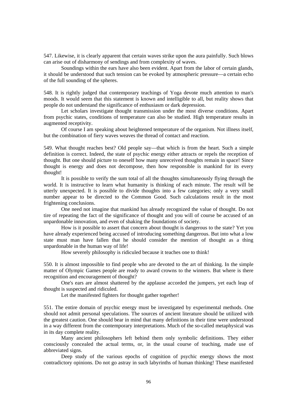547. Likewise, it is clearly apparent that certain waves strike upon the aura painfully. Such blows can arise out of disharmony of sendings and from complexity of waves.

 Soundings within the ears have also been evident. Apart from the labor of certain glands, it should be understood that such tension can be evoked by atmospheric pressure—a certain echo of the full sounding of the spheres.

548. It is rightly judged that contemporary teachings of Yoga devote much attention to man's moods. It would seem that this statement is known and intelligible to all, but reality shows that people do not understand the significance of enthusiasm or dark depression.

 Let scholars investigate thought transmission under the most diverse conditions. Apart from psychic states, conditions of temperature can also be studied. High temperature results in augmented receptivity.

 Of course I am speaking about heightened temperature of the organism. Not illness itself, but the combination of fiery waves weaves the thread of contact and reaction.

549. What thought reaches best? Old people say—that which is from the heart. Such a simple definition is correct. Indeed, the state of psychic energy either attracts or repels the reception of thought. But one should picture to oneself how many unreceived thoughts remain in space! Since thought is energy and does not decompose, then how responsible is mankind for its every thought!

 It is possible to verify the sum total of all the thoughts simultaneously flying through the world. It is instructive to learn what humanity is thinking of each minute. The result will be utterly unexpected. It is possible to divide thoughts into a few categories; only a very small number appear to be directed to the Common Good. Such calculations result in the most frightening conclusions.

 One need not imagine that mankind has already recognized the value of thought. Do not tire of repeating the fact of the significance of thought and you will of course be accused of an unpardonable innovation, and even of shaking the foundations of society.

 How is it possible to assert that concern about thought is dangerous to the state? Yet you have already experienced being accused of introducing something dangerous. But into what a low state must man have fallen that he should consider the mention of thought as a thing unpardonable in the human way of life!

How severely philosophy is ridiculed because it teaches one to think!

550. It is almost impossible to find people who are devoted to the art of thinking. In the simple matter of Olympic Games people are ready to award crowns to the winners. But where is there recognition and encouragement of thought?

 One's ears are almost shattered by the applause accorded the jumpers, yet each leap of thought is suspected and ridiculed.

Let the manifested fighters for thought gather together!

551. The entire domain of psychic energy must be investigated by experimental methods. One should not admit personal speculations. The sources of ancient literature should be utilized with the greatest caution. One should bear in mind that many definitions in their time were understood in a way different from the contemporary interpretations. Much of the so-called metaphysical was in its day complete reality.

 Many ancient philosophers left behind them only symbolic definitions. They either consciously concealed the actual terms, or, in the usual course of teaching, made use of abbreviated signs.

 Deep study of the various epochs of cognition of psychic energy shows the most contradictory opinions. Do not go astray in such labyrinths of human thinking! These manifested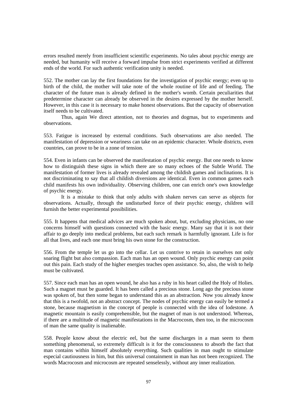errors resulted merely from insufficient scientific experiments. No tales about psychic energy are needed, but humanity will receive a forward impulse from strict experiments verified at different ends of the world. For such authentic verification unity is needed.

552. The mother can lay the first foundations for the investigation of psychic energy; even up to birth of the child, the mother will take note of the whole routine of life and of feeding. The character of the future man is already defined in the mother's womb. Certain peculiarities that predetermine character can already be observed in the desires expressed by the mother herself. However, in this case it is necessary to make honest observations. But the capacity of observation itself needs to be cultivated.

 Thus, again We direct attention, not to theories and dogmas, but to experiments and observations.

553. Fatigue is increased by external conditions. Such observations are also needed. The manifestation of depression or weariness can take on an epidemic character. Whole districts, even countries, can prove to be in a zone of tension.

554. Even in infants can be observed the manifestation of psychic energy. But one needs to know how to distinguish these signs in which there are so many echoes of the Subtle World. The manifestation of former lives is already revealed among the childish games and inclinations. It is not discriminating to say that all childish diversions are identical. Even in common games each child manifests his own individuality. Observing children, one can enrich one's own knowledge of psychic energy.

 It is a mistake to think that only adults with shaken nerves can serve as objects for observations. Actually, through the undisturbed force of their psychic energy, children will furnish the better experimental possibilities.

555. It happens that medical advices are much spoken about, but, excluding physicians, no one concerns himself with questions connected with the basic energy. Many say that it is not their affair to go deeply into medical problems, but each such remark is harmfully ignorant. Life is for all that lives, and each one must bring his own stone for the construction.

556. From the temple let us go into the cellar. Let us contrive to retain in ourselves not only soaring flight but also compassion. Each man has an open wound. Only psychic energy can point out this pain. Each study of the higher energies teaches open assistance. So, also, the wish to help must be cultivated.

557. Since each man has an open wound, he also has a ruby in his heart called the Holy of Holies. Such a magnet must be guarded. It has been called a precious stone. Long ago the precious stone was spoken of, but then some began to understand this as an abstraction. Now you already know that this is a twofold, not an abstract concept. The nodes of psychic energy can easily be termed a stone, because magnetism in the concept of people is connected with the idea of lodestone. A magnetic mountain is easily comprehensible, but the magnet of man is not understood. Whereas, if there are a multitude of magnetic manifestations in the Macrocosm, then too, in the microcosm of man the same quality is inalienable.

558. People know about the electric eel, but the same discharges in a man seem to them something phenomenal, so extremely difficult is it for the consciousness to absorb the fact that man contains within himself absolutely everything. Such qualities in man ought to stimulate especial cautiousness in him, but this universal containment in man has not been recognized. The words Macrocosm and microcosm are repeated senselessly, without any inner realization.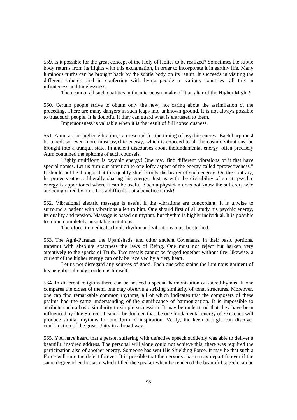559. Is it possible for the great concept of the Holy of Holies to be realized? Sometimes the subtle body returns from its flights with this exclamation, in order to incorporate it in earthly life. Many luminous truths can be brought back by the subtle body on its return. It succeeds in visiting the different spheres, and in conferring with living people in various countries—all this in infiniteness and timelessness.

Then cannot all such qualities in the microcosm make of it an altar of the Higher Might?

560. Certain people strive to obtain only the new, not caring about the assimilation of the preceding. There are many dangers in such leaps into unknown ground. It is not always possible to trust such people. It is doubtful if they can guard what is entrusted to them.

Impetuousness is valuable when it is the result of full consciousness.

561. Aum, as the higher vibration, can resound for the tuning of psychic energy. Each harp must be tuned; so, even more must psychic energy, which is exposed to all the cosmic vibrations, be brought into a tranquil state. In ancient discourses about thefundamental energy, often precisely Aum contained the epitome of such counsels.

 Highly multiform is psychic energy! One may find different vibrations of it that have special names. Let us turn our attention to one lofty aspect of the energy called "protectiveness." It should not be thought that this quality shields only the bearer of such energy. On the contrary, he protects others, liberally sharing his energy. Just as with the divisibility of spirit, psychic energy is apportioned where it can be useful. Such a physician does not know the sufferers who are being cured by him. It is a difficult, but a beneficent task!

562. Vibrational electric massage is useful if the vibrations are concordant. It is unwise to surround a patient with vibrations alien to him. One should first of all study his psychic energy, its quality and tension. Massage is based on rhythm, but rhythm is highly individual. It is possible to rub in completely unsuitable irritations.

Therefore, in medical schools rhythm and vibrations must be studied.

563. The Agni-Puranas, the Upanishads, and other ancient Covenants, in their basic portions, transmit with absolute exactness the laws of Being. One must not reject but harken very attentively to the sparks of Truth. Two metals cannot be forged together without fire; likewise, a current of the higher energy can only be received by a fiery heart.

 Let us not disregard any sources of good. Each one who stains the luminous garment of his neighbor already condemns himself.

564. In different religions there can be noticed a special harmonization of sacred hymns. If one compares the oldest of them, one may observe a striking similarity of tonal structures. Moreover, one can find remarkable common rhythms; all of which indicates that the composers of these psalms had the same understanding of the significance of harmonization. It is impossible to attribute such a basic similarity to simple succession. It may be understood that they have been influenced by One Source. It cannot be doubted that the one fundamental energy of Existence will produce similar rhythms for one form of inspiration. Verily, the keen of sight can discover confirmation of the great Unity in a broad way.

565. You have heard that a person suffering with defective speech suddenly was able to deliver a beautiful inspired address. The personal will alone could not achieve this, there was required the participation also of another energy. Someone has sent His Shielding Force. It may be that such a Force will cure the defect forever. It is possible that the nervous spasm may depart forever if the same degree of enthusiasm which filled the speaker when he rendered the beautiful speech can be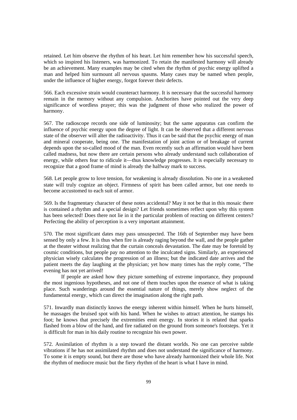retained. Let him observe the rhythm of his heart. Let him remember how his successful speech, which so inspired his listeners, was harmonized. To retain the manifested harmony will already be an achievement. Many examples may be cited when the rhythm of psychic energy uplifted a man and helped him surmount all nervous spasms. Many cases may be named when people, under the influence of higher energy, forgot forever their defects.

566. Each excessive strain would counteract harmony. It is necessary that the successful harmony remain in the memory without any compulsion. Anchorites have pointed out the very deep significance of wordless prayer; this was the judgment of those who realized the power of harmony.

567. The radioscope records one side of luminosity; but the same apparatus can confirm the influence of psychic energy upon the degree of light. It can be observed that a different nervous state of the observer will alter the radioactivity. Thus it can be said that the psychic energy of man and mineral cooperate, being one. The manifestation of joint action or of breakage of current depends upon the so-called mood of the man. Even recently such an affirmation would have been called madness, but now there are certain persons who already understand such collaboration of energy, while others fear to ridicule it—thus knowledge progresses. It is especially necessary to recognize that a good frame of mind is already the halfway mark to success.

568. Let people grow to love tension, for weakening is already dissolution. No one in a weakened state will truly cognize an object. Firmness of spirit has been called armor, but one needs to become accustomed to each suit of armor.

569. Is the fragmentary character of these notes accidental? May it not be that in this mosaic there is contained a rhythm and a special design? Let friends sometimes reflect upon why this system has been selected! Does there not lie in it the particular problem of reacting on different centers? Perfecting the ability of perception is a very important attainment.

570. The most significant dates may pass unsuspected. The 16th of September may have been sensed by only a few. It is thus when fire is already raging beyond the wall, and the people gather at the theater without realizing that the curtain conceals devastation. The date may be foretold by cosmic conditions, but people pay no attention to the inculcated signs. Similarly, an experienced physician wisely calculates the progression of an illness; but the indicated date arrives and the patient meets the day laughing at the physician; yet how many times has the reply come, "The evening has not yet arrived!

 If people are asked how they picture something of extreme importance, they propound the most ingenious hypotheses, and not one of them touches upon the essence of what is taking place. Such wanderings around the essential nature of things, merely show neglect of the fundamental energy, which can direct the imagination along the right path.

571. Inwardly man distinctly knows the energy inherent within himself. When he hurts himself, he massages the bruised spot with his hand. When he wishes to attract attention, he stamps his foot; he knows that precisely the extremities emit energy. In stories it is related that sparks flashed from a blow of the hand, and fire radiated on the ground from someone's footsteps. Yet it is difficult for man in his daily routine to recognize his own power.

572. Assimilation of rhythm is a step toward the distant worlds. No one can perceive subtle vibrations if he has not assimilated rhythm and does not understand the significance of harmony. To some it is empty sound, but there are those who have already harmonized their whole life. Not the rhythm of mediocre music but the fiery rhythm of the heart is what I have in mind.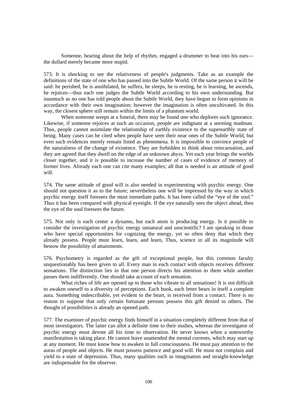Someone, hearing about the help of rhythm, engaged a drummer to beat into his ears the dullard merely became more stupid.

573. It is shocking to see the relativeness of people's judgments. Take as an example the definitions of the state of one who has passed into the Subtle World. Of the same person it will be said: he perished, he is annihilated, he suffers, he sleeps, he is resting, he is learning, he ascends, he rejoices—thus each one judges the Subtle World according to his own understanding. But inasmuch as no one has told people about the Subtle World, they have begun to form opinions in accordance with their own imagination; however the imagination is often uncultivated. In this way, the closest sphere still remain within the limits of a phantom world.

 When someone weeps at a funeral, there may be found one who deplores such ignorance. Likewise, if someone rejoices at such an occasion, people are indignant at a seeming madman. Thus, people cannot assimilate the relationship of earthly existence to the superearthly state of being. Many cases can be cited when people have seen their near ones of the Subtle World, but even such evidences merely remain listed as phenomena. It is impossible to convince people of the naturalness of the change of existence. They are forbidden to think about reincarnation, and they are agreed that they dwell on the edge of an unknown abyss. Yet each year brings the worlds closer together, and it is possible to increase the number of cases of evidence of memory of former lives. Already each one can cite many examples; all that is needed is an attitude of good will.

574. The same attitude of good will is also needed in experimenting with psychic energy. One should not question it as to the future; nevertheless one will be impressed by the way in which psychic energy itself foresees the most immediate paths. It has been called the "eye of the soul." Thus it has been compared with physical eyesight. If the eye naturally sees the object ahead, then the eye of the soul foresees the future.

575. Not only is each center a dynamo, but each atom is producing energy. Is it possible to consider the investigation of psychic energy unnatural and unscientific? I am speaking to those who have special opportunities for cognizing the energy, yet so often deny that which they already possess. People must learn, learn, and learn, Thus, science in all its magnitude will bestow the possibility of attainments.

576. Psychometry is regarded as the gift of exceptional people, but this common faculty unquestionably has been given to all. Every man in each contact with objects receives different sensations. The distinction lies in that one person directs his attention to them while another passes them indifferently. One should take account of each sensation.

What riches of life are opened up to those who vibrate to all sensations! It is not difficult to awaken oneself to a diversity of perceptions. Each book, each letter bears in itself a complete aura. Something indescribable, yet evident to the heart, is received from a contact. There is no reason to suppose that only certain fortunate persons possess this gift denied to others. The thought of possibilities is already an opened path.

577. The examiner of psychic energy finds himself in a situation completely different from that of most investigators. The latter can allot a definite time to their studies, whereas the investigator of psychic energy must devote all his time to observation. He never knows when a noteworthy manifestation is taking place. He cannot leave unattended the mental currents, which may start up at any moment. He must know how to awaken in full consciousness. He must pay attention to the auras of people and objects. He must possess patience and good will. He must not complain and yield to a state of depression. Thus, many qualities such as imagination and straight-knowledge are indispensable for the observer.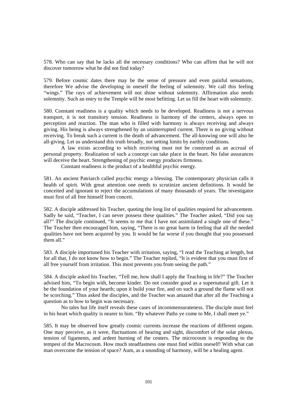578. Who can say that he lacks all the necessary conditions? Who can affirm that he will not discover tomorrow what he did not find today?

579. Before cosmic dates there may be the sense of pressure and even painful sensations, therefore We advise the developing in oneself the feeling of solemnity. We call this feeling "wings." The rays of achievement will not shine without solemnity. Affirmation also needs solemnity. Such an entry to the Temple will be most befitting. Let us fill the heart with solemnity.

580. Constant readiness is a quality which needs to be developed. Readiness is not a nervous transport, it is not transitory tension. Readiness is harmony of the centers, always open to perception and reaction. The man who is filled with harmony is always receiving and always giving. His being is always strengthened by an uninterrupted current. There is no giving without receiving. To break such a current is the death of advancement. The all-knowing one will also be all-giving. Let us understand this truth broadly, not setting limits by earthly conditions.

 A law exists according to which receiving must not be construed as an accrual of personal property. Realization of such a concept can take place in the heart. No false assurances will deceive the heart. Strengthening of psychic energy produces firmness.

Constant readiness is the product of a healthful psychic energy.

581. An ancient Patriarch called psychic energy a blessing. The contemporary physician calls it health of spirit. With great attention one needs to scrutinize ancient definitions. It would be conceited and ignorant to reject the accumulations of many thousands of years. The investigator must first of all free himself from conceit.

582. A disciple addressed his Teacher, quoting the long list of qualities required for advancement. Sadly he said, "Teacher, I can never possess these qualities." The Teacher asked, "Did you say all?" The disciple continued, "It seems to me that I have not assimilated a single one of these." The Teacher then encouraged him, saying, "There is no great harm in feeling that all the needed qualities have not been acquired by you. It would be far worse if you thought that you possessed them all."

583. A disciple importuned his Teacher with irritation, saying, "I read the Teaching at length, but for all that, I do not know how to begin." The Teacher replied, "It is evident that you must first of all free yourself from irritation. This most prevents you from seeing the path."

584. A disciple asked his Teacher, "Tell me, how shall I apply the Teaching in life?" The Teacher advised him, "To begin with, become kinder. Do not consider good as a supernatural gift. Let it be the foundation of your hearth; upon it build your fire, and on such a ground the flame will not be scorching." Thus asked the disciples, and the Teacher was amazed that after all the Teaching a question as to how to begin was necessary.

 No tales but life itself reveals these cases of incommensurateness. The disciple must feel in his heart which quality is nearer to him. "By whatever Paths ye come to Me, I shall meet ye."

585. It may be observed how greatly cosmic currents increase the reactions of different organs. One may perceive, as it were, fluctuations of hearing and sight, discomfort of the solar plexus, tension of ligaments, and ardent burning of the centers. The microcosm is responding to the tempest of the Macrocosm. How much steadfastness one must find within oneself! With what can man overcome the tension of space? Aum, as a sounding of harmony, will be a healing agent.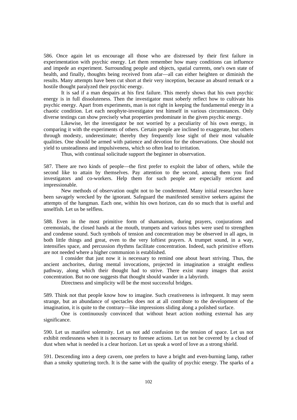586. Once again let us encourage all those who are distressed by their first failure in experimentation with psychic energy. Let them remember how many conditions can influence and impede an experiment. Surrounding people and objects, spatial currents, one's own state of health, and finally, thoughts being received from afar—all can either heighten or diminish the results. Many attempts have been cut short at their very inception, because an absurd remark or a hostile thought paralyzed their psychic energy.

 It is sad if a man despairs at his first failure. This merely shows that his own psychic energy is in full dissoluteness. Then the investigator must soberly reflect how to cultivate his psychic energy. Apart from experiments, man is not right in keeping the fundamental energy in a chaotic condition. Let each neophyte-investigator test himself in various circumstances. Only diverse testings can show precisely what properties predominate in the given psychic energy.

 Likewise, let the investigator be not worried by a peculiarity of his own energy, in comparing it with the experiments of others. Certain people are inclined to exaggerate, but others through modesty, underestimate; thereby they frequently lose sight of their most valuable qualities. One should be armed with patience and devotion for the observations. One should not yield to unsteadiness and impulsiveness, which so often lead to irritation.

Thus, with continual solicitude support the beginner in observation.

587. There are two kinds of people—the first prefer to exploit the labor of others, while the second like to attain by themselves. Pay attention to the second, among them you find investigators and co-workers. Help them for such people are especially reticent and impressionable.

 New methods of observation ought not to be condemned. Many initial researches have been savagely wrecked by the ignorant. Safeguard the manifested sensitive seekers against the attempts of the hangman. Each one, within his own horizon, can do so much that is useful and unselfish. Let us be selfless.

588. Even in the most primitive form of shamanism, during prayers, conjurations and ceremonials, the closed hands at the mouth, trumpets and various tubes were used to strengthen and condense sound. Such symbols of tension and concentration may be observed in all ages, in both little things and great, even to the very loftiest prayers. A trumpet sound, in a way, intensifies space, and percussion rhythms facilitate concentration. Indeed, such primitive efforts are not needed where a higher communion is established.

 I consider that just now it is necessary to remind one about heart striving. Thus, the ancient anchorites, during mental invocations, projected in imagination a straight endless pathway, along which their thought had to strive. There exist many images that assist concentration. But no one suggests that thought should wander in a labyrinth.

Directness and simplicity will be the most successful bridges.

589. Think not that people know how to imagine. Such creativeness is infrequent. It may seem strange, but an abundance of spectacles does not at all contribute to the development of the imagination, it is quite to the contrary—like impressions sliding along a polished surface.

 One is continuously convinced that without heart action nothing external has any significance.

590. Let us manifest solemnity. Let us not add confusion to the tension of space. Let us not exhibit restlessness when it is necessary to foresee actions. Let us not be covered by a cloud of dust when what is needed is a clear horizon. Let us speak a word of love as a strong shield.

591. Descending into a deep cavern, one prefers to have a bright and even-burning lamp, rather than a smoky sputtering torch. It is the same with the quality of psychic energy. The sparks of a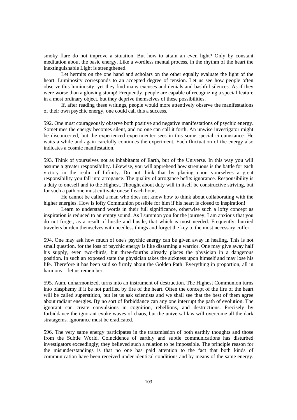smoky flare do not improve a situation. But how to attain an even light? Only by constant meditation about the basic energy. Like a wordless mental process, in the rhythm of the heart the inextinguishable Light is strengthened.

 Let hermits on the one hand and scholars on the other equally evaluate the light of the heart. Luminosity corresponds to an accepted degree of tension. Let us see how people often observe this luminosity, yet they find many excuses and denials and bashful silences. As if they were worse than a glowing stump! Frequently, people are capable of recognizing a special feature in a most ordinary object, but they deprive themselves of these possibilities.

 If, after reading these writings, people would more attentively observe the manifestations of their own psychic energy, one could call this a success.

592. One must courageously observe both positive and negative manifestations of psychic energy. Sometimes the energy becomes silent, and no one can call it forth. An unwise investigator might be disconcerted, but the experienced experimenter sees in this some special circumstance. He waits a while and again carefully continues the experiment. Each fluctuation of the energy also indicates a cosmic manifestation.

593. Think of yourselves not as inhabitants of Earth, but of the Universe. In this way you will assume a greater responsibility. Likewise, you will apprehend how strenuous is the battle for each victory in the realm of Infinity. Do not think that by placing upon yourselves a great responsibility you fall into arrogance. The quality of arrogance befits ignorance. Responsibility is a duty to oneself and to the Highest. Thought about duty will in itself be constructive striving, but for such a path one must cultivate oneself each hour.

 He cannot be called a man who does not know how to think about collaborating with the higher energies. How is lofty Communion possible for him if his heart is closed to inspiration!

 Learn to understand words in their full significance, otherwise such a lofty concept as inspiration is reduced to an empty sound. As I summon you for the journey, I am anxious that you do not forget, as a result of hustle and bustle, that which is most needed. Frequently, hurried travelers burden themselves with needless things and forget the key to the most necessary coffer.

594. One may ask how much of one's psychic energy can be given away in healing. This is not small question, for the loss of psychic energy is like disarming a warrior. One may give away half his supply, even two-thirds, but three-fourths already places the physician in a dangerous position. In such an exposed state the physician takes the sickness upon himself and may lose his life. Therefore it has been said so firmly about the Golden Path: Everything in proportion, all in harmony—let us remember.

595. Aum, unharmonized, turns into an instrument of destruction. The Highest Communion turns into blasphemy if it be not purified by fire of the heart. Often the concept of the fire of the heart will be called superstition, but let us ask scientists and we shall see that the best of them agree about radiant energies. By no sort of forbiddance can any one interrupt the path of evolution. The ignorant can create convulsions in cognition, rebellions, and destructions. Precisely by forbiddance the ignorant evoke waves of chaos, but the universal law will overcome all the dark stratagems. Ignorance must be eradicated.

596. The very same energy participates in the transmission of both earthly thoughts and those from the Subtle World. Coincidence of earthly and subtle communications has disturbed investigators exceedingly; they believed such a relation to be impossible. The principle reason for the misunderstandings is that no one has paid attention to the fact that both kinds of communication have been received under identical conditions and by means of the same energy.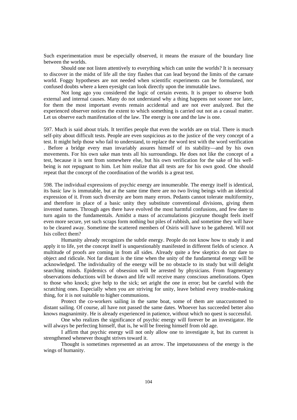Such experimentation must be especially observed, it means the erasure of the boundary line between the worlds.

 Should one not listen attentively to everything which can unite the worlds? It is necessary to discover in the midst of life all the tiny flashes that can lead beyond the limits of the carnate world. Foggy hypotheses are not needed when scientific experiments can be formulated, nor confused doubts where a keen eyesight can look directly upon the immutable laws.

 Not long ago you considered the logic of certain events. It is proper to observe both external and internal causes. Many do not understand why a thing happens not sooner nor later, for them the most important events remain accidental and are not ever analyzed. But the experienced observer notices the extent to which something is carried out not as a casual matter. Let us observe each manifestation of the law. The energy is one and the law is one.

597. Much is said about trials. It terrifies people that even the worlds are on trial. There is much self-pity about difficult tests. People are even suspicious as to the justice of the very concept of a test. It might help those who fail to understand, to replace the word test with the word verification . Before a bridge every man invariably assures himself of its stability—and by his own movements. For his own sake man tests all his surroundings. He does not like the concept of a test, because it is sent from somewhere else, but his own verification for the sake of his wellbeing is not repugnant to him. Let him realize that all tests are for his own good. One should repeat that the concept of the coordination of the worlds is a great test.

598. The individual expressions of psychic energy are innumerable. The energy itself is identical, its basic law is immutable, but at the same time there are no two living beings with an identical expression of it. From such diversity are born many errors. Pedants cannot tolerate multiformity, and therefore in place of a basic unity they substitute conventional divisions, giving them invented names. Through ages there have evolved the most harmful confusions, and few dare to turn again to the fundamentals. Amidst a mass of accumulations picayune thought feels itself even more secure, yet such scraps form nothing but piles of rubbish, and sometime they will have to be cleared away. Sometime the scattered members of Osiris will have to be gathered. Will not Isis collect them?

 Humanity already recognizes the subtle energy. People do not know how to study it and apply it to life, yet the concept itself is unquestionably manifested in different fields of science. A multitude of proofs are coming in from all sides. Already quite a few skeptics do not dare to object and ridicule. Not far distant is the time when the unity of the fundamental energy will be acknowledged. The individuality of the energy will be no obstacle to its study but will delight searching minds. Epidemics of obsession will be arrested by physicians. From fragmentary observations deductions will be drawn and life will receive many conscious ameliorations. Open to those who knock; give help to the sick; set aright the one in error; but be careful with the scratching ones. Especially when you are striving for unity, leave behind every trouble-making thing, for it is not suitable to higher communions.

 Protect the co-workers sailing in the same boat, some of them are unaccustomed to distant sailing. Of course, all have not passed the same dates. Whoever has succeeded better also knows magnanimity. He is already experienced in patience, without which no quest is successful.

 One who realizes the significance of psychic energy will forever be an investigator. He will always be perfecting himself, that is, he will be freeing himself from old age.

 I affirm that psychic energy will not only allow one to investigate it, but its current is strengthened whenever thought strives toward it.

 Thought is sometimes represented as an arrow. The impetuousness of the energy is the wings of humanity.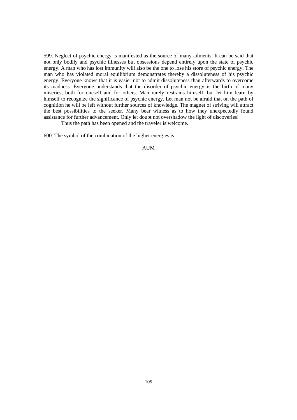599. Neglect of psychic energy is manifested as the source of many ailments. It can be said that not only bodily and psychic illnesses but obsessions depend entirely upon the state of psychic energy. A man who has lost immunity will also be the one to lose his store of psychic energy. The man who has violated moral equilibrium demonstrates thereby a dissoluteness of his psychic energy. Everyone knows that it is easier not to admit dissoluteness than afterwards to overcome its madness. Everyone understands that the disorder of psychic energy is the birth of many miseries, both for oneself and for others. Man rarely restrains himself, but let him learn by himself to recognize the significance of psychic energy. Let man not be afraid that on the path of cognition he will be left without further sources of knowledge. The magnet of striving will attract the best possibilities to the seeker. Many bear witness as to how they unexpectedly found assistance for further advancement. Only let doubt not overshadow the light of discoveries!

Thus the path has been opened and the traveler is welcome.

600. The symbol of the combination of the higher energies is

AUM